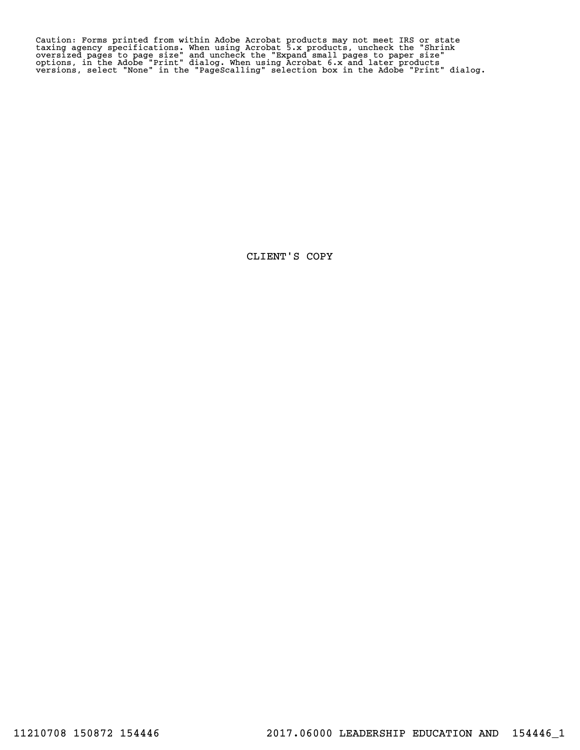Caution: Forms printed from within Adobe Acrobat products may not meet IRS or state<br>taxing agency specifications. When using Acrobat 5.x products, uncheck the "Shrink<br>oversized pages to page size" and uncheck the "Expand s Caution: Forms printed from within Adobe Acrobat products may not meet IRS or state<br>taxing agency specifications. When using Acrobat 5.x products, uncheck the "Shrink<br>oversized pages to page size" and uncheck the "Expand s

CLIENT'S COPY CLIENT'S COPY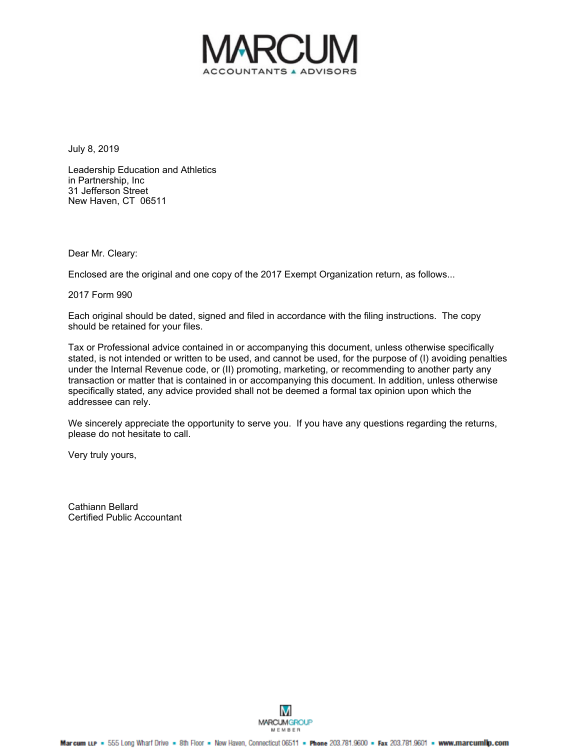

July 8, 2019

Leadership Education and Athletics in Partnership, Inc 31 Jefferson Street New Haven, CT 06511

Dear Mr. Cleary:

Enclosed are the original and one copy of the 2017 Exempt Organization return, as follows...

2017 Form 990

Each original should be dated, signed and filed in accordance with the filing instructions. The copy should be retained for your files.

Tax or Professional advice contained in or accompanying this document, unless otherwise specifically stated, is not intended or written to be used, and cannot be used, for the purpose of (I) avoiding penalties under the Internal Revenue code, or (II) promoting, marketing, or recommending to another party any transaction or matter that is contained in or accompanying this document. In addition, unless otherwise specifically stated, any advice provided shall not be deemed a formal tax opinion upon which the addressee can rely.

We sincerely appreciate the opportunity to serve you. If you have any questions regarding the returns, please do not hesitate to call.

Very truly yours,

Cathiann Bellard Certified Public Accountant

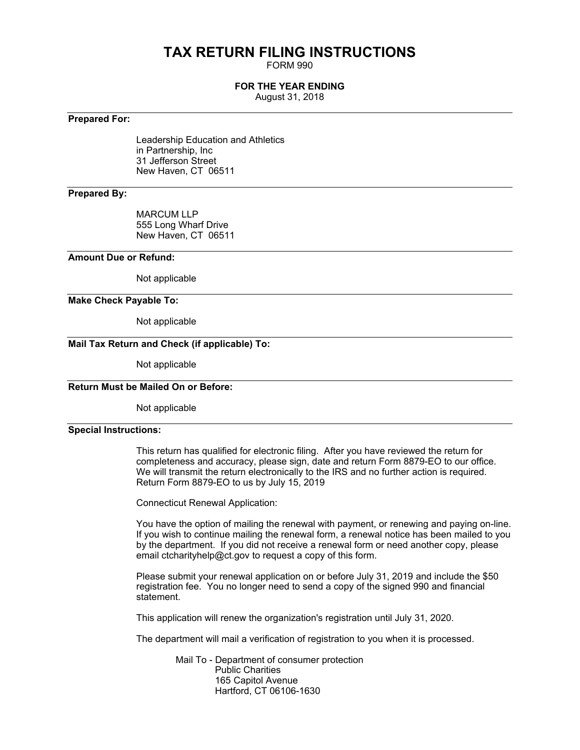## **TAX RETURN FILING INSTRUCTIONS**

FORM 990

#### **FOR THE YEAR ENDING**

August 31, 2018

#### **Prepared For:**

Leadership Education and Athletics in Partnership, Inc 31 Jefferson Street New Haven, CT 06511

#### **Prepared By:**

MARCUM LLP 555 Long Wharf Drive New Haven, CT 06511

#### **Amount Due or Refund:**

Not applicable

#### **Make Check Payable To:**

Not applicable

#### **Mail Tax Return and Check (if applicable) To:**

Not applicable

#### **Return Must be Mailed On or Before:**

Not applicable

#### **Special Instructions:**

This return has qualified for electronic filing. After you have reviewed the return for completeness and accuracy, please sign, date and return Form 8879-EO to our office. We will transmit the return electronically to the IRS and no further action is required. Return Form 8879-EO to us by July 15, 2019

Connecticut Renewal Application:

You have the option of mailing the renewal with payment, or renewing and paying on-line. If you wish to continue mailing the renewal form, a renewal notice has been mailed to you by the department. If you did not receive a renewal form or need another copy, please email ctcharityhelp@ct.gov to request a copy of this form.

Please submit your renewal application on or before July 31, 2019 and include the \$50 registration fee. You no longer need to send a copy of the signed 990 and financial statement.

This application will renew the organization's registration until July 31, 2020.

The department will mail a verification of registration to you when it is processed.

 Mail To - Department of consumer protection Public Charities 165 Capitol Avenue Hartford, CT 06106-1630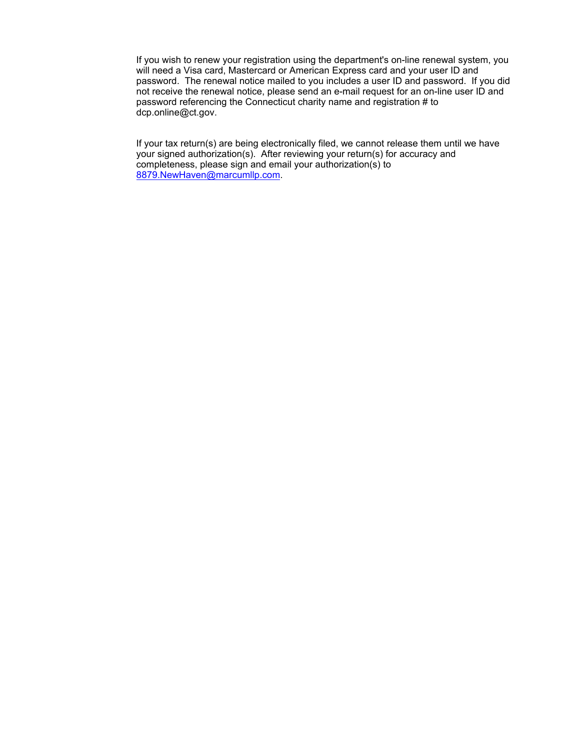If you wish to renew your registration using the department's on-line renewal system, you will need a Visa card, Mastercard or American Express card and your user ID and password. The renewal notice mailed to you includes a user ID and password. If you did not receive the renewal notice, please send an e-mail request for an on-line user ID and password referencing the Connecticut charity name and registration # to dcp.online@ct.gov.

If your tax return(s) are being electronically filed, we cannot release them until we have your signed authorization(s). After reviewing your return(s) for accuracy and completeness, please sign and email your authorization(s) to [8879.NewHaven@marcumllp.com.](mailto:8879.NewHaven@marcumllp.com)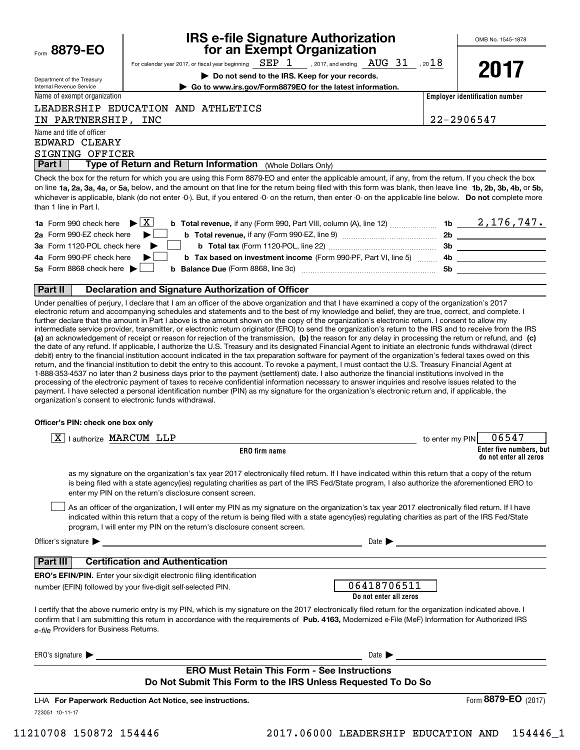| Form | 8879-1 | F |  |
|------|--------|---|--|
|      |        |   |  |

Internal Revenue Service

## **IRS e-file Signature Authorization IRS e-file Signature Authorization** Form **8879-EO for an Exempt Organization for an Exempt Organization**

Expartment of the Treasury For calendar year 2017, or fiscal year beginning  $\frac{SEP}{IB}$ , 2017, and ending  $\frac{AUG}{31}$ , 20 $\frac{18}{18}$ 

Department of the Treasury **begins the IRS. Keep for your records.** 

| ,η |
|----|
|----|

Name of exempt organization

Internal Revenue Service **the Construction Construction Construction** Construction Construction Construction Construction.

Name of exempt organization **Employer identification nu Employer identification number**

IN PARTNERSHIP, INC 22-2906547 IN PARTNERSHIP, INC 22-2906547

Name and title of officer Name and title of officer

EDWARD CLEARY EDWARD CLEARY SIGNING OFFICER SIGNING OFFICER

**Part I Type of Return and Return Information** (Whole Dollars Only)

LEADERSHIP EDUCATION AND ATHLETICS LEADERSHIP EDUCATION AND ATHLETICS

Check the box for the return for which you are using this Form 8879-EO and enter the applicable amount, if any, from the return. If you check the box on line 1a, 2a, 3a, 4a, or 5a, below, and the amount on that line for the return being filed with this form was blank, then leave line 1b, 2b, 3b, 4b, or 5b, whichever is applicable, blank (do not enter -0-). But, if you entered -0- on the return, then enter -0- on the applicable line below. Do not complete more than 1 line in Part I. than 1 line in Part I. **aForm 1990 check here Form 1990 check here A**<br>**aForm 990 check here is applicable**, blank (do not enter-<br>an 1 line in Part 1.<br>**a** Form 990 check here  $\blacktriangleright$   $\boxed{\text{X}}$  b 1<br>**a** Form 990 check here  $\blacktriangleright$   $\boxed{\text{$ 

| ∣ Part I<br><b>Type of Return and Return Information</b> (Whole Dollars Only)                                                                                                                                                                                                                                                                                                                                                                                                                                   |     |                    |
|-----------------------------------------------------------------------------------------------------------------------------------------------------------------------------------------------------------------------------------------------------------------------------------------------------------------------------------------------------------------------------------------------------------------------------------------------------------------------------------------------------------------|-----|--------------------|
| Check the box for the return for which you are using this Form 8879-EO and enter the applicable amount, if any, from the return. If you check the box<br>on line 1a, 2a, 3a, 4a, or 5a, below, and the amount on that line for the return being filed with this form was blank, then leave line 1b, 2b, 3b, 4b, or 5b,<br>whichever is applicable, blank (do not enter -0-). But, if you entered -0- on the return, then enter -0- on the applicable line below. Do not complete more<br>than 1 line in Part I. |     |                    |
| 1a Form 990 check here $\blacktriangleright$ $\mid$ X  <br><b>b Total revenue,</b> if any (Form 990, Part VIII, column (A), line 12)                                                                                                                                                                                                                                                                                                                                                                            |     | 1b $2, 176, 747$ . |
| 2a Form 990-EZ check here                                                                                                                                                                                                                                                                                                                                                                                                                                                                                       | 2b  |                    |
| 3a Form 1120-POL check here                                                                                                                                                                                                                                                                                                                                                                                                                                                                                     | 3b  |                    |
| 4a Form 990-PF check here<br><b>b</b> Tax based on investment income (Form 990-PF, Part VI, line 5)                                                                                                                                                                                                                                                                                                                                                                                                             | 4b. |                    |
| 5a Form 8868 check here $\blacktriangleright$                                                                                                                                                                                                                                                                                                                                                                                                                                                                   | 5b  |                    |
| <b>Part II</b><br><b>Declaration and Signature Authorization of Officer</b>                                                                                                                                                                                                                                                                                                                                                                                                                                     |     |                    |

### **Part II Declaration and Signature Authorization of Officer**

Under penalties of perjury, I declare that I am an officer of the above organization and that I have examined a copy of the organization's 2017 electronic return and accompanying schedules and statements and to the best of my knowledge and belief, they are true, correct, and complete. I further declare that the amount in Part I above is the amount shown on the copy of the organization's electronic return. I consent to allow my intermediate service provider, transmitter, or electronic return originator (ERO) to send the organization's return to the IRS and to receive from the IRS (a) an acknowledgement of receipt or reason for rejection of the transmission, (b) the reason for any delay in processing the return or refund, and (c) the date of any refund. If applicable, I authorize the U.S. Treasury and its designated Financial Agent to initiate an electronic funds withdrawal (direct debit) entry to the financial institution account indicated in the tax preparation software for payment of the organization's federal taxes owed on this return, and the financial institution to debit the entry to this account. To revoke a payment, I must contact the U.S. Treasury Financial Agent at 1-888-353-4537 no later than 2 business days prior to the payment (settlement) date. I also authorize the financial institutions involved in the processing of the electronic payment of taxes to receive confidential information necessary to answer inquiries and resolve issues related to the payment. I have selected a personal identification number (PIN) as my signature for the organization's electronic return and, if applicable, the organization's consent to electronic funds withdrawal. organization's consent to electronic funds withdrawal.

#### **Officer's PIN: check one box only Officer's PIN: check one box only**

| I authorize MARCUM LLP                                                                                                                                                                                                                                                                                                                                                           | 06547<br>to enter my PIN                          |
|----------------------------------------------------------------------------------------------------------------------------------------------------------------------------------------------------------------------------------------------------------------------------------------------------------------------------------------------------------------------------------|---------------------------------------------------|
| ERO firm name                                                                                                                                                                                                                                                                                                                                                                    | Enter five numbers, but<br>do not enter all zeros |
| as my signature on the organization's tax year 2017 electronically filed return. If I have indicated within this return that a copy of the return<br>is being filed with a state agency(ies) regulating charities as part of the IRS Fed/State program, I also authorize the aforementioned ERO to<br>enter my PIN on the return's disclosure consent screen.                    |                                                   |
| As an officer of the organization, I will enter my PIN as my signature on the organization's tax year 2017 electronically filed return. If I have<br>indicated within this return that a copy of the return is being filed with a state agency(ies) regulating charities as part of the IRS Fed/State<br>program, I will enter my PIN on the return's disclosure consent screen. |                                                   |
| Officer's signature $\blacktriangleright$                                                                                                                                                                                                                                                                                                                                        | Date $\blacktriangleright$                        |
| <b>Certification and Authentication</b><br>∣ Part III I                                                                                                                                                                                                                                                                                                                          |                                                   |
| <b>ERO's EFIN/PIN.</b> Enter your six-digit electronic filing identification                                                                                                                                                                                                                                                                                                     |                                                   |
| number (EFIN) followed by your five-digit self-selected PIN.                                                                                                                                                                                                                                                                                                                     | 06418706511<br>Do not enter all zeros             |
| I certify that the above numeric entry is my PIN, which is my signature on the 2017 electronically filed return for the organization indicated above. I<br>confirm that I am submitting this return in accordance with the requirements of Pub. 4163, Modernized e-File (MeF) Information for Authorized IRS<br>e-file Providers for Business Returns.                           |                                                   |
| ERO's signature<br><u> 1989 - John Stein, Amerikaansk politiker (* 1989)</u>                                                                                                                                                                                                                                                                                                     | Date $\blacktriangleright$                        |
| <b>ERO Must Retain This Form - See Instructions</b>                                                                                                                                                                                                                                                                                                                              |                                                   |
| Do Not Submit This Form to the IRS Unless Requested To Do So                                                                                                                                                                                                                                                                                                                     |                                                   |
| LHA For Paperwork Reduction Act Notice, see instructions.                                                                                                                                                                                                                                                                                                                        | Form 8879-EO (2017)                               |
| 723051 10-11-17                                                                                                                                                                                                                                                                                                                                                                  |                                                   |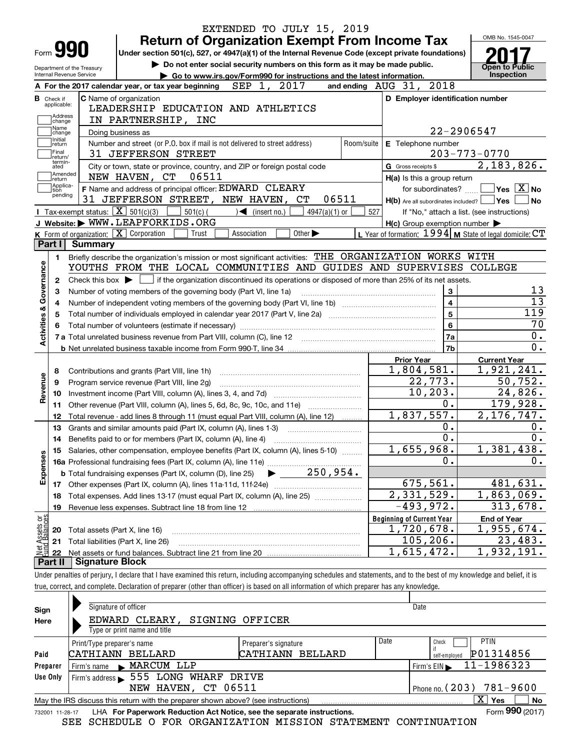|                                  |                        | EXTENDED TO JULY 15, 2019                                                                                                                                                  |                                  |                                                     |                                                             |
|----------------------------------|------------------------|----------------------------------------------------------------------------------------------------------------------------------------------------------------------------|----------------------------------|-----------------------------------------------------|-------------------------------------------------------------|
|                                  |                        | <b>Return of Organization Exempt From Income Tax</b>                                                                                                                       |                                  |                                                     | OMB No. 1545-0047                                           |
| Form <b>990</b>                  |                        | Under section 501(c), 527, or 4947(a)(1) of the Internal Revenue Code (except private foundations)                                                                         |                                  |                                                     |                                                             |
| Department of the Treasury       |                        | Do not enter social security numbers on this form as it may be made public.                                                                                                |                                  |                                                     | <b>Open to Public</b>                                       |
| Internal Revenue Service         |                        | Go to www.irs.gov/Form990 for instructions and the latest information.                                                                                                     |                                  |                                                     | <b>Inspection</b>                                           |
|                                  |                        | SEP 1, 2017<br>A For the 2017 calendar year, or tax year beginning                                                                                                         | and ending AUG 31, 2018          |                                                     |                                                             |
| <b>B</b> Check if<br>applicable: |                        | C Name of organization                                                                                                                                                     |                                  | D Employer identification number                    |                                                             |
| Address                          |                        | LEADERSHIP EDUCATION AND ATHLETICS                                                                                                                                         |                                  |                                                     |                                                             |
| change<br>Name                   |                        | IN PARTNERSHIP, INC                                                                                                                                                        |                                  |                                                     |                                                             |
| change<br>Initial                |                        | Doing business as                                                                                                                                                          |                                  | 22-2906547                                          |                                                             |
| return<br>Final                  |                        | Number and street (or P.O. box if mail is not delivered to street address)<br>Room/suite<br>31 JEFFERSON STREET                                                            |                                  | E Telephone number                                  | $203 - 773 - 0770$                                          |
| return/<br>termin-<br>ated       |                        | City or town, state or province, country, and ZIP or foreign postal code                                                                                                   | G Gross receipts \$              |                                                     | 2,183,826.                                                  |
| Amended                          |                        | NEW HAVEN, CT<br>06511                                                                                                                                                     |                                  | H(a) Is this a group return                         |                                                             |
| return<br>Applica-               |                        | F Name and address of principal officer: EDWARD CLEARY                                                                                                                     |                                  |                                                     | for subordinates? $\Box$ Yes $\boxed{X}$ No                 |
| tion<br>pending                  |                        | 31 JEFFERSON STREET, NEW HAVEN, CT<br>06511                                                                                                                                |                                  | H(b) Are all subordinates included?   Yes           | ∣No                                                         |
|                                  |                        | Tax-exempt status: $\boxed{\mathbf{X}}$ 501(c)(3)<br>$501(c)$ (<br>$\sqrt{2}$ (insert no.)<br>4947(a)(1) or                                                                | 527                              |                                                     | If "No," attach a list. (see instructions)                  |
|                                  |                        | J Website: WWW.LEAPFORKIDS.ORG                                                                                                                                             |                                  | $H(c)$ Group exemption number $\blacktriangleright$ |                                                             |
|                                  |                        | K Form of organization:   X Corporation<br>Other $\blacktriangleright$<br>Trust<br>Association                                                                             |                                  |                                                     | L Year of formation: $1994$ M State of legal domicile: $CT$ |
| Part I                           | <b>Summary</b>         |                                                                                                                                                                            |                                  |                                                     |                                                             |
| 1.                               |                        | Briefly describe the organization's mission or most significant activities: THE ORGANIZATION WORKS WITH                                                                    |                                  |                                                     |                                                             |
| Governance                       |                        | YOUTHS FROM THE LOCAL COMMUNITIES AND GUIDES AND SUPERVISES COLLEGE                                                                                                        |                                  |                                                     |                                                             |
| $\mathbf{2}$                     |                        | Check this box $\blacktriangleright$ $\blacksquare$ if the organization discontinued its operations or disposed of more than 25% of its net assets.                        |                                  |                                                     |                                                             |
| з                                |                        | Number of voting members of the governing body (Part VI, line 1a)                                                                                                          |                                  | 3                                                   | 13                                                          |
| 4                                |                        |                                                                                                                                                                            |                                  | $\overline{4}$                                      | $\overline{13}$                                             |
| 5                                |                        | Total number of individuals employed in calendar year 2017 (Part V, line 2a) manufacture controller to intervent                                                           |                                  | 5                                                   | 119                                                         |
|                                  |                        |                                                                                                                                                                            |                                  | $\bf{6}$                                            | 70                                                          |
| <b>Activities &amp;</b>          |                        |                                                                                                                                                                            |                                  | 7a                                                  | 0.                                                          |
|                                  |                        |                                                                                                                                                                            |                                  | 7b                                                  | $\overline{0}$ .                                            |
|                                  |                        |                                                                                                                                                                            | <b>Prior Year</b>                |                                                     | <b>Current Year</b>                                         |
| 8                                |                        | Contributions and grants (Part VIII, line 1h)                                                                                                                              |                                  | 1,804,581.                                          | 1,921,241.                                                  |
| 9                                |                        | Program service revenue (Part VIII, line 2g)                                                                                                                               |                                  | 22,773.                                             | 50,752.                                                     |
| Revenue<br>10                    |                        |                                                                                                                                                                            |                                  | 10, 203.                                            | 24,826.                                                     |
| 11                               |                        | Other revenue (Part VIII, column (A), lines 5, 6d, 8c, 9c, 10c, and 11e)                                                                                                   |                                  | $0$ .                                               | 179,928.                                                    |
| 12                               |                        | Total revenue - add lines 8 through 11 (must equal Part VIII, column (A), line 12)                                                                                         |                                  | 1,837,557.                                          | 2, 176, 747.                                                |
| 13                               |                        | Grants and similar amounts paid (Part IX, column (A), lines 1-3)                                                                                                           |                                  | $0$ .                                               | 0.                                                          |
| 14                               |                        | Benefits paid to or for members (Part IX, column (A), line 4)                                                                                                              |                                  | $\overline{0}$ .                                    | $\overline{0}$ .                                            |
|                                  |                        | 15 Salaries, other compensation, employee benefits (Part IX, column (A), lines 5-10)                                                                                       |                                  | 1,655,968.                                          | 1,381,438.                                                  |
|                                  |                        |                                                                                                                                                                            |                                  | 0.                                                  | 0.                                                          |
| Expenses                         |                        |                                                                                                                                                                            |                                  |                                                     |                                                             |
|                                  |                        |                                                                                                                                                                            |                                  | 675,561.                                            | 481,631.                                                    |
| 18                               |                        | Total expenses. Add lines 13-17 (must equal Part IX, column (A), line 25)                                                                                                  |                                  | $\overline{2,331,529}$ .                            | $\overline{1,}863,069.$                                     |
| 19                               |                        | Revenue less expenses. Subtract line 18 from line 12                                                                                                                       |                                  | $-493,972.$                                         | 313,678.                                                    |
|                                  |                        |                                                                                                                                                                            | <b>Beginning of Current Year</b> |                                                     | <b>End of Year</b>                                          |
| : Assets or<br>dBalances<br>20   |                        | Total assets (Part X, line 16)                                                                                                                                             |                                  | 1,720,678.                                          | 1,955,674.                                                  |
| 21                               |                        | Total liabilities (Part X, line 26)                                                                                                                                        |                                  | 105, 206.                                           | 23,483.                                                     |
| 혏<br>22                          |                        |                                                                                                                                                                            |                                  | 1,615,472.                                          | 1,932,191.                                                  |
| Part II                          | <b>Signature Block</b> |                                                                                                                                                                            |                                  |                                                     |                                                             |
|                                  |                        | Under penalties of perjury, I declare that I have examined this return, including accompanying schedules and statements, and to the best of my knowledge and belief, it is |                                  |                                                     |                                                             |
|                                  |                        | true, correct, and complete. Declaration of preparer (other than officer) is based on all information of which preparer has any knowledge.                                 |                                  |                                                     |                                                             |
|                                  |                        |                                                                                                                                                                            |                                  |                                                     |                                                             |

| Sign<br>Here                                                                                                 | Signature of officer<br>EDWARD CLEARY,<br>Type or print name and title | SIGNING OFFICER                          |                            | Date                                               |  |  |  |
|--------------------------------------------------------------------------------------------------------------|------------------------------------------------------------------------|------------------------------------------|----------------------------|----------------------------------------------------|--|--|--|
| Paid                                                                                                         | Print/Type preparer's name<br>CATHIANN BELLARD                         | Preparer's signature<br>CATHIANN BELLARD | Date                       | <b>PTIN</b><br>Check<br>P01314856<br>self-emploved |  |  |  |
| Preparer                                                                                                     | Firm's name MARCUM LLP                                                 |                                          | 11-1986323<br>Firm's $EIN$ |                                                    |  |  |  |
| Use Only                                                                                                     | Firm's address > 555 LONG WHARF DRIVE                                  |                                          |                            |                                                    |  |  |  |
|                                                                                                              | Phone no. $(203)$ 781-9600<br>NEW HAVEN, CT 06511                      |                                          |                            |                                                    |  |  |  |
| x<br>No<br>May the IRS discuss this return with the preparer shown above? (see instructions)<br>Yes          |                                                                        |                                          |                            |                                                    |  |  |  |
| Form 990 (2017)<br>LHA For Paperwork Reduction Act Notice, see the separate instructions.<br>732001 11-28-17 |                                                                        |                                          |                            |                                                    |  |  |  |

732001 11-28-17 LHA **For Paperwork Reduction Act Notice, see the separate instructions.**<br>SEE SCHEDULE O FOR ORGANIZATION MISSION STATEMENT CONTINUATION SEE SCHEDULE O FOR ORGANIZATION MISSION STATEMENT CONTINUATION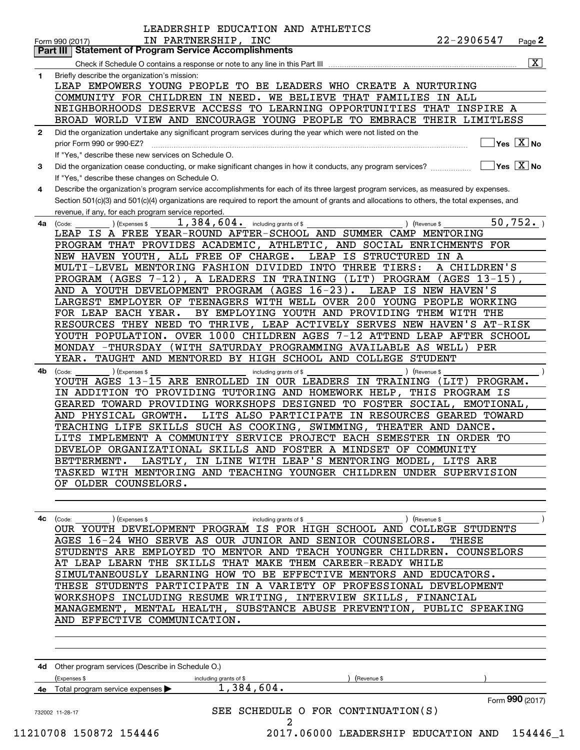|    | IN PARTNERSHIP, INC<br>Page <sub>2</sub><br>Form 990 (2017)<br><b>Statement of Program Service Accomplishments</b><br>Part III                                |
|----|---------------------------------------------------------------------------------------------------------------------------------------------------------------|
|    | $\overline{\mathbf{x}}$                                                                                                                                       |
| 1  | Briefly describe the organization's mission:                                                                                                                  |
|    | LEAP EMPOWERS YOUNG PEOPLE TO BE LEADERS WHO CREATE A NURTURING                                                                                               |
|    | WE BELIEVE THAT FAMILIES<br>COMMUNITY FOR CHILDREN IN NEED.<br>IN ALL                                                                                         |
|    | NEIGHBORHOODS DESERVE ACCESS TO LEARNING OPPORTUNITIES THAT INSPIRE A                                                                                         |
|    | BROAD WORLD VIEW AND ENCOURAGE YOUNG PEOPLE TO EMBRACE THEIR LIMITLESS                                                                                        |
| 2  | Did the organization undertake any significant program services during the year which were not listed on the                                                  |
|    | $\sqrt{}$ Yes $\sqrt{X}$ No<br>prior Form 990 or 990-EZ?                                                                                                      |
|    | If "Yes." describe these new services on Schedule O.                                                                                                          |
| 3  | $\sqrt{}$ Yes $\sqrt{}$ $\overline{\rm X}$ No<br>Did the organization cease conducting, or make significant changes in how it conducts, any program services? |
|    | If "Yes," describe these changes on Schedule O.                                                                                                               |
|    | Describe the organization's program service accomplishments for each of its three largest program services, as measured by expenses.                          |
| 4  |                                                                                                                                                               |
|    | Section 501(c)(3) and 501(c)(4) organizations are required to report the amount of grants and allocations to others, the total expenses, and                  |
|    | revenue, if any, for each program service reported.                                                                                                           |
| 4a | 50,752.<br>1,384,604. including grants of \$<br>) (Revenue \$<br>(Expenses \$<br>(Code:                                                                       |
|    | LEAP IS A FREE YEAR-ROUND AFTER-SCHOOL AND SUMMER CAMP MENTORING                                                                                              |
|    | PROGRAM THAT PROVIDES ACADEMIC, ATHLETIC, AND SOCIAL ENRICHMENTS FOR                                                                                          |
|    | LEAP IS STRUCTURED IN A<br>NEW HAVEN YOUTH, ALL FREE OF CHARGE.                                                                                               |
|    | MULTI-LEVEL MENTORING FASHION DIVIDED INTO THREE TIERS:<br>A CHILDREN'S                                                                                       |
|    | PROGRAM (AGES $7-12$ ),<br>A LEADERS IN TRAINING<br>(LIT)<br>$(AGES 13-15)$ ,<br>PROGRAM                                                                      |
|    | AND A YOUTH DEVELOPMENT PROGRAM (AGES 16-23).<br>LEAP IS NEW HAVEN'S                                                                                          |
|    | TEENAGERS WITH WELL OVER 200 YOUNG PEOPLE WORKING<br>LARGEST EMPLOYER OF                                                                                      |
|    | BY EMPLOYING YOUTH AND PROVIDING THEM WITH THE<br>FOR LEAP EACH YEAR.                                                                                         |
|    | RESOURCES THEY NEED<br>TO THRIVE, LEAP ACTIVELY SERVES NEW HAVEN'S AT-RISK                                                                                    |
|    | OVER 1000 CHILDREN AGES 7-12 ATTEND LEAP AFTER SCHOOL<br>YOUTH POPULATION.                                                                                    |
|    | (WITH SATURDAY PROGRAMMING AVAILABLE AS WELL)<br>MONDAY -THURSDAY<br>PER                                                                                      |
|    | TAUGHT AND MENTORED BY HIGH SCHOOL AND COLLEGE STUDENT<br>YEAR.                                                                                               |
| 4b | ) (Expenses \$<br>(Revenue \$<br>(Code:<br>including grants of \$                                                                                             |
|    | YOUTH AGES 13-15 ARE ENROLLED IN OUR LEADERS IN TRAINING<br>PROGRAM.<br>(LIT)                                                                                 |
|    | IN ADDITION TO PROVIDING TUTORING AND HOMEWORK HELP, THIS PROGRAM IS                                                                                          |
|    | GEARED TOWARD PROVIDING WORKSHOPS DESIGNED TO FOSTER SOCIAL,<br>EMOTIONAL,                                                                                    |
|    | AND PHYSICAL GROWTH.<br>LITS ALSO PARTICIPATE IN RESOURCES GEARED TOWARD                                                                                      |
|    | TEACHING LIFE SKILLS SUCH AS COOKING, SWIMMING,<br>THEATER AND DANCE.                                                                                         |
|    | LITS IMPLEMENT A COMMUNITY SERVICE PROJECT EACH SEMESTER IN ORDER TO                                                                                          |
|    | DEVELOP ORGANIZATIONAL SKILLS AND FOSTER A MINDSET OF COMMUNITY                                                                                               |
|    | LASTLY, IN LINE WITH LEAP'S MENTORING MODEL, LITS ARE<br>BETTERMENT.                                                                                          |
|    | TASKED WITH MENTORING AND TEACHING YOUNGER CHILDREN UNDER SUPERVISION                                                                                         |
|    | OF OLDER COUNSELORS.                                                                                                                                          |
|    |                                                                                                                                                               |
|    |                                                                                                                                                               |
| 4с | (Expenses \$<br>) (Revenue \$<br>(Code:<br>including grants of \$                                                                                             |
|    | OUR YOUTH DEVELOPMENT PROGRAM IS FOR HIGH SCHOOL AND COLLEGE STUDENTS                                                                                         |
|    | AGES 16-24 WHO SERVE AS OUR JUNIOR AND SENIOR COUNSELORS.<br>THESE                                                                                            |
|    | STUDENTS ARE EMPLOYED TO MENTOR AND TEACH YOUNGER CHILDREN. COUNSELORS                                                                                        |
|    | AT LEAP LEARN THE SKILLS THAT MAKE THEM CAREER-READY WHILE                                                                                                    |
|    | SIMULTANEOUSLY LEARNING HOW TO BE EFFECTIVE MENTORS AND EDUCATORS.                                                                                            |
|    | THESE STUDENTS PARTICIPATE IN A VARIETY OF PROFESSIONAL DEVELOPMENT                                                                                           |
|    |                                                                                                                                                               |
|    | WORKSHOPS INCLUDING RESUME WRITING, INTERVIEW SKILLS, FINANCIAL                                                                                               |
|    | MANAGEMENT, MENTAL HEALTH, SUBSTANCE ABUSE PREVENTION, PUBLIC SPEAKING                                                                                        |
|    | AND EFFECTIVE COMMUNICATION.                                                                                                                                  |
|    |                                                                                                                                                               |
|    |                                                                                                                                                               |
|    |                                                                                                                                                               |
| 4d | Other program services (Describe in Schedule O.)                                                                                                              |
|    | (Expenses \$<br>including grants of \$<br>(Revenue \$                                                                                                         |
|    | 1,384,604.<br>Total program service expenses                                                                                                                  |
|    | Form 990 (2017)                                                                                                                                               |
|    | SEE SCHEDULE O FOR CONTINUATION(S)                                                                                                                            |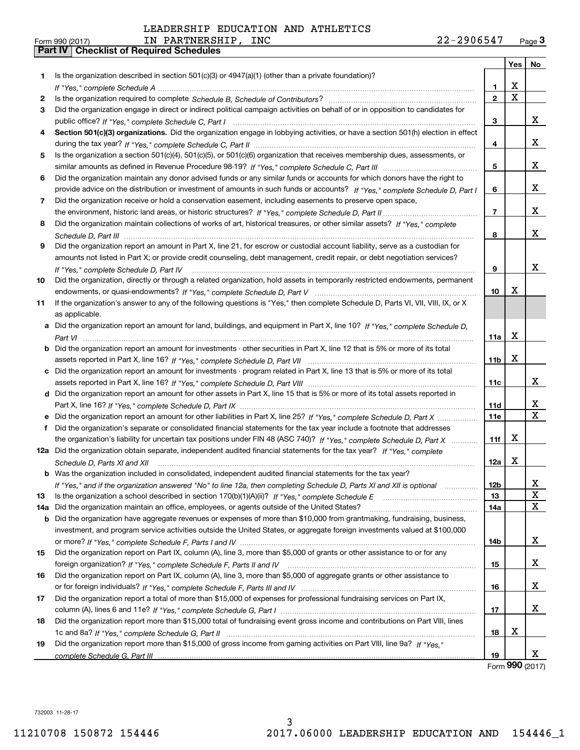| Form 990 (2017) |                                                  | PARTNERSHIP<br>IN | INC | 2906547<br>44 T | Page $3$ |
|-----------------|--------------------------------------------------|-------------------|-----|-----------------|----------|
|                 | <b>Part IV   Checklist of Required Schedules</b> |                   |     |                 |          |

| Is the organization described in section $501(c)(3)$ or $4947(a)(1)$ (other than a private foundation)?<br>1<br>X<br>1<br>X<br>$\mathbf{2}$<br>2<br>Did the organization engage in direct or indirect political campaign activities on behalf of or in opposition to candidates for<br>3<br>x<br>3<br>Section 501(c)(3) organizations. Did the organization engage in lobbying activities, or have a section 501(h) election in effect<br>4<br>x<br>4<br>Is the organization a section 501(c)(4), 501(c)(5), or 501(c)(6) organization that receives membership dues, assessments, or<br>5<br>x<br>5<br>Did the organization maintain any donor advised funds or any similar funds or accounts for which donors have the right to<br>6<br>x<br>provide advice on the distribution or investment of amounts in such funds or accounts? If "Yes," complete Schedule D, Part I<br>6<br>Did the organization receive or hold a conservation easement, including easements to preserve open space,<br>7<br>x<br>$\overline{7}$<br>Did the organization maintain collections of works of art, historical treasures, or other similar assets? If "Yes," complete<br>8<br>x<br>8<br>9<br>Did the organization report an amount in Part X, line 21, for escrow or custodial account liability, serve as a custodian for<br>amounts not listed in Part X; or provide credit counseling, debt management, credit repair, or debt negotiation services?<br>x<br>9<br>If "Yes," complete Schedule D, Part IV<br>Did the organization, directly or through a related organization, hold assets in temporarily restricted endowments, permanent<br>10<br>x<br>10<br>If the organization's answer to any of the following questions is "Yes," then complete Schedule D, Parts VI, VIII, VIII, IX, or X<br>11<br>as applicable.<br>Did the organization report an amount for land, buildings, and equipment in Part X, line 10? If "Yes," complete Schedule D,<br>a<br>X<br>11a<br><b>b</b> Did the organization report an amount for investments - other securities in Part X, line 12 that is 5% or more of its total<br>X<br>11 <sub>b</sub> |
|--------------------------------------------------------------------------------------------------------------------------------------------------------------------------------------------------------------------------------------------------------------------------------------------------------------------------------------------------------------------------------------------------------------------------------------------------------------------------------------------------------------------------------------------------------------------------------------------------------------------------------------------------------------------------------------------------------------------------------------------------------------------------------------------------------------------------------------------------------------------------------------------------------------------------------------------------------------------------------------------------------------------------------------------------------------------------------------------------------------------------------------------------------------------------------------------------------------------------------------------------------------------------------------------------------------------------------------------------------------------------------------------------------------------------------------------------------------------------------------------------------------------------------------------------------------------------------------------------------------------------------------------------------------------------------------------------------------------------------------------------------------------------------------------------------------------------------------------------------------------------------------------------------------------------------------------------------------------------------------------------------------------------------------------------------------------------------------------------------------------------------|
|                                                                                                                                                                                                                                                                                                                                                                                                                                                                                                                                                                                                                                                                                                                                                                                                                                                                                                                                                                                                                                                                                                                                                                                                                                                                                                                                                                                                                                                                                                                                                                                                                                                                                                                                                                                                                                                                                                                                                                                                                                                                                                                                |
|                                                                                                                                                                                                                                                                                                                                                                                                                                                                                                                                                                                                                                                                                                                                                                                                                                                                                                                                                                                                                                                                                                                                                                                                                                                                                                                                                                                                                                                                                                                                                                                                                                                                                                                                                                                                                                                                                                                                                                                                                                                                                                                                |
|                                                                                                                                                                                                                                                                                                                                                                                                                                                                                                                                                                                                                                                                                                                                                                                                                                                                                                                                                                                                                                                                                                                                                                                                                                                                                                                                                                                                                                                                                                                                                                                                                                                                                                                                                                                                                                                                                                                                                                                                                                                                                                                                |
|                                                                                                                                                                                                                                                                                                                                                                                                                                                                                                                                                                                                                                                                                                                                                                                                                                                                                                                                                                                                                                                                                                                                                                                                                                                                                                                                                                                                                                                                                                                                                                                                                                                                                                                                                                                                                                                                                                                                                                                                                                                                                                                                |
|                                                                                                                                                                                                                                                                                                                                                                                                                                                                                                                                                                                                                                                                                                                                                                                                                                                                                                                                                                                                                                                                                                                                                                                                                                                                                                                                                                                                                                                                                                                                                                                                                                                                                                                                                                                                                                                                                                                                                                                                                                                                                                                                |
|                                                                                                                                                                                                                                                                                                                                                                                                                                                                                                                                                                                                                                                                                                                                                                                                                                                                                                                                                                                                                                                                                                                                                                                                                                                                                                                                                                                                                                                                                                                                                                                                                                                                                                                                                                                                                                                                                                                                                                                                                                                                                                                                |
|                                                                                                                                                                                                                                                                                                                                                                                                                                                                                                                                                                                                                                                                                                                                                                                                                                                                                                                                                                                                                                                                                                                                                                                                                                                                                                                                                                                                                                                                                                                                                                                                                                                                                                                                                                                                                                                                                                                                                                                                                                                                                                                                |
|                                                                                                                                                                                                                                                                                                                                                                                                                                                                                                                                                                                                                                                                                                                                                                                                                                                                                                                                                                                                                                                                                                                                                                                                                                                                                                                                                                                                                                                                                                                                                                                                                                                                                                                                                                                                                                                                                                                                                                                                                                                                                                                                |
|                                                                                                                                                                                                                                                                                                                                                                                                                                                                                                                                                                                                                                                                                                                                                                                                                                                                                                                                                                                                                                                                                                                                                                                                                                                                                                                                                                                                                                                                                                                                                                                                                                                                                                                                                                                                                                                                                                                                                                                                                                                                                                                                |
|                                                                                                                                                                                                                                                                                                                                                                                                                                                                                                                                                                                                                                                                                                                                                                                                                                                                                                                                                                                                                                                                                                                                                                                                                                                                                                                                                                                                                                                                                                                                                                                                                                                                                                                                                                                                                                                                                                                                                                                                                                                                                                                                |
|                                                                                                                                                                                                                                                                                                                                                                                                                                                                                                                                                                                                                                                                                                                                                                                                                                                                                                                                                                                                                                                                                                                                                                                                                                                                                                                                                                                                                                                                                                                                                                                                                                                                                                                                                                                                                                                                                                                                                                                                                                                                                                                                |
|                                                                                                                                                                                                                                                                                                                                                                                                                                                                                                                                                                                                                                                                                                                                                                                                                                                                                                                                                                                                                                                                                                                                                                                                                                                                                                                                                                                                                                                                                                                                                                                                                                                                                                                                                                                                                                                                                                                                                                                                                                                                                                                                |
|                                                                                                                                                                                                                                                                                                                                                                                                                                                                                                                                                                                                                                                                                                                                                                                                                                                                                                                                                                                                                                                                                                                                                                                                                                                                                                                                                                                                                                                                                                                                                                                                                                                                                                                                                                                                                                                                                                                                                                                                                                                                                                                                |
|                                                                                                                                                                                                                                                                                                                                                                                                                                                                                                                                                                                                                                                                                                                                                                                                                                                                                                                                                                                                                                                                                                                                                                                                                                                                                                                                                                                                                                                                                                                                                                                                                                                                                                                                                                                                                                                                                                                                                                                                                                                                                                                                |
|                                                                                                                                                                                                                                                                                                                                                                                                                                                                                                                                                                                                                                                                                                                                                                                                                                                                                                                                                                                                                                                                                                                                                                                                                                                                                                                                                                                                                                                                                                                                                                                                                                                                                                                                                                                                                                                                                                                                                                                                                                                                                                                                |
|                                                                                                                                                                                                                                                                                                                                                                                                                                                                                                                                                                                                                                                                                                                                                                                                                                                                                                                                                                                                                                                                                                                                                                                                                                                                                                                                                                                                                                                                                                                                                                                                                                                                                                                                                                                                                                                                                                                                                                                                                                                                                                                                |
|                                                                                                                                                                                                                                                                                                                                                                                                                                                                                                                                                                                                                                                                                                                                                                                                                                                                                                                                                                                                                                                                                                                                                                                                                                                                                                                                                                                                                                                                                                                                                                                                                                                                                                                                                                                                                                                                                                                                                                                                                                                                                                                                |
|                                                                                                                                                                                                                                                                                                                                                                                                                                                                                                                                                                                                                                                                                                                                                                                                                                                                                                                                                                                                                                                                                                                                                                                                                                                                                                                                                                                                                                                                                                                                                                                                                                                                                                                                                                                                                                                                                                                                                                                                                                                                                                                                |
|                                                                                                                                                                                                                                                                                                                                                                                                                                                                                                                                                                                                                                                                                                                                                                                                                                                                                                                                                                                                                                                                                                                                                                                                                                                                                                                                                                                                                                                                                                                                                                                                                                                                                                                                                                                                                                                                                                                                                                                                                                                                                                                                |
|                                                                                                                                                                                                                                                                                                                                                                                                                                                                                                                                                                                                                                                                                                                                                                                                                                                                                                                                                                                                                                                                                                                                                                                                                                                                                                                                                                                                                                                                                                                                                                                                                                                                                                                                                                                                                                                                                                                                                                                                                                                                                                                                |
|                                                                                                                                                                                                                                                                                                                                                                                                                                                                                                                                                                                                                                                                                                                                                                                                                                                                                                                                                                                                                                                                                                                                                                                                                                                                                                                                                                                                                                                                                                                                                                                                                                                                                                                                                                                                                                                                                                                                                                                                                                                                                                                                |
|                                                                                                                                                                                                                                                                                                                                                                                                                                                                                                                                                                                                                                                                                                                                                                                                                                                                                                                                                                                                                                                                                                                                                                                                                                                                                                                                                                                                                                                                                                                                                                                                                                                                                                                                                                                                                                                                                                                                                                                                                                                                                                                                |
|                                                                                                                                                                                                                                                                                                                                                                                                                                                                                                                                                                                                                                                                                                                                                                                                                                                                                                                                                                                                                                                                                                                                                                                                                                                                                                                                                                                                                                                                                                                                                                                                                                                                                                                                                                                                                                                                                                                                                                                                                                                                                                                                |
|                                                                                                                                                                                                                                                                                                                                                                                                                                                                                                                                                                                                                                                                                                                                                                                                                                                                                                                                                                                                                                                                                                                                                                                                                                                                                                                                                                                                                                                                                                                                                                                                                                                                                                                                                                                                                                                                                                                                                                                                                                                                                                                                |
|                                                                                                                                                                                                                                                                                                                                                                                                                                                                                                                                                                                                                                                                                                                                                                                                                                                                                                                                                                                                                                                                                                                                                                                                                                                                                                                                                                                                                                                                                                                                                                                                                                                                                                                                                                                                                                                                                                                                                                                                                                                                                                                                |
|                                                                                                                                                                                                                                                                                                                                                                                                                                                                                                                                                                                                                                                                                                                                                                                                                                                                                                                                                                                                                                                                                                                                                                                                                                                                                                                                                                                                                                                                                                                                                                                                                                                                                                                                                                                                                                                                                                                                                                                                                                                                                                                                |
| c Did the organization report an amount for investments - program related in Part X, line 13 that is 5% or more of its total                                                                                                                                                                                                                                                                                                                                                                                                                                                                                                                                                                                                                                                                                                                                                                                                                                                                                                                                                                                                                                                                                                                                                                                                                                                                                                                                                                                                                                                                                                                                                                                                                                                                                                                                                                                                                                                                                                                                                                                                   |
| x<br>11c                                                                                                                                                                                                                                                                                                                                                                                                                                                                                                                                                                                                                                                                                                                                                                                                                                                                                                                                                                                                                                                                                                                                                                                                                                                                                                                                                                                                                                                                                                                                                                                                                                                                                                                                                                                                                                                                                                                                                                                                                                                                                                                       |
| d Did the organization report an amount for other assets in Part X, line 15 that is 5% or more of its total assets reported in                                                                                                                                                                                                                                                                                                                                                                                                                                                                                                                                                                                                                                                                                                                                                                                                                                                                                                                                                                                                                                                                                                                                                                                                                                                                                                                                                                                                                                                                                                                                                                                                                                                                                                                                                                                                                                                                                                                                                                                                 |
| x<br>11d                                                                                                                                                                                                                                                                                                                                                                                                                                                                                                                                                                                                                                                                                                                                                                                                                                                                                                                                                                                                                                                                                                                                                                                                                                                                                                                                                                                                                                                                                                                                                                                                                                                                                                                                                                                                                                                                                                                                                                                                                                                                                                                       |
| X<br>11e                                                                                                                                                                                                                                                                                                                                                                                                                                                                                                                                                                                                                                                                                                                                                                                                                                                                                                                                                                                                                                                                                                                                                                                                                                                                                                                                                                                                                                                                                                                                                                                                                                                                                                                                                                                                                                                                                                                                                                                                                                                                                                                       |
| Did the organization's separate or consolidated financial statements for the tax year include a footnote that addresses<br>f                                                                                                                                                                                                                                                                                                                                                                                                                                                                                                                                                                                                                                                                                                                                                                                                                                                                                                                                                                                                                                                                                                                                                                                                                                                                                                                                                                                                                                                                                                                                                                                                                                                                                                                                                                                                                                                                                                                                                                                                   |
| х<br>the organization's liability for uncertain tax positions under FIN 48 (ASC 740)? If "Yes," complete Schedule D, Part X<br>11f                                                                                                                                                                                                                                                                                                                                                                                                                                                                                                                                                                                                                                                                                                                                                                                                                                                                                                                                                                                                                                                                                                                                                                                                                                                                                                                                                                                                                                                                                                                                                                                                                                                                                                                                                                                                                                                                                                                                                                                             |
| 12a Did the organization obtain separate, independent audited financial statements for the tax year? If "Yes," complete                                                                                                                                                                                                                                                                                                                                                                                                                                                                                                                                                                                                                                                                                                                                                                                                                                                                                                                                                                                                                                                                                                                                                                                                                                                                                                                                                                                                                                                                                                                                                                                                                                                                                                                                                                                                                                                                                                                                                                                                        |
| X<br>12a<br>Schedule D. Parts XI and XII                                                                                                                                                                                                                                                                                                                                                                                                                                                                                                                                                                                                                                                                                                                                                                                                                                                                                                                                                                                                                                                                                                                                                                                                                                                                                                                                                                                                                                                                                                                                                                                                                                                                                                                                                                                                                                                                                                                                                                                                                                                                                       |
| <b>b</b> Was the organization included in consolidated, independent audited financial statements for the tax year?                                                                                                                                                                                                                                                                                                                                                                                                                                                                                                                                                                                                                                                                                                                                                                                                                                                                                                                                                                                                                                                                                                                                                                                                                                                                                                                                                                                                                                                                                                                                                                                                                                                                                                                                                                                                                                                                                                                                                                                                             |
| х<br>12b<br>If "Yes," and if the organization answered "No" to line 12a, then completing Schedule D, Parts XI and XII is optional manum                                                                                                                                                                                                                                                                                                                                                                                                                                                                                                                                                                                                                                                                                                                                                                                                                                                                                                                                                                                                                                                                                                                                                                                                                                                                                                                                                                                                                                                                                                                                                                                                                                                                                                                                                                                                                                                                                                                                                                                        |
| x<br>13<br>13                                                                                                                                                                                                                                                                                                                                                                                                                                                                                                                                                                                                                                                                                                                                                                                                                                                                                                                                                                                                                                                                                                                                                                                                                                                                                                                                                                                                                                                                                                                                                                                                                                                                                                                                                                                                                                                                                                                                                                                                                                                                                                                  |
| X<br>Did the organization maintain an office, employees, or agents outside of the United States?<br>14a<br>14a                                                                                                                                                                                                                                                                                                                                                                                                                                                                                                                                                                                                                                                                                                                                                                                                                                                                                                                                                                                                                                                                                                                                                                                                                                                                                                                                                                                                                                                                                                                                                                                                                                                                                                                                                                                                                                                                                                                                                                                                                 |
| Did the organization have aggregate revenues or expenses of more than \$10,000 from grantmaking, fundraising, business,<br>b                                                                                                                                                                                                                                                                                                                                                                                                                                                                                                                                                                                                                                                                                                                                                                                                                                                                                                                                                                                                                                                                                                                                                                                                                                                                                                                                                                                                                                                                                                                                                                                                                                                                                                                                                                                                                                                                                                                                                                                                   |
| investment, and program service activities outside the United States, or aggregate foreign investments valued at \$100,000                                                                                                                                                                                                                                                                                                                                                                                                                                                                                                                                                                                                                                                                                                                                                                                                                                                                                                                                                                                                                                                                                                                                                                                                                                                                                                                                                                                                                                                                                                                                                                                                                                                                                                                                                                                                                                                                                                                                                                                                     |
| X<br>14b                                                                                                                                                                                                                                                                                                                                                                                                                                                                                                                                                                                                                                                                                                                                                                                                                                                                                                                                                                                                                                                                                                                                                                                                                                                                                                                                                                                                                                                                                                                                                                                                                                                                                                                                                                                                                                                                                                                                                                                                                                                                                                                       |
| Did the organization report on Part IX, column (A), line 3, more than \$5,000 of grants or other assistance to or for any<br>15                                                                                                                                                                                                                                                                                                                                                                                                                                                                                                                                                                                                                                                                                                                                                                                                                                                                                                                                                                                                                                                                                                                                                                                                                                                                                                                                                                                                                                                                                                                                                                                                                                                                                                                                                                                                                                                                                                                                                                                                |
| x<br>15                                                                                                                                                                                                                                                                                                                                                                                                                                                                                                                                                                                                                                                                                                                                                                                                                                                                                                                                                                                                                                                                                                                                                                                                                                                                                                                                                                                                                                                                                                                                                                                                                                                                                                                                                                                                                                                                                                                                                                                                                                                                                                                        |
| Did the organization report on Part IX, column (A), line 3, more than \$5,000 of aggregate grants or other assistance to<br>16                                                                                                                                                                                                                                                                                                                                                                                                                                                                                                                                                                                                                                                                                                                                                                                                                                                                                                                                                                                                                                                                                                                                                                                                                                                                                                                                                                                                                                                                                                                                                                                                                                                                                                                                                                                                                                                                                                                                                                                                 |
| x<br>16                                                                                                                                                                                                                                                                                                                                                                                                                                                                                                                                                                                                                                                                                                                                                                                                                                                                                                                                                                                                                                                                                                                                                                                                                                                                                                                                                                                                                                                                                                                                                                                                                                                                                                                                                                                                                                                                                                                                                                                                                                                                                                                        |
| Did the organization report a total of more than \$15,000 of expenses for professional fundraising services on Part IX,<br>17                                                                                                                                                                                                                                                                                                                                                                                                                                                                                                                                                                                                                                                                                                                                                                                                                                                                                                                                                                                                                                                                                                                                                                                                                                                                                                                                                                                                                                                                                                                                                                                                                                                                                                                                                                                                                                                                                                                                                                                                  |
| x<br>17                                                                                                                                                                                                                                                                                                                                                                                                                                                                                                                                                                                                                                                                                                                                                                                                                                                                                                                                                                                                                                                                                                                                                                                                                                                                                                                                                                                                                                                                                                                                                                                                                                                                                                                                                                                                                                                                                                                                                                                                                                                                                                                        |
| Did the organization report more than \$15,000 total of fundraising event gross income and contributions on Part VIII, lines<br>18                                                                                                                                                                                                                                                                                                                                                                                                                                                                                                                                                                                                                                                                                                                                                                                                                                                                                                                                                                                                                                                                                                                                                                                                                                                                                                                                                                                                                                                                                                                                                                                                                                                                                                                                                                                                                                                                                                                                                                                             |
| х<br>18                                                                                                                                                                                                                                                                                                                                                                                                                                                                                                                                                                                                                                                                                                                                                                                                                                                                                                                                                                                                                                                                                                                                                                                                                                                                                                                                                                                                                                                                                                                                                                                                                                                                                                                                                                                                                                                                                                                                                                                                                                                                                                                        |
| Did the organization report more than \$15,000 of gross income from gaming activities on Part VIII, line 9a? If "Yes."<br>19                                                                                                                                                                                                                                                                                                                                                                                                                                                                                                                                                                                                                                                                                                                                                                                                                                                                                                                                                                                                                                                                                                                                                                                                                                                                                                                                                                                                                                                                                                                                                                                                                                                                                                                                                                                                                                                                                                                                                                                                   |
| x.<br>19<br>$000 \text{ days}$                                                                                                                                                                                                                                                                                                                                                                                                                                                                                                                                                                                                                                                                                                                                                                                                                                                                                                                                                                                                                                                                                                                                                                                                                                                                                                                                                                                                                                                                                                                                                                                                                                                                                                                                                                                                                                                                                                                                                                                                                                                                                                 |

Form **990** (2017) Form (2017) **990**

732003 11-28-17 732003 11-28-17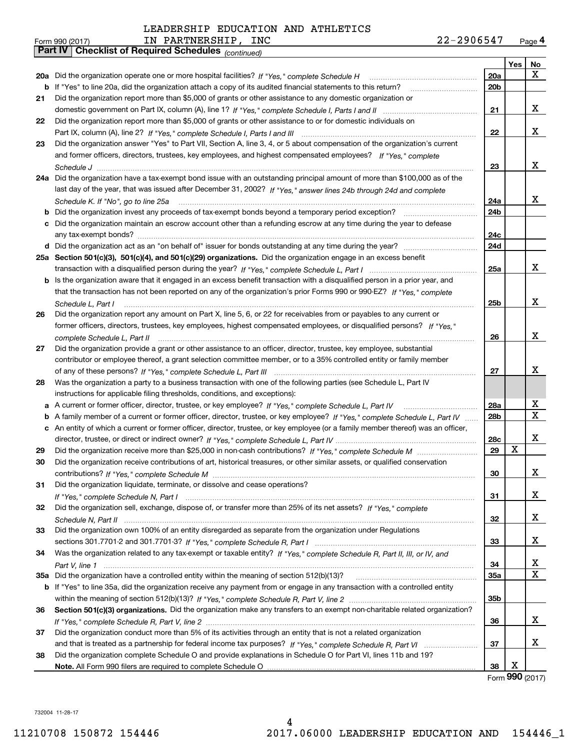| Form 990 (2017) | PARTNERSHIP,<br>ΓN                                           | INC | 22-2906547 | Page $4$ |
|-----------------|--------------------------------------------------------------|-----|------------|----------|
|                 | <b>Part IV   Checklist of Required Schedules</b> (continued) |     |            |          |

|    | rail IV<br>Crieckist of Required Scriedules (continued)                                                                           |     |            |                 |
|----|-----------------------------------------------------------------------------------------------------------------------------------|-----|------------|-----------------|
|    |                                                                                                                                   |     | <b>Yes</b> | No              |
|    | 20a Did the organization operate one or more hospital facilities? If "Yes," complete Schedule H                                   | 20a |            | X.              |
|    | <b>b</b> If "Yes" to line 20a, did the organization attach a copy of its audited financial statements to this return?             | 20b |            |                 |
| 21 | Did the organization report more than \$5,000 of grants or other assistance to any domestic organization or                       |     |            |                 |
|    |                                                                                                                                   | 21  |            | x               |
| 22 | Did the organization report more than \$5,000 of grants or other assistance to or for domestic individuals on                     |     |            |                 |
|    |                                                                                                                                   | 22  |            | x               |
| 23 | Did the organization answer "Yes" to Part VII, Section A, line 3, 4, or 5 about compensation of the organization's current        |     |            |                 |
|    | and former officers, directors, trustees, key employees, and highest compensated employees? If "Yes," complete                    |     |            |                 |
|    |                                                                                                                                   | 23  |            | x               |
|    | 24a Did the organization have a tax-exempt bond issue with an outstanding principal amount of more than \$100,000 as of the       |     |            |                 |
|    | last day of the year, that was issued after December 31, 2002? If "Yes," answer lines 24b through 24d and complete                |     |            |                 |
|    | Schedule K. If "No", go to line 25a                                                                                               | 24a |            | x               |
|    | <b>b</b> Did the organization invest any proceeds of tax-exempt bonds beyond a temporary period exception?                        | 24b |            |                 |
|    | c Did the organization maintain an escrow account other than a refunding escrow at any time during the year to defease            |     |            |                 |
|    |                                                                                                                                   | 24с |            |                 |
|    |                                                                                                                                   | 24d |            |                 |
|    | 25a Section 501(c)(3), 501(c)(4), and 501(c)(29) organizations. Did the organization engage in an excess benefit                  |     |            |                 |
|    |                                                                                                                                   | 25a |            | x               |
|    | b Is the organization aware that it engaged in an excess benefit transaction with a disqualified person in a prior year, and      |     |            |                 |
|    | that the transaction has not been reported on any of the organization's prior Forms 990 or 990-EZ? If "Yes," complete             |     |            |                 |
|    | Schedule L. Part I                                                                                                                | 25b |            | x               |
| 26 | Did the organization report any amount on Part X, line 5, 6, or 22 for receivables from or payables to any current or             |     |            |                 |
|    | former officers, directors, trustees, key employees, highest compensated employees, or disqualified persons? If "Yes "            |     |            |                 |
|    |                                                                                                                                   | 26  |            | x               |
| 27 | Did the organization provide a grant or other assistance to an officer, director, trustee, key employee, substantial              |     |            |                 |
|    | contributor or employee thereof, a grant selection committee member, or to a 35% controlled entity or family member               |     |            |                 |
|    |                                                                                                                                   | 27  |            | x               |
| 28 | Was the organization a party to a business transaction with one of the following parties (see Schedule L, Part IV                 |     |            |                 |
|    | instructions for applicable filing thresholds, conditions, and exceptions):                                                       |     |            |                 |
|    | a A current or former officer, director, trustee, or key employee? If "Yes," complete Schedule L, Part IV                         | 28a |            | х               |
|    | b A family member of a current or former officer, director, trustee, or key employee? If "Yes," complete Schedule L, Part IV      | 28b |            | X               |
|    | c An entity of which a current or former officer, director, trustee, or key employee (or a family member thereof) was an officer, |     |            |                 |
|    |                                                                                                                                   | 28c |            | x               |
| 29 |                                                                                                                                   | 29  | X          |                 |
| 30 | Did the organization receive contributions of art, historical treasures, or other similar assets, or qualified conservation       |     |            |                 |
|    |                                                                                                                                   | 30  |            | X               |
| 31 | Did the organization liquidate, terminate, or dissolve and cease operations?                                                      |     |            |                 |
|    |                                                                                                                                   | 31  |            | x               |
| 32 | Did the organization sell, exchange, dispose of, or transfer more than 25% of its net assets? If "Yes," complete                  |     |            |                 |
|    |                                                                                                                                   | 32  |            | x               |
| 33 | Did the organization own 100% of an entity disregarded as separate from the organization under Regulations                        |     |            |                 |
|    |                                                                                                                                   | 33  |            | x               |
| 34 | Was the organization related to any tax-exempt or taxable entity? If "Yes," complete Schedule R, Part II, III, or IV, and         |     |            |                 |
|    |                                                                                                                                   | 34  |            | x               |
|    | 35a Did the organization have a controlled entity within the meaning of section 512(b)(13)?                                       | 35a |            | X               |
|    | b If "Yes" to line 35a, did the organization receive any payment from or engage in any transaction with a controlled entity       |     |            |                 |
|    |                                                                                                                                   | 35b |            |                 |
| 36 | Section 501(c)(3) organizations. Did the organization make any transfers to an exempt non-charitable related organization?        |     |            |                 |
|    |                                                                                                                                   | 36  |            | x               |
| 37 | Did the organization conduct more than 5% of its activities through an entity that is not a related organization                  |     |            |                 |
|    |                                                                                                                                   | 37  |            | x               |
| 38 | Did the organization complete Schedule O and provide explanations in Schedule O for Part VI, lines 11b and 19?                    |     |            |                 |
|    |                                                                                                                                   | 38  | X          |                 |
|    |                                                                                                                                   |     |            | Form 990 (2017) |

732004 11-28-17 732004 11-28-17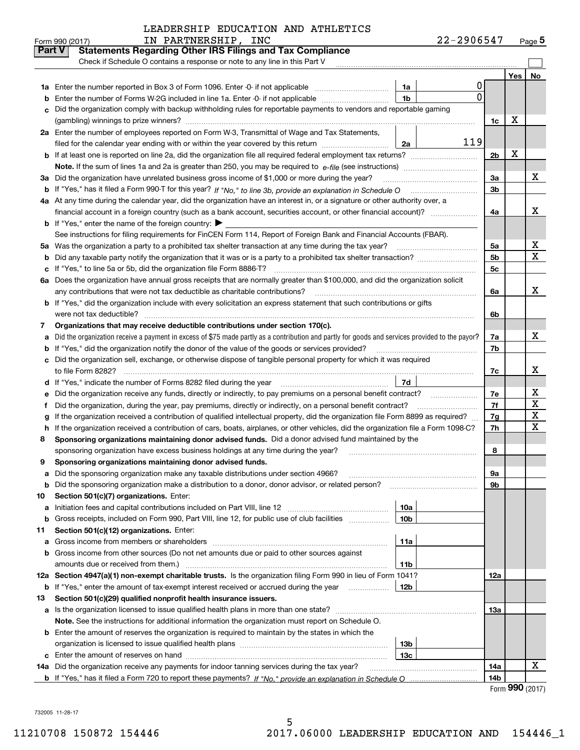| LEADERSHIP EDUCATION AND ATHLETICS |  |  |  |
|------------------------------------|--|--|--|
|------------------------------------|--|--|--|

|               | IN PARTNERSHIP, INC<br>Form 990 (2017)                                                                                                          |                 | 22-2906547 |                |            | $Page$ <sup>5</sup>     |
|---------------|-------------------------------------------------------------------------------------------------------------------------------------------------|-----------------|------------|----------------|------------|-------------------------|
| <b>Part V</b> | <b>Statements Regarding Other IRS Filings and Tax Compliance</b>                                                                                |                 |            |                |            |                         |
|               | Check if Schedule O contains a response or note to any line in this Part V                                                                      |                 |            |                |            |                         |
|               |                                                                                                                                                 |                 |            |                | <b>Yes</b> | No                      |
| 1a            | Enter the number reported in Box 3 of Form 1096. Enter -0- if not applicable                                                                    | 1a              | 0          |                |            |                         |
| b             | Enter the number of Forms W-2G included in line 1a. Enter -0- if not applicable                                                                 | 1 <sub>b</sub>  | $\Omega$   |                |            |                         |
| c             | Did the organization comply with backup withholding rules for reportable payments to vendors and reportable gaming                              |                 |            |                |            |                         |
|               |                                                                                                                                                 |                 |            | 1c             | X          |                         |
|               | 2a Enter the number of employees reported on Form W-3, Transmittal of Wage and Tax Statements,                                                  |                 |            |                |            |                         |
|               | filed for the calendar year ending with or within the year covered by this return                                                               | 2a              | 119        |                |            |                         |
| b             |                                                                                                                                                 |                 |            | 2 <sub>b</sub> | X          |                         |
|               |                                                                                                                                                 |                 |            |                |            |                         |
| За            | Did the organization have unrelated business gross income of \$1,000 or more during the year?                                                   |                 |            | За             |            | x                       |
| b             |                                                                                                                                                 |                 |            | 3 <sub>b</sub> |            |                         |
|               | 4a At any time during the calendar year, did the organization have an interest in, or a signature or other authority over, a                    |                 |            |                |            |                         |
|               | financial account in a foreign country (such as a bank account, securities account, or other financial account)?                                |                 |            | 4a             |            | x                       |
| b             | If "Yes," enter the name of the foreign country:                                                                                                |                 |            |                |            |                         |
|               | See instructions for filing requirements for FinCEN Form 114, Report of Foreign Bank and Financial Accounts (FBAR).                             |                 |            |                |            |                         |
| 5а            |                                                                                                                                                 |                 |            | 5a             |            | x                       |
| b             |                                                                                                                                                 |                 |            | 5 <sub>b</sub> |            | $\overline{\mathbf{x}}$ |
| с             | If "Yes," to line 5a or 5b, did the organization file Form 8886-T?                                                                              |                 |            | 5 <sub>c</sub> |            |                         |
| 6a            | Does the organization have annual gross receipts that are normally greater than \$100,000, and did the organization solicit                     |                 |            |                |            |                         |
|               | any contributions that were not tax deductible as charitable contributions?                                                                     |                 |            | 6a             |            | X                       |
| b             | If "Yes," did the organization include with every solicitation an express statement that such contributions or gifts                            |                 |            |                |            |                         |
|               | were not tax deductible?                                                                                                                        |                 |            | 6b             |            |                         |
| 7             | Organizations that may receive deductible contributions under section 170(c).                                                                   |                 |            |                |            |                         |
| a             | Did the organization receive a payment in excess of \$75 made partly as a contribution and partly for goods and services provided to the payor? |                 |            | 7a             |            | X                       |
| b             | If "Yes," did the organization notify the donor of the value of the goods or services provided?                                                 |                 |            | 7b             |            |                         |
| с             | Did the organization sell, exchange, or otherwise dispose of tangible personal property for which it was required                               |                 |            |                |            |                         |
|               |                                                                                                                                                 |                 |            | 7c             |            | x                       |
| d             |                                                                                                                                                 | 7d              |            |                |            |                         |
| е             | Did the organization receive any funds, directly or indirectly, to pay premiums on a personal benefit contract?                                 |                 |            | 7e             |            | х                       |
| f             | Did the organization, during the year, pay premiums, directly or indirectly, on a personal benefit contract?                                    |                 |            | 7f             |            | $\mathbf X$             |
| g             | If the organization received a contribution of qualified intellectual property, did the organization file Form 8899 as required?                |                 |            | 7g             |            | X                       |
| h             | If the organization received a contribution of cars, boats, airplanes, or other vehicles, did the organization file a Form 1098-C?              |                 |            | 7h             |            | $\mathbf X$             |
| 8             | Sponsoring organizations maintaining donor advised funds. Did a donor advised fund maintained by the                                            |                 |            |                |            |                         |
|               | sponsoring organization have excess business holdings at any time during the year?                                                              |                 |            | 8              |            |                         |
| y             | Sponsoring organizations maintaining donor advised funds.                                                                                       |                 |            |                |            |                         |
| а             | Did the sponsoring organization make any taxable distributions under section 4966?                                                              |                 |            | 9а             |            |                         |
| b             | Did the sponsoring organization make a distribution to a donor, donor advisor, or related person?                                               |                 |            | 9b             |            |                         |
| 10            | Section 501(c)(7) organizations. Enter:                                                                                                         |                 |            |                |            |                         |
| а             | Initiation fees and capital contributions included on Part VIII, line 12 [[[[[[[[[[[[[[[[[[[[[[[[[[[[[[[[[[]]]                                  | 10a             |            |                |            |                         |
| b             | Gross receipts, included on Form 990, Part VIII, line 12, for public use of club facilities                                                     | 10 <sub>b</sub> |            |                |            |                         |
| 11            | Section 501(c)(12) organizations. Enter:                                                                                                        |                 |            |                |            |                         |
| а             | Gross income from members or shareholders                                                                                                       | 11a             |            |                |            |                         |
| b             | Gross income from other sources (Do not net amounts due or paid to other sources against                                                        |                 |            |                |            |                         |
|               | amounts due or received from them.)                                                                                                             | 11b             |            |                |            |                         |
|               | 12a Section 4947(a)(1) non-exempt charitable trusts. Is the organization filing Form 990 in lieu of Form 1041?                                  |                 |            | 12a            |            |                         |
| b             | If "Yes," enter the amount of tax-exempt interest received or accrued during the year manu-                                                     | 12b             |            |                |            |                         |
| 13            | Section 501(c)(29) qualified nonprofit health insurance issuers.                                                                                |                 |            |                |            |                         |
| а             | Is the organization licensed to issue qualified health plans in more than one state?                                                            |                 |            | 13a            |            |                         |
|               | Note. See the instructions for additional information the organization must report on Schedule O.                                               |                 |            |                |            |                         |
| b             | Enter the amount of reserves the organization is required to maintain by the states in which the                                                |                 |            |                |            |                         |
|               |                                                                                                                                                 | 13 <sub>b</sub> |            |                |            |                         |
| с             |                                                                                                                                                 | 13c             |            |                |            |                         |
|               | 14a Did the organization receive any payments for indoor tanning services during the tax year?                                                  |                 |            | 14a            |            | х                       |
|               |                                                                                                                                                 |                 |            | 14b            |            |                         |

Form **990** (2017)

732005 11-28-17 732005 11-28-17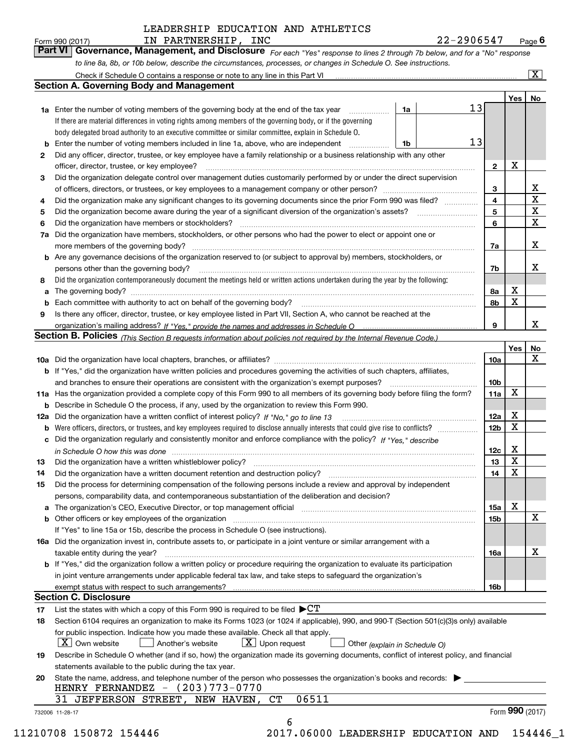Form990(2017) IN PARTNERSHIP, INC 22-2906547 Page **6** 

**Part VI Governance, Management, and Disclosure** For each "Yes" response to lines 2 through 7b below, and for a "No" response to line 8a, 8b, or 10b below, describe the circumstances, processes, or changes in Schedule O. See instructions. Form 990 (2017) **Form 1990 (2017)** IN PARTNERSHIP, INC 22-2906547 Page 6<br>**Part VI** | Governance, Management, and Disclosure *For each "Yes" response to lines 2 through 7b below, and for a "No" response* 

|    |                                                                                                                                                                                                                                           |                 |        | Yes   No                |
|----|-------------------------------------------------------------------------------------------------------------------------------------------------------------------------------------------------------------------------------------------|-----------------|--------|-------------------------|
|    | 13<br>1a<br>1a Enter the number of voting members of the governing body at the end of the tax year                                                                                                                                        |                 |        |                         |
|    | If there are material differences in voting rights among members of the governing body, or if the governing                                                                                                                               |                 |        |                         |
|    | body delegated broad authority to an executive committee or similar committee, explain in Schedule O.                                                                                                                                     |                 |        |                         |
|    | 13<br>Enter the number of voting members included in line 1a, above, who are independent<br>1b                                                                                                                                            |                 |        |                         |
| 2  | Did any officer, director, trustee, or key employee have a family relationship or a business relationship with any other                                                                                                                  |                 |        |                         |
|    | officer, director, trustee, or key employee?                                                                                                                                                                                              | $\mathbf{2}$    | X      |                         |
| 3  | Did the organization delegate control over management duties customarily performed by or under the direct supervision                                                                                                                     |                 |        |                         |
|    |                                                                                                                                                                                                                                           | 3               |        | X                       |
| 4  | Did the organization make any significant changes to its governing documents since the prior Form 990 was filed?                                                                                                                          | 4               |        | $\overline{\mathbf{x}}$ |
| 5  |                                                                                                                                                                                                                                           | 5               |        | $\overline{\mathbf{x}}$ |
| 6  |                                                                                                                                                                                                                                           | 6               |        | $\mathbf X$             |
| 7a | Did the organization have members, stockholders, or other persons who had the power to elect or appoint one or                                                                                                                            |                 |        |                         |
|    |                                                                                                                                                                                                                                           | 7a              |        | X                       |
|    | <b>b</b> Are any governance decisions of the organization reserved to (or subject to approval by) members, stockholders, or                                                                                                               |                 |        |                         |
|    | persons other than the governing body?                                                                                                                                                                                                    | 7b              |        | X                       |
| 8  | Did the organization contemporaneously document the meetings held or written actions undertaken during the year by the following:                                                                                                         |                 |        |                         |
|    |                                                                                                                                                                                                                                           | 8а              | х      |                         |
|    |                                                                                                                                                                                                                                           | 8b              | X      |                         |
| 9  | Is there any officer, director, trustee, or key employee listed in Part VII, Section A, who cannot be reached at the                                                                                                                      |                 |        |                         |
|    |                                                                                                                                                                                                                                           | 9               |        | x                       |
|    | Section B. Policies (This Section B requests information about policies not required by the Internal Revenue Code.)                                                                                                                       |                 |        |                         |
|    |                                                                                                                                                                                                                                           |                 | Yes    | No                      |
|    |                                                                                                                                                                                                                                           | <b>10a</b>      |        | X                       |
|    | b If "Yes," did the organization have written policies and procedures governing the activities of such chapters, affiliates,                                                                                                              |                 |        |                         |
|    |                                                                                                                                                                                                                                           |                 |        |                         |
|    |                                                                                                                                                                                                                                           | 10 <sub>b</sub> | X      |                         |
|    | 11a Has the organization provided a complete copy of this Form 990 to all members of its governing body before filing the form?                                                                                                           | 11a             |        |                         |
|    | <b>b</b> Describe in Schedule O the process, if any, used by the organization to review this Form 990.                                                                                                                                    |                 | X      |                         |
|    | 12a Did the organization have a written conflict of interest policy? If "No," go to line 13                                                                                                                                               | 12a             | X      |                         |
| b  |                                                                                                                                                                                                                                           | 12 <sub>b</sub> |        |                         |
|    | c Did the organization regularly and consistently monitor and enforce compliance with the policy? If "Yes," describe                                                                                                                      |                 |        |                         |
|    | in Schedule O how this was done <i>manually contained as a contained a serient</i> and the state of the state of the s                                                                                                                    | 12c             | X<br>X |                         |
| 13 |                                                                                                                                                                                                                                           | 13              |        |                         |
| 14 |                                                                                                                                                                                                                                           | 14              | X      |                         |
| 15 | Did the process for determining compensation of the following persons include a review and approval by independent                                                                                                                        |                 |        |                         |
|    | persons, comparability data, and contemporaneous substantiation of the deliberation and decision?                                                                                                                                         |                 |        |                         |
|    | a The organization's CEO, Executive Director, or top management official manufactured content of the organization's CEO, Executive Director, or top management official                                                                   | 15a             | х      |                         |
|    | <b>b</b> Other officers or key employees of the organization <i>manufacture content of the content of the content of the content of the content of the content of the content of the content of the content of the content of the con</i> | <b>15b</b>      |        | X                       |
|    | If "Yes" to line 15a or 15b, describe the process in Schedule O (see instructions).                                                                                                                                                       |                 |        |                         |
|    | 16a Did the organization invest in, contribute assets to, or participate in a joint venture or similar arrangement with a                                                                                                                 |                 |        |                         |
|    | taxable entity during the year?                                                                                                                                                                                                           | 16a             |        | X                       |
|    | b If "Yes," did the organization follow a written policy or procedure requiring the organization to evaluate its participation                                                                                                            |                 |        |                         |
|    | in joint venture arrangements under applicable federal tax law, and take steps to safeguard the organization's                                                                                                                            |                 |        |                         |
|    |                                                                                                                                                                                                                                           | 16 <sub>b</sub> |        |                         |
|    | <b>Section C. Disclosure</b>                                                                                                                                                                                                              |                 |        |                         |
| 17 | List the states with which a copy of this Form 990 is required to be filed $\blacktriangleright$ CT                                                                                                                                       |                 |        |                         |
| 18 | Section 6104 requires an organization to make its Forms 1023 (or 1024 if applicable), 990, and 990-T (Section 501(c)(3)s only) available                                                                                                  |                 |        |                         |
|    | for public inspection. Indicate how you made these available. Check all that apply.                                                                                                                                                       |                 |        |                         |
|    | $X$ Upon request<br>$ X $ Own website<br>Another's website<br>Other (explain in Schedule O)                                                                                                                                               |                 |        |                         |
| 19 | Describe in Schedule O whether (and if so, how) the organization made its governing documents, conflict of interest policy, and financial                                                                                                 |                 |        |                         |
|    | statements available to the public during the tax year.                                                                                                                                                                                   |                 |        |                         |
| 20 | State the name, address, and telephone number of the person who possesses the organization's books and records:                                                                                                                           |                 |        |                         |
|    | HENRY FERNANDEZ $ (203)773-0770$                                                                                                                                                                                                          |                 |        |                         |
|    | 06511<br>31 JEFFERSON STREET, NEW HAVEN, CT                                                                                                                                                                                               |                 |        |                         |
|    |                                                                                                                                                                                                                                           |                 |        |                         |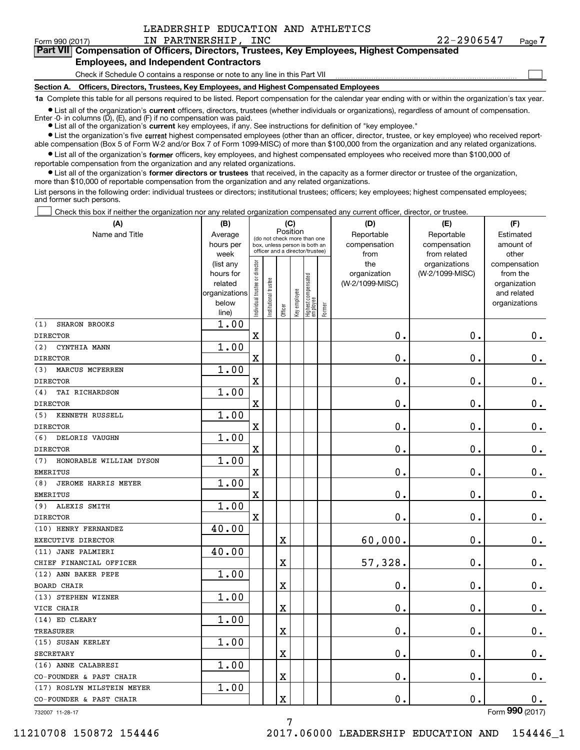$\mathcal{L}^{\text{max}}$ 

#### Form990(2017) IN PARTNERSHIP, INC 22-2906547 Page **7**  Form 990 (2017) Page IN PARTNERSHIP, INC 22-2906547 **Part VII Compensation of Officers, Directors, Trustees, Key Employees, Highest Compensated 7Part VII Compensation of Officers, Directors, Trustees, Key Employees, Highest Compensated Employees, and Independent Contractors Employees, and Independent Contractors**

**(A)**

Check if Schedule O contains a response or note to any line in this Part VII <u>mand all communication communication</u> **Section A. Officers, Directors, Trustees, Key Employees, and Highest Compensated Employees Section A. Officers, Directors, Trustees, Key Employees, and Highest Compensated Employees**

1a Complete this table for all persons required to be listed. Report compensation for the calendar year ending with or within the organization's tax year.

List all of the organization's current officers, directors, trustees (whether individuals or organizations), regardless of amount of compensation.

Enter -0- in columns (D), (E), and (F) if no compensation was paid. ● List all of the organization's current key employees, if any. See instructions for definition of "key employee."

• List the organization's five current highest compensated employees (other than an officer, director, trustee, or key employee) who received report-

able compensation (Box 5 of Form W-2 and/or Box 7 of Form 1099-MISC) of more than \$100,000 from the organization and any related organizations. List all of the organization's former officers, key employees, and highest compensated employees who received more than \$100,000 of

reportable compensation from the organization and any related organizations. reportable compensation from the organization and any related organizations. List all of the organization's former directors or trustees that received, in the capacity as a former director or trustee of the organization, more than \$10 , <sup>000</sup>of reportable compensation from the organization and any related organizations. more than \$10,000 of reportable compensation from the organization and any related organizations.

List persons in the following order: individual trustees or directors; institutional trustees; officers; key employees; highest compensated employees; and former such persons. and former such persons.

Check this box if neither the organization nor any related organization compensated any current officer, director, or trustee.  $\mathcal{L}^{\text{max}}$ 

| (A)                            | (B)               |                                |                                                                  | (C)         |              |                                  |        | (D)             | (E)                           | (F)                   |
|--------------------------------|-------------------|--------------------------------|------------------------------------------------------------------|-------------|--------------|----------------------------------|--------|-----------------|-------------------------------|-----------------------|
| Name and Title                 | Average           |                                | (do not check more than one                                      |             | Position     |                                  |        | Reportable      | Reportable                    | Estimated             |
|                                | hours per         |                                | box, unless person is both an<br>officer and a director/trustee) |             |              |                                  |        | compensation    | compensation                  | amount of             |
|                                | week<br>(list any |                                |                                                                  |             |              |                                  |        | from<br>the     | from related<br>organizations | other<br>compensation |
|                                | hours for         |                                |                                                                  |             |              |                                  |        | organization    | (W-2/1099-MISC)               | from the              |
|                                | related           |                                |                                                                  |             |              |                                  |        | (W-2/1099-MISC) |                               | organization          |
|                                | organizations     |                                |                                                                  |             |              |                                  |        |                 |                               | and related           |
|                                | below             | Individual trustee or director | In stitutional trustee                                           |             | Key employee | Highest compensated<br> employee |        |                 |                               | organizations         |
|                                | line)             |                                |                                                                  | Officer     |              |                                  | Former |                 |                               |                       |
| SHARON BROOKS<br>(1)           | 1.00              |                                |                                                                  |             |              |                                  |        |                 |                               |                       |
| <b>DIRECTOR</b>                |                   | $\overline{\textbf{X}}$        |                                                                  |             |              |                                  |        | 0.              | 0.                            | 0.                    |
| (2)<br>CYNTHIA MANN            | 1.00              |                                |                                                                  |             |              |                                  |        |                 |                               |                       |
| <b>DIRECTOR</b>                |                   | X                              |                                                                  |             |              |                                  |        | $\mathbf 0$ .   | 0.                            | $0$ .                 |
| (3)<br>MARCUS MCFERREN         | 1.00              |                                |                                                                  |             |              |                                  |        |                 |                               |                       |
| <b>DIRECTOR</b>                |                   | X                              |                                                                  |             |              |                                  |        | 0.              | 0.                            | $0$ .                 |
| TAI RICHARDSON<br>(4)          | 1.00              |                                |                                                                  |             |              |                                  |        |                 |                               |                       |
| <b>DIRECTOR</b>                |                   | $\overline{\textbf{X}}$        |                                                                  |             |              |                                  |        | 0.              | $\mathbf{0}$ .                | 0.                    |
| KENNETH RUSSELL<br>(5)         | 1.00              |                                |                                                                  |             |              |                                  |        |                 |                               |                       |
| <b>DIRECTOR</b>                |                   | X                              |                                                                  |             |              |                                  |        | $\mathbf 0$ .   | $\mathbf 0$ .                 | 0.                    |
| (6)<br>DELORIS VAUGHN          | 1.00              |                                |                                                                  |             |              |                                  |        |                 |                               |                       |
| <b>DIRECTOR</b>                |                   | X                              |                                                                  |             |              |                                  |        | $\mathbf 0$ .   | $\mathbf 0$ .                 | 0.                    |
| (7)<br>HONORABLE WILLIAM DYSON | 1.00              |                                |                                                                  |             |              |                                  |        |                 |                               |                       |
| <b>EMERITUS</b>                |                   | X                              |                                                                  |             |              |                                  |        | $\mathbf 0$ .   | 0.                            | 0.                    |
| JEROME HARRIS MEYER<br>(8)     | 1.00              |                                |                                                                  |             |              |                                  |        |                 |                               |                       |
| <b>EMERITUS</b>                |                   | $\mathbf X$                    |                                                                  |             |              |                                  |        | $\mathbf 0$ .   | $\mathbf 0$ .                 | 0.                    |
| ALEXIS SMITH<br>(9)            | 1.00              |                                |                                                                  |             |              |                                  |        |                 |                               |                       |
| <b>DIRECTOR</b>                |                   | $\mathbf X$                    |                                                                  |             |              |                                  |        | 0.              | $\mathbf 0$ .                 | 0.                    |
| (10) HENRY FERNANDEZ           | 40.00             |                                |                                                                  |             |              |                                  |        |                 |                               |                       |
| EXECUTIVE DIRECTOR             |                   |                                |                                                                  | $\mathbf X$ |              |                                  |        | 60,000.         | $\mathbf{0}$ .                | 0.                    |
| (11) JANE PALMIERI             | 40.00             |                                |                                                                  |             |              |                                  |        |                 |                               |                       |
| CHIEF FINANCIAL OFFICER        |                   |                                |                                                                  | $\mathbf X$ |              |                                  |        | 57,328.         | 0.                            | 0.                    |
| (12) ANN BAKER PEPE            | 1.00              |                                |                                                                  |             |              |                                  |        |                 |                               |                       |
| <b>BOARD CHAIR</b>             |                   |                                |                                                                  | $\mathbf X$ |              |                                  |        | $\mathbf 0$ .   | $0$ .                         | 0.                    |
| (13) STEPHEN WIZNER            | 1.00              |                                |                                                                  |             |              |                                  |        |                 |                               |                       |
| VICE CHAIR                     |                   |                                |                                                                  | $\rm X$     |              |                                  |        | $\mathbf{0}$ .  | 0.                            | 0.                    |
| (14) ED CLEARY                 | 1.00              |                                |                                                                  |             |              |                                  |        |                 |                               |                       |
| <b>TREASURER</b>               |                   |                                |                                                                  | X           |              |                                  |        | 0.              | 0.                            | $0$ .                 |
| (15) SUSAN KERLEY              | 1.00              |                                |                                                                  |             |              |                                  |        |                 |                               |                       |
| <b>SECRETARY</b>               |                   |                                |                                                                  | $\rm X$     |              |                                  |        | $\mathbf 0$ .   | 0.                            | 0.                    |
| (16) ANNE CALABRESI            | 1.00              |                                |                                                                  |             |              |                                  |        |                 |                               |                       |
| CO-FOUNDER & PAST CHAIR        |                   |                                |                                                                  | $\rm X$     |              |                                  |        | 0.              | $0$ .                         | $0$ .                 |
| (17) ROSLYN MILSTEIN MEYER     | 1.00              |                                |                                                                  |             |              |                                  |        |                 |                               |                       |
| CO-FOUNDER & PAST CHAIR        |                   |                                |                                                                  | $\rm X$     |              |                                  |        | 0.              | 0.                            | 0.                    |
|                                |                   |                                |                                                                  |             |              |                                  |        |                 |                               | nnn                   |

732007 11-28-17 732007 11-28-17

Form **990** (2017)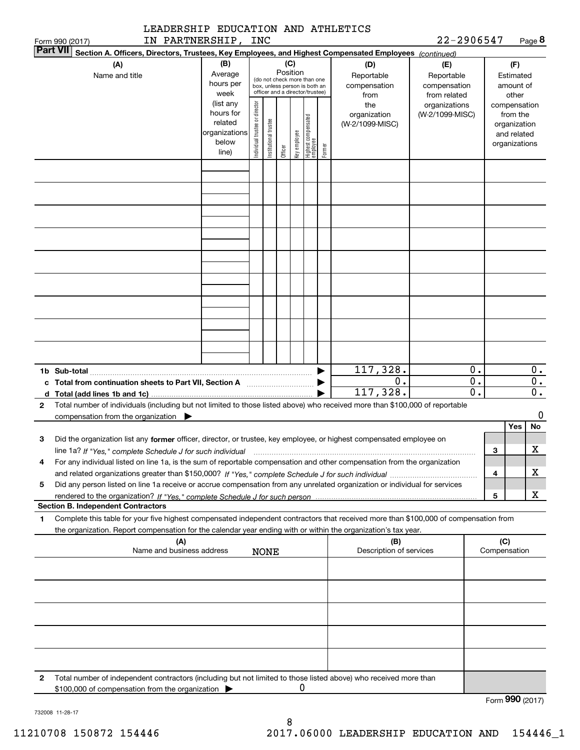| (A)<br>Name and title                                                                                                                                                                                                                                                                                    | (B)<br>Average<br>hours per<br>week                                  | (C)<br>Position<br>(do not check more than one<br>box, unless person is both an<br>officer and a director/trustee) |                       |         |              |                                  |        | Section A. Officers, Directors, Trustees, Key Employees, and Highest Compensated Employees (continued)<br>(D)<br>Reportable<br>compensation<br>from | (E)<br>Reportable<br>compensation<br>from related | (F)<br>Estimated<br>amount of<br>other |                                                                          |                        |
|----------------------------------------------------------------------------------------------------------------------------------------------------------------------------------------------------------------------------------------------------------------------------------------------------------|----------------------------------------------------------------------|--------------------------------------------------------------------------------------------------------------------|-----------------------|---------|--------------|----------------------------------|--------|-----------------------------------------------------------------------------------------------------------------------------------------------------|---------------------------------------------------|----------------------------------------|--------------------------------------------------------------------------|------------------------|
|                                                                                                                                                                                                                                                                                                          | (list any<br>hours for<br>related<br>organizations<br>below<br>line) | Individual trustee or director                                                                                     | Institutional trustee | Officer | Key employee | Highest compensated<br> employee | Former | the<br>organization<br>(W-2/1099-MISC)                                                                                                              | organizations<br>(W-2/1099-MISC)                  |                                        | compensation<br>from the<br>organization<br>and related<br>organizations |                        |
|                                                                                                                                                                                                                                                                                                          |                                                                      |                                                                                                                    |                       |         |              |                                  |        |                                                                                                                                                     |                                                   |                                        |                                                                          |                        |
|                                                                                                                                                                                                                                                                                                          |                                                                      |                                                                                                                    |                       |         |              |                                  |        |                                                                                                                                                     |                                                   |                                        |                                                                          |                        |
|                                                                                                                                                                                                                                                                                                          |                                                                      |                                                                                                                    |                       |         |              |                                  |        |                                                                                                                                                     |                                                   |                                        |                                                                          |                        |
|                                                                                                                                                                                                                                                                                                          |                                                                      |                                                                                                                    |                       |         |              |                                  |        |                                                                                                                                                     |                                                   |                                        |                                                                          |                        |
|                                                                                                                                                                                                                                                                                                          |                                                                      |                                                                                                                    |                       |         |              |                                  |        |                                                                                                                                                     |                                                   |                                        |                                                                          |                        |
|                                                                                                                                                                                                                                                                                                          |                                                                      |                                                                                                                    |                       |         |              |                                  |        |                                                                                                                                                     |                                                   |                                        |                                                                          |                        |
|                                                                                                                                                                                                                                                                                                          |                                                                      |                                                                                                                    |                       |         |              |                                  |        | 117,328.                                                                                                                                            | 0.                                                |                                        |                                                                          | 0.                     |
| Total number of individuals (including but not limited to those listed above) who received more than \$100,000 of reportable<br>2                                                                                                                                                                        |                                                                      |                                                                                                                    |                       |         |              |                                  |        | 0.<br>117,328.                                                                                                                                      | 0.<br>$\overline{0}$ .                            |                                        |                                                                          | $\overline{0}$ .<br>0. |
| compensation from the organization $\blacktriangleright$<br>Did the organization list any former officer, director, or trustee, key employee, or highest compensated employee on<br>З                                                                                                                    |                                                                      |                                                                                                                    |                       |         |              |                                  |        |                                                                                                                                                     |                                                   |                                        | Yes                                                                      | 0<br>No                |
| line 1a? If "Yes," complete Schedule J for such individual manufactured contained and the Ves," complete Schedule J for such individual<br>For any individual listed on line 1a, is the sum of reportable compensation and other compensation from the organization<br>4                                 |                                                                      |                                                                                                                    |                       |         |              |                                  |        |                                                                                                                                                     |                                                   | 3<br>4                                 |                                                                          | X<br>х                 |
| Did any person listed on line 1a receive or accrue compensation from any unrelated organization or individual for services<br>5                                                                                                                                                                          |                                                                      |                                                                                                                    |                       |         |              |                                  |        |                                                                                                                                                     |                                                   | 5                                      |                                                                          | х                      |
| <b>Section B. Independent Contractors</b><br>Complete this table for your five highest compensated independent contractors that received more than \$100,000 of compensation from<br>1<br>the organization. Report compensation for the calendar year ending with or within the organization's tax year. |                                                                      |                                                                                                                    |                       |         |              |                                  |        |                                                                                                                                                     |                                                   |                                        |                                                                          |                        |
| (A)<br>Name and business address                                                                                                                                                                                                                                                                         |                                                                      |                                                                                                                    | <b>NONE</b>           |         |              |                                  |        | (B)<br>Description of services                                                                                                                      |                                                   | (C)<br>Compensation                    |                                                                          |                        |
|                                                                                                                                                                                                                                                                                                          |                                                                      |                                                                                                                    |                       |         |              |                                  |        |                                                                                                                                                     |                                                   |                                        |                                                                          |                        |
|                                                                                                                                                                                                                                                                                                          |                                                                      |                                                                                                                    |                       |         |              |                                  |        |                                                                                                                                                     |                                                   |                                        |                                                                          |                        |
|                                                                                                                                                                                                                                                                                                          |                                                                      |                                                                                                                    |                       |         |              |                                  |        |                                                                                                                                                     |                                                   |                                        |                                                                          |                        |
| Total number of independent contractors (including but not limited to those listed above) who received more than<br>2<br>\$100,000 of compensation from the organization                                                                                                                                 |                                                                      |                                                                                                                    |                       |         | 0            |                                  |        |                                                                                                                                                     |                                                   |                                        |                                                                          |                        |
|                                                                                                                                                                                                                                                                                                          |                                                                      |                                                                                                                    |                       |         |              |                                  |        |                                                                                                                                                     |                                                   |                                        | Form 990 (2017)                                                          |                        |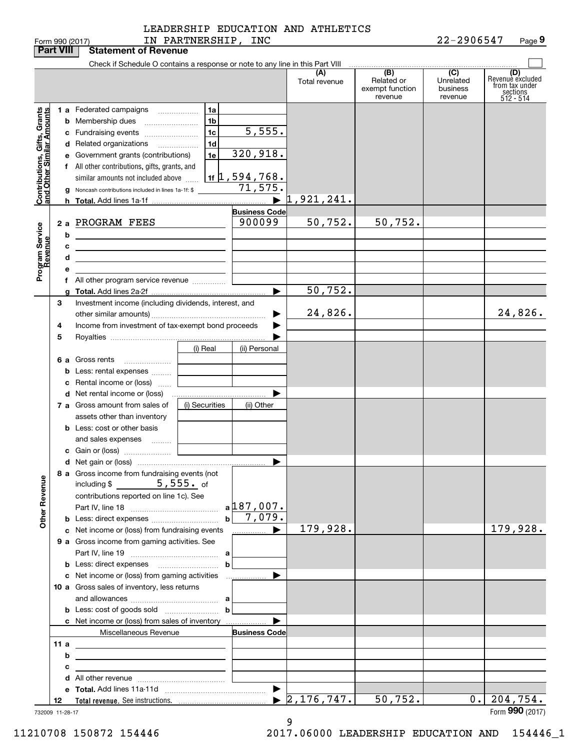| LEADERSHIP EDUCATION AND ATHLETICS |  |  |
|------------------------------------|--|--|
|                                    |  |  |

|                                                           | <b>Part VIII</b> | <b>Statement of Revenue</b>                                                                                           |                |                                  |                                  |                                      |                                         |                                                                    |
|-----------------------------------------------------------|------------------|-----------------------------------------------------------------------------------------------------------------------|----------------|----------------------------------|----------------------------------|--------------------------------------|-----------------------------------------|--------------------------------------------------------------------|
|                                                           |                  | Check if Schedule O contains a response or note to any line in this Part VIII                                         |                |                                  |                                  |                                      |                                         |                                                                    |
|                                                           |                  |                                                                                                                       |                |                                  | (A)<br>Total revenue             | (B)<br>Related or<br>exempt function | $\overline{C}$<br>Unrelated<br>business | (D)<br>Revenuè excluded<br>from tax under<br>sections<br>512 - 514 |
|                                                           |                  |                                                                                                                       |                |                                  |                                  | revenue                              | revenue                                 |                                                                    |
|                                                           |                  | 1 a Federated campaigns                                                                                               | 1a             |                                  |                                  |                                      |                                         |                                                                    |
|                                                           |                  | <b>b</b> Membership dues                                                                                              | 1 <sub>b</sub> |                                  |                                  |                                      |                                         |                                                                    |
|                                                           |                  | c Fundraising events                                                                                                  | 1c             | $\overline{5,555}$ .             |                                  |                                      |                                         |                                                                    |
|                                                           |                  | d Related organizations                                                                                               | 1 <sub>d</sub> |                                  |                                  |                                      |                                         |                                                                    |
|                                                           |                  | e Government grants (contributions)                                                                                   | 1e             | 320,918.                         |                                  |                                      |                                         |                                                                    |
|                                                           |                  | f All other contributions, gifts, grants, and                                                                         |                |                                  |                                  |                                      |                                         |                                                                    |
|                                                           |                  | similar amounts not included above                                                                                    |                | $\vert$ 1f $\vert$ , 594 , 768 . |                                  |                                      |                                         |                                                                    |
| Contributions, Gifts, Grants<br>and Other Similar Amounts |                  | <b>g</b> Noncash contributions included in lines 1a-1f: \$                                                            |                | 71, 575.                         |                                  |                                      |                                         |                                                                    |
|                                                           |                  |                                                                                                                       |                | $\blacktriangleright$            | 1,921,241.                       |                                      |                                         |                                                                    |
|                                                           |                  |                                                                                                                       |                | <b>Business Code</b>             |                                  |                                      |                                         |                                                                    |
|                                                           |                  | 2 a PROGRAM FEES                                                                                                      |                | 900099                           | 50,752.                          | 50, 752.                             |                                         |                                                                    |
|                                                           | b                | the contract of the contract of the contract of the contract of the                                                   |                |                                  |                                  |                                      |                                         |                                                                    |
|                                                           | c                | <u> 1980 - Johann John Stein, markin fan it ferstjer fan de ferstjer fan it ferstjer fan it ferstjer fan it ferst</u> |                |                                  |                                  |                                      |                                         |                                                                    |
|                                                           | d                | <u> 1989 - Johann Barbara, martin amerikan basar dan berasal dalam basar dalam basar dalam basar dalam basar dala</u> |                |                                  |                                  |                                      |                                         |                                                                    |
| Program Service<br>Revenue                                |                  |                                                                                                                       |                |                                  |                                  |                                      |                                         |                                                                    |
|                                                           |                  | f All other program service revenue                                                                                   |                |                                  |                                  |                                      |                                         |                                                                    |
|                                                           |                  |                                                                                                                       |                | ►                                | 50, 752.                         |                                      |                                         |                                                                    |
|                                                           | 3                | Investment income (including dividends, interest, and                                                                 |                |                                  |                                  |                                      |                                         |                                                                    |
|                                                           |                  |                                                                                                                       |                |                                  | 24,826.                          |                                      |                                         | 24,826.                                                            |
|                                                           | 4                | Income from investment of tax-exempt bond proceeds                                                                    |                |                                  |                                  |                                      |                                         |                                                                    |
|                                                           | 5                |                                                                                                                       |                |                                  |                                  |                                      |                                         |                                                                    |
|                                                           |                  |                                                                                                                       | (i) Real       | (ii) Personal                    |                                  |                                      |                                         |                                                                    |
|                                                           |                  | 6 a Gross rents                                                                                                       |                |                                  |                                  |                                      |                                         |                                                                    |
|                                                           |                  | <b>b</b> Less: rental expenses                                                                                        |                |                                  |                                  |                                      |                                         |                                                                    |
|                                                           |                  | Rental income or (loss)                                                                                               |                |                                  |                                  |                                      |                                         |                                                                    |
|                                                           |                  |                                                                                                                       |                |                                  |                                  |                                      |                                         |                                                                    |
|                                                           |                  | 7 a Gross amount from sales of                                                                                        | (i) Securities | (ii) Other                       |                                  |                                      |                                         |                                                                    |
|                                                           |                  | assets other than inventory                                                                                           |                |                                  |                                  |                                      |                                         |                                                                    |
|                                                           |                  | <b>b</b> Less: cost or other basis                                                                                    |                |                                  |                                  |                                      |                                         |                                                                    |
|                                                           |                  | and sales expenses                                                                                                    |                |                                  |                                  |                                      |                                         |                                                                    |
|                                                           |                  |                                                                                                                       |                |                                  |                                  |                                      |                                         |                                                                    |
|                                                           |                  |                                                                                                                       |                |                                  |                                  |                                      |                                         |                                                                    |
|                                                           |                  | 8 a Gross income from fundraising events (not                                                                         |                |                                  |                                  |                                      |                                         |                                                                    |
| <b>Other Revenue</b>                                      |                  | including $$$<br>$\mathbb{R}^n \times \mathbb{R}^n$                                                                   | $5, 555.$ of   |                                  |                                  |                                      |                                         |                                                                    |
|                                                           |                  | contributions reported on line 1c). See                                                                               |                |                                  |                                  |                                      |                                         |                                                                    |
|                                                           |                  |                                                                                                                       |                | $a$ 187,007.                     |                                  |                                      |                                         |                                                                    |
|                                                           |                  |                                                                                                                       |                | $b \ 7,079.$                     |                                  |                                      |                                         |                                                                    |
|                                                           |                  | c Net income or (loss) from fundraising events                                                                        |                |                                  | 179,928.                         |                                      |                                         | 179,928.                                                           |
|                                                           |                  | 9 a Gross income from gaming activities. See                                                                          |                |                                  |                                  |                                      |                                         |                                                                    |
|                                                           |                  |                                                                                                                       |                |                                  |                                  |                                      |                                         |                                                                    |
|                                                           |                  |                                                                                                                       | b              |                                  |                                  |                                      |                                         |                                                                    |
|                                                           |                  | c Net income or (loss) from gaming activities                                                                         |                | ………………… ▶                        |                                  |                                      |                                         |                                                                    |
|                                                           |                  | 10 a Gross sales of inventory, less returns                                                                           |                |                                  |                                  |                                      |                                         |                                                                    |
|                                                           |                  |                                                                                                                       |                |                                  |                                  |                                      |                                         |                                                                    |
|                                                           |                  |                                                                                                                       | $\mathbf b$    |                                  |                                  |                                      |                                         |                                                                    |
|                                                           |                  | c Net income or (loss) from sales of inventory                                                                        |                |                                  |                                  |                                      |                                         |                                                                    |
|                                                           |                  | Miscellaneous Revenue                                                                                                 |                | <b>Business Code</b>             |                                  |                                      |                                         |                                                                    |
|                                                           | 11a              | <u> 1989 - Johann Stoff, Amerikaansk politiker († 1908)</u>                                                           |                |                                  |                                  |                                      |                                         |                                                                    |
|                                                           | b                | <u> 1989 - John Stone, Amerikaansk politiker (</u>                                                                    |                |                                  |                                  |                                      |                                         |                                                                    |
|                                                           | c                | <u> 1989 - Johann Barn, amerikansk politiker (</u>                                                                    |                |                                  |                                  |                                      |                                         |                                                                    |
|                                                           |                  |                                                                                                                       |                |                                  |                                  |                                      |                                         |                                                                    |
|                                                           |                  |                                                                                                                       |                |                                  |                                  |                                      |                                         |                                                                    |
|                                                           | 12               |                                                                                                                       |                |                                  | $\blacktriangleright$ 2,176,747. | 50, 752.                             | $0$ .                                   | 204,754.                                                           |
|                                                           | 732009 11-28-17  |                                                                                                                       |                |                                  |                                  |                                      |                                         | Form 990 (2017)                                                    |

9 9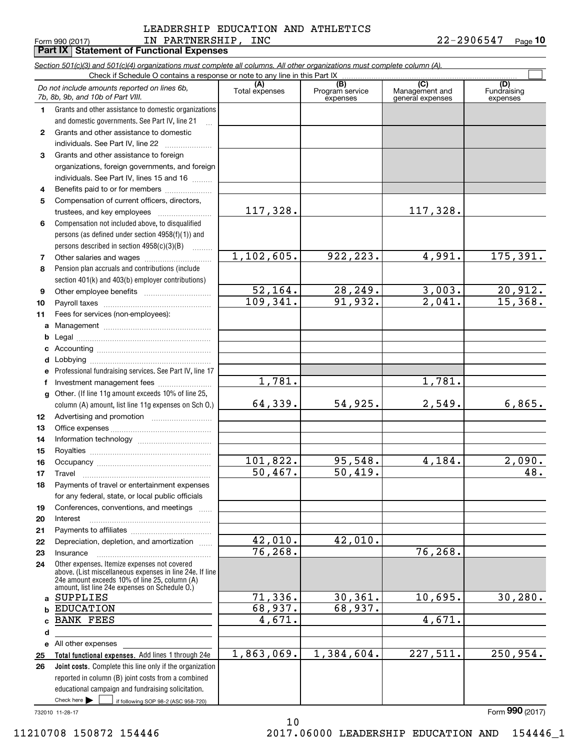#### LEADERSHIP EDUCATION AND ATHLETICS LEADERSHIP EDUCATION AND ATHLETICS Form990(2017) IN PARTNERSHIP, INC 22-2906547 Page **10**  Form 990 (2017) LN PAR'I'NERSHIP, INC 2 Z-Z9 U6 5 4 7 Page IN PARTNERSHIP, INC 22-2906547

**10**

|              | Part IX   Statement of Functional Expenses                                                                                                                |                       |                                    |                                           |                                |
|--------------|-----------------------------------------------------------------------------------------------------------------------------------------------------------|-----------------------|------------------------------------|-------------------------------------------|--------------------------------|
|              | Section 501(c)(3) and 501(c)(4) organizations must complete all columns. All other organizations must complete column (A).                                |                       |                                    |                                           |                                |
|              |                                                                                                                                                           |                       |                                    |                                           |                                |
|              | Do not include amounts reported on lines 6b,<br>7b, 8b, 9b, and 10b of Part VIII.                                                                         | (A)<br>Total expenses | (B)<br>Program service<br>expenses | (C)<br>Management and<br>general expenses | (D)<br>Fundraising<br>expenses |
| 1            | Grants and other assistance to domestic organizations                                                                                                     |                       |                                    |                                           |                                |
|              | and domestic governments. See Part IV, line 21                                                                                                            |                       |                                    |                                           |                                |
| $\mathbf{2}$ | Grants and other assistance to domestic                                                                                                                   |                       |                                    |                                           |                                |
|              | individuals. See Part IV, line 22                                                                                                                         |                       |                                    |                                           |                                |
| 3            | Grants and other assistance to foreign                                                                                                                    |                       |                                    |                                           |                                |
|              | organizations, foreign governments, and foreign                                                                                                           |                       |                                    |                                           |                                |
|              | individuals. See Part IV, lines 15 and 16                                                                                                                 |                       |                                    |                                           |                                |
| 4            | Benefits paid to or for members                                                                                                                           |                       |                                    |                                           |                                |
| 5            | Compensation of current officers, directors,                                                                                                              |                       |                                    |                                           |                                |
|              | trustees, and key employees                                                                                                                               | 117,328.              |                                    | 117, 328.                                 |                                |
| 6            | Compensation not included above, to disqualified                                                                                                          |                       |                                    |                                           |                                |
|              | persons (as defined under section 4958(f)(1)) and                                                                                                         |                       |                                    |                                           |                                |
|              | persons described in section 4958(c)(3)(B)                                                                                                                | 1,102,605.            | 922, 223.                          | 4,991.                                    | 175,391.                       |
| 7            |                                                                                                                                                           |                       |                                    |                                           |                                |
| 8            | Pension plan accruals and contributions (include                                                                                                          |                       |                                    |                                           |                                |
|              | section 401(k) and 403(b) employer contributions)                                                                                                         | 52,164.               | 28,249.                            | 3,003.                                    |                                |
| 9<br>10      |                                                                                                                                                           | 109,341.              | 91,932.                            | $\overline{2,041}$ .                      | $\frac{20,912.}{15,368.}$      |
| 11           | Fees for services (non-employees):                                                                                                                        |                       |                                    |                                           |                                |
| а            |                                                                                                                                                           |                       |                                    |                                           |                                |
| b            |                                                                                                                                                           |                       |                                    |                                           |                                |
| c            |                                                                                                                                                           |                       |                                    |                                           |                                |
| d            |                                                                                                                                                           |                       |                                    |                                           |                                |
| е            | Professional fundraising services. See Part IV, line 17                                                                                                   |                       |                                    |                                           |                                |
| f            | Investment management fees                                                                                                                                | 1,781.                |                                    | 1,781.                                    |                                |
| $\mathbf{q}$ | Other. (If line 11g amount exceeds 10% of line 25,                                                                                                        |                       |                                    |                                           |                                |
|              | column (A) amount, list line 11g expenses on Sch O.)                                                                                                      | 64,339.               | 54,925.                            | 2,549.                                    | 6,865.                         |
| 12           |                                                                                                                                                           |                       |                                    |                                           |                                |
| 13           |                                                                                                                                                           |                       |                                    |                                           |                                |
| 14           |                                                                                                                                                           |                       |                                    |                                           |                                |
| 15           |                                                                                                                                                           |                       |                                    |                                           |                                |
| 16           |                                                                                                                                                           | 101,822.              | 95,548.                            | 4,184.                                    | 2,090.                         |
| 17           | Travel                                                                                                                                                    | 50,467.               | $\overline{50, 419.}$              |                                           | 48.                            |
| 18           | Payments of travel or entertainment expenses                                                                                                              |                       |                                    |                                           |                                |
|              | for any federal, state, or local public officials                                                                                                         |                       |                                    |                                           |                                |
| 19           | Conferences, conventions, and meetings                                                                                                                    |                       |                                    |                                           |                                |
| 20           | Interest                                                                                                                                                  |                       |                                    |                                           |                                |
| 21           |                                                                                                                                                           |                       |                                    |                                           |                                |
| 22           | Depreciation, depletion, and amortization                                                                                                                 | 42,010.               | 42,010.                            |                                           |                                |
| 23           | Insurance                                                                                                                                                 | 76, 268.              |                                    | 76, 268.                                  |                                |
| 24           | Other expenses. Itemize expenses not covered<br>above. (List miscellaneous expenses in line 24e. If line<br>24e amount exceeds 10% of line 25, column (A) |                       |                                    |                                           |                                |
| a            | amount, list line 24e expenses on Schedule O.)<br>SUPPLIES                                                                                                | 71,336.               | 30, 361.                           | 10,695.                                   | 30, 280.                       |
| b            | <b>EDUCATION</b>                                                                                                                                          | 68,937.               | 68,937.                            |                                           |                                |
| C.           | <b>BANK FEES</b>                                                                                                                                          | 4,671.                |                                    | 4,671.                                    |                                |
| d            |                                                                                                                                                           |                       |                                    |                                           |                                |
|              | e All other expenses                                                                                                                                      |                       |                                    |                                           |                                |
| 25           | Total functional expenses. Add lines 1 through 24e                                                                                                        | 1,863,069.            | 1,384,604.                         | 227,511.                                  | 250, 954.                      |
| 26           | Joint costs. Complete this line only if the organization                                                                                                  |                       |                                    |                                           |                                |
|              | reported in column (B) joint costs from a combined                                                                                                        |                       |                                    |                                           |                                |
|              | educational campaign and fundraising solicitation.                                                                                                        |                       |                                    |                                           |                                |
|              | Check here $\blacktriangleright$<br>if following SOP 98-2 (ASC 958-720)                                                                                   |                       |                                    |                                           |                                |
|              | 732010 11-28-17                                                                                                                                           |                       |                                    |                                           | Form 990 (2017)                |
|              |                                                                                                                                                           | 10                    |                                    |                                           |                                |

11210708 150872 154446

10 10 2017.06000 LEADERSHIP EDUCATION AND 154446\_1 11210708 150872 154446 2017.06000 LEADERSHIP EDUCATION AND 154446\_1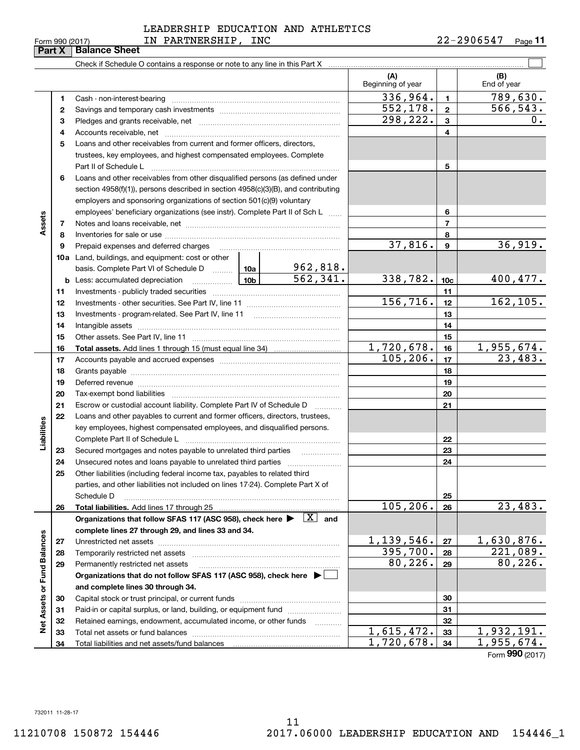#### 732011 11-28-17 732011 11-28-17

**Part X Balance Sheet**

### LEADERSHIP EDUCATION AND ATHLETICS LEADERSHIP EDUCATION AND ATHLETICS Form 990 (2017) **IN PARTNERSHIP, INC** 22-2906547 Page 11

**11**

| (A)<br>(B)<br>Beginning of year<br>End of year<br>336,964.<br>789,630.<br>$\mathbf{1}$<br>1<br>552,178.<br>566, 543.<br>$\overline{\mathbf{2}}$<br>2<br>298,222.<br>0.<br>3<br>з<br>4<br>4<br>Loans and other receivables from current and former officers, directors,<br>5<br>trustees, key employees, and highest compensated employees. Complete<br>Part II of Schedule L<br>5<br>Loans and other receivables from other disqualified persons (as defined under<br>6<br>section $4958(f)(1)$ , persons described in section $4958(c)(3)(B)$ , and contributing<br>employers and sponsoring organizations of section 501(c)(9) voluntary<br>employees' beneficiary organizations (see instr). Complete Part II of Sch L<br>6<br>$\overline{7}$<br>7<br>8<br>8<br>37,816.<br>36,919.<br>$\boldsymbol{9}$<br>9<br>Prepaid expenses and deferred charges<br><b>10a</b> Land, buildings, and equipment: cost or other<br>$\frac{962,818.}{562,341.}$<br>basis. Complete Part VI of Schedule D  10a<br>338,782.<br>400,477.<br> 10b <br>10 <sub>c</sub><br>Less: accumulated depreciation<br>b<br>$\ldots \ldots \ldots \ldots \ldots$<br>11<br>11<br>156, 716.<br>162, 105.<br>12<br>12<br>13<br>13<br>14<br>14<br>15<br>15<br>1,720,678.<br>1,955,674.<br>16<br>16<br>105, 206.<br>23,483.<br>17<br>17<br>18<br>18<br>19<br>19<br>Deferred revenue manual contracts and contracts are all the manual contracts and contracts are all the contracts of the contracts of the contracts of the contracts of the contracts of the contracts of the contracts of the<br>20<br>20<br>21<br>21<br>Escrow or custodial account liability. Complete Part IV of Schedule D<br>Loans and other payables to current and former officers, directors, trustees,<br>22<br>Liabilities<br>key employees, highest compensated employees, and disqualified persons.<br>22<br>23<br>Secured mortgages and notes payable to unrelated third parties<br>23<br>24<br>24<br>25<br>Other liabilities (including federal income tax, payables to related third<br>parties, and other liabilities not included on lines 17-24). Complete Part X of<br>25<br>Schedule D<br>105,206.<br>23,483.<br>Total liabilities. Add lines 17 through 25<br>26<br>26<br>Organizations that follow SFAS 117 (ASC 958), check here $\blacktriangleright \begin{array}{ c } \hline X & \text{and} \end{array}$<br>complete lines 27 through 29, and lines 33 and 34.<br>Net Assets or Fund Balances<br>1,139,546.<br>1,630,876.<br>27<br>27<br>395,700.<br>$\overline{221,089}$ .<br>28<br>Temporarily restricted net assets<br>28<br>80, 226.<br>80, 226.<br>29<br>29<br>Permanently restricted net assets<br>Organizations that do not follow SFAS 117 (ASC 958), check here ▶ │<br>and complete lines 30 through 34.<br>30<br>30<br>31<br>Paid-in or capital surplus, or land, building, or equipment fund<br>31<br>32<br>Retained earnings, endowment, accumulated income, or other funds<br>32<br>.<br>1,615,472.<br>1,932,191.<br>33<br>33<br>Total net assets or fund balances<br>1,955,674.<br>$\overline{1,720}$ , 678.<br>34<br>34<br>Total liabilities and net assets/fund balances |        |  |  |  |                 |
|-----------------------------------------------------------------------------------------------------------------------------------------------------------------------------------------------------------------------------------------------------------------------------------------------------------------------------------------------------------------------------------------------------------------------------------------------------------------------------------------------------------------------------------------------------------------------------------------------------------------------------------------------------------------------------------------------------------------------------------------------------------------------------------------------------------------------------------------------------------------------------------------------------------------------------------------------------------------------------------------------------------------------------------------------------------------------------------------------------------------------------------------------------------------------------------------------------------------------------------------------------------------------------------------------------------------------------------------------------------------------------------------------------------------------------------------------------------------------------------------------------------------------------------------------------------------------------------------------------------------------------------------------------------------------------------------------------------------------------------------------------------------------------------------------------------------------------------------------------------------------------------------------------------------------------------------------------------------------------------------------------------------------------------------------------------------------------------------------------------------------------------------------------------------------------------------------------------------------------------------------------------------------------------------------------------------------------------------------------------------------------------------------------------------------------------------------------------------------------------------------------------------------------------------------------------------------------------------------------------------------------------------------------------------------------------------------------------------------------------------------------------------------------------------------------------------------------------------------------------------------------------------------------------------------------------------------------------------------------------------------------------------------------------------------------------------------------------------------------------------------------------------------------|--------|--|--|--|-----------------|
|                                                                                                                                                                                                                                                                                                                                                                                                                                                                                                                                                                                                                                                                                                                                                                                                                                                                                                                                                                                                                                                                                                                                                                                                                                                                                                                                                                                                                                                                                                                                                                                                                                                                                                                                                                                                                                                                                                                                                                                                                                                                                                                                                                                                                                                                                                                                                                                                                                                                                                                                                                                                                                                                                                                                                                                                                                                                                                                                                                                                                                                                                                                                                     |        |  |  |  |                 |
|                                                                                                                                                                                                                                                                                                                                                                                                                                                                                                                                                                                                                                                                                                                                                                                                                                                                                                                                                                                                                                                                                                                                                                                                                                                                                                                                                                                                                                                                                                                                                                                                                                                                                                                                                                                                                                                                                                                                                                                                                                                                                                                                                                                                                                                                                                                                                                                                                                                                                                                                                                                                                                                                                                                                                                                                                                                                                                                                                                                                                                                                                                                                                     |        |  |  |  |                 |
|                                                                                                                                                                                                                                                                                                                                                                                                                                                                                                                                                                                                                                                                                                                                                                                                                                                                                                                                                                                                                                                                                                                                                                                                                                                                                                                                                                                                                                                                                                                                                                                                                                                                                                                                                                                                                                                                                                                                                                                                                                                                                                                                                                                                                                                                                                                                                                                                                                                                                                                                                                                                                                                                                                                                                                                                                                                                                                                                                                                                                                                                                                                                                     |        |  |  |  |                 |
|                                                                                                                                                                                                                                                                                                                                                                                                                                                                                                                                                                                                                                                                                                                                                                                                                                                                                                                                                                                                                                                                                                                                                                                                                                                                                                                                                                                                                                                                                                                                                                                                                                                                                                                                                                                                                                                                                                                                                                                                                                                                                                                                                                                                                                                                                                                                                                                                                                                                                                                                                                                                                                                                                                                                                                                                                                                                                                                                                                                                                                                                                                                                                     |        |  |  |  |                 |
|                                                                                                                                                                                                                                                                                                                                                                                                                                                                                                                                                                                                                                                                                                                                                                                                                                                                                                                                                                                                                                                                                                                                                                                                                                                                                                                                                                                                                                                                                                                                                                                                                                                                                                                                                                                                                                                                                                                                                                                                                                                                                                                                                                                                                                                                                                                                                                                                                                                                                                                                                                                                                                                                                                                                                                                                                                                                                                                                                                                                                                                                                                                                                     |        |  |  |  |                 |
|                                                                                                                                                                                                                                                                                                                                                                                                                                                                                                                                                                                                                                                                                                                                                                                                                                                                                                                                                                                                                                                                                                                                                                                                                                                                                                                                                                                                                                                                                                                                                                                                                                                                                                                                                                                                                                                                                                                                                                                                                                                                                                                                                                                                                                                                                                                                                                                                                                                                                                                                                                                                                                                                                                                                                                                                                                                                                                                                                                                                                                                                                                                                                     |        |  |  |  |                 |
|                                                                                                                                                                                                                                                                                                                                                                                                                                                                                                                                                                                                                                                                                                                                                                                                                                                                                                                                                                                                                                                                                                                                                                                                                                                                                                                                                                                                                                                                                                                                                                                                                                                                                                                                                                                                                                                                                                                                                                                                                                                                                                                                                                                                                                                                                                                                                                                                                                                                                                                                                                                                                                                                                                                                                                                                                                                                                                                                                                                                                                                                                                                                                     |        |  |  |  |                 |
|                                                                                                                                                                                                                                                                                                                                                                                                                                                                                                                                                                                                                                                                                                                                                                                                                                                                                                                                                                                                                                                                                                                                                                                                                                                                                                                                                                                                                                                                                                                                                                                                                                                                                                                                                                                                                                                                                                                                                                                                                                                                                                                                                                                                                                                                                                                                                                                                                                                                                                                                                                                                                                                                                                                                                                                                                                                                                                                                                                                                                                                                                                                                                     |        |  |  |  |                 |
|                                                                                                                                                                                                                                                                                                                                                                                                                                                                                                                                                                                                                                                                                                                                                                                                                                                                                                                                                                                                                                                                                                                                                                                                                                                                                                                                                                                                                                                                                                                                                                                                                                                                                                                                                                                                                                                                                                                                                                                                                                                                                                                                                                                                                                                                                                                                                                                                                                                                                                                                                                                                                                                                                                                                                                                                                                                                                                                                                                                                                                                                                                                                                     |        |  |  |  |                 |
|                                                                                                                                                                                                                                                                                                                                                                                                                                                                                                                                                                                                                                                                                                                                                                                                                                                                                                                                                                                                                                                                                                                                                                                                                                                                                                                                                                                                                                                                                                                                                                                                                                                                                                                                                                                                                                                                                                                                                                                                                                                                                                                                                                                                                                                                                                                                                                                                                                                                                                                                                                                                                                                                                                                                                                                                                                                                                                                                                                                                                                                                                                                                                     |        |  |  |  |                 |
|                                                                                                                                                                                                                                                                                                                                                                                                                                                                                                                                                                                                                                                                                                                                                                                                                                                                                                                                                                                                                                                                                                                                                                                                                                                                                                                                                                                                                                                                                                                                                                                                                                                                                                                                                                                                                                                                                                                                                                                                                                                                                                                                                                                                                                                                                                                                                                                                                                                                                                                                                                                                                                                                                                                                                                                                                                                                                                                                                                                                                                                                                                                                                     | Assets |  |  |  |                 |
|                                                                                                                                                                                                                                                                                                                                                                                                                                                                                                                                                                                                                                                                                                                                                                                                                                                                                                                                                                                                                                                                                                                                                                                                                                                                                                                                                                                                                                                                                                                                                                                                                                                                                                                                                                                                                                                                                                                                                                                                                                                                                                                                                                                                                                                                                                                                                                                                                                                                                                                                                                                                                                                                                                                                                                                                                                                                                                                                                                                                                                                                                                                                                     |        |  |  |  |                 |
|                                                                                                                                                                                                                                                                                                                                                                                                                                                                                                                                                                                                                                                                                                                                                                                                                                                                                                                                                                                                                                                                                                                                                                                                                                                                                                                                                                                                                                                                                                                                                                                                                                                                                                                                                                                                                                                                                                                                                                                                                                                                                                                                                                                                                                                                                                                                                                                                                                                                                                                                                                                                                                                                                                                                                                                                                                                                                                                                                                                                                                                                                                                                                     |        |  |  |  |                 |
|                                                                                                                                                                                                                                                                                                                                                                                                                                                                                                                                                                                                                                                                                                                                                                                                                                                                                                                                                                                                                                                                                                                                                                                                                                                                                                                                                                                                                                                                                                                                                                                                                                                                                                                                                                                                                                                                                                                                                                                                                                                                                                                                                                                                                                                                                                                                                                                                                                                                                                                                                                                                                                                                                                                                                                                                                                                                                                                                                                                                                                                                                                                                                     |        |  |  |  |                 |
|                                                                                                                                                                                                                                                                                                                                                                                                                                                                                                                                                                                                                                                                                                                                                                                                                                                                                                                                                                                                                                                                                                                                                                                                                                                                                                                                                                                                                                                                                                                                                                                                                                                                                                                                                                                                                                                                                                                                                                                                                                                                                                                                                                                                                                                                                                                                                                                                                                                                                                                                                                                                                                                                                                                                                                                                                                                                                                                                                                                                                                                                                                                                                     |        |  |  |  |                 |
|                                                                                                                                                                                                                                                                                                                                                                                                                                                                                                                                                                                                                                                                                                                                                                                                                                                                                                                                                                                                                                                                                                                                                                                                                                                                                                                                                                                                                                                                                                                                                                                                                                                                                                                                                                                                                                                                                                                                                                                                                                                                                                                                                                                                                                                                                                                                                                                                                                                                                                                                                                                                                                                                                                                                                                                                                                                                                                                                                                                                                                                                                                                                                     |        |  |  |  |                 |
|                                                                                                                                                                                                                                                                                                                                                                                                                                                                                                                                                                                                                                                                                                                                                                                                                                                                                                                                                                                                                                                                                                                                                                                                                                                                                                                                                                                                                                                                                                                                                                                                                                                                                                                                                                                                                                                                                                                                                                                                                                                                                                                                                                                                                                                                                                                                                                                                                                                                                                                                                                                                                                                                                                                                                                                                                                                                                                                                                                                                                                                                                                                                                     |        |  |  |  |                 |
|                                                                                                                                                                                                                                                                                                                                                                                                                                                                                                                                                                                                                                                                                                                                                                                                                                                                                                                                                                                                                                                                                                                                                                                                                                                                                                                                                                                                                                                                                                                                                                                                                                                                                                                                                                                                                                                                                                                                                                                                                                                                                                                                                                                                                                                                                                                                                                                                                                                                                                                                                                                                                                                                                                                                                                                                                                                                                                                                                                                                                                                                                                                                                     |        |  |  |  |                 |
|                                                                                                                                                                                                                                                                                                                                                                                                                                                                                                                                                                                                                                                                                                                                                                                                                                                                                                                                                                                                                                                                                                                                                                                                                                                                                                                                                                                                                                                                                                                                                                                                                                                                                                                                                                                                                                                                                                                                                                                                                                                                                                                                                                                                                                                                                                                                                                                                                                                                                                                                                                                                                                                                                                                                                                                                                                                                                                                                                                                                                                                                                                                                                     |        |  |  |  |                 |
|                                                                                                                                                                                                                                                                                                                                                                                                                                                                                                                                                                                                                                                                                                                                                                                                                                                                                                                                                                                                                                                                                                                                                                                                                                                                                                                                                                                                                                                                                                                                                                                                                                                                                                                                                                                                                                                                                                                                                                                                                                                                                                                                                                                                                                                                                                                                                                                                                                                                                                                                                                                                                                                                                                                                                                                                                                                                                                                                                                                                                                                                                                                                                     |        |  |  |  |                 |
|                                                                                                                                                                                                                                                                                                                                                                                                                                                                                                                                                                                                                                                                                                                                                                                                                                                                                                                                                                                                                                                                                                                                                                                                                                                                                                                                                                                                                                                                                                                                                                                                                                                                                                                                                                                                                                                                                                                                                                                                                                                                                                                                                                                                                                                                                                                                                                                                                                                                                                                                                                                                                                                                                                                                                                                                                                                                                                                                                                                                                                                                                                                                                     |        |  |  |  |                 |
|                                                                                                                                                                                                                                                                                                                                                                                                                                                                                                                                                                                                                                                                                                                                                                                                                                                                                                                                                                                                                                                                                                                                                                                                                                                                                                                                                                                                                                                                                                                                                                                                                                                                                                                                                                                                                                                                                                                                                                                                                                                                                                                                                                                                                                                                                                                                                                                                                                                                                                                                                                                                                                                                                                                                                                                                                                                                                                                                                                                                                                                                                                                                                     |        |  |  |  |                 |
|                                                                                                                                                                                                                                                                                                                                                                                                                                                                                                                                                                                                                                                                                                                                                                                                                                                                                                                                                                                                                                                                                                                                                                                                                                                                                                                                                                                                                                                                                                                                                                                                                                                                                                                                                                                                                                                                                                                                                                                                                                                                                                                                                                                                                                                                                                                                                                                                                                                                                                                                                                                                                                                                                                                                                                                                                                                                                                                                                                                                                                                                                                                                                     |        |  |  |  |                 |
|                                                                                                                                                                                                                                                                                                                                                                                                                                                                                                                                                                                                                                                                                                                                                                                                                                                                                                                                                                                                                                                                                                                                                                                                                                                                                                                                                                                                                                                                                                                                                                                                                                                                                                                                                                                                                                                                                                                                                                                                                                                                                                                                                                                                                                                                                                                                                                                                                                                                                                                                                                                                                                                                                                                                                                                                                                                                                                                                                                                                                                                                                                                                                     |        |  |  |  |                 |
|                                                                                                                                                                                                                                                                                                                                                                                                                                                                                                                                                                                                                                                                                                                                                                                                                                                                                                                                                                                                                                                                                                                                                                                                                                                                                                                                                                                                                                                                                                                                                                                                                                                                                                                                                                                                                                                                                                                                                                                                                                                                                                                                                                                                                                                                                                                                                                                                                                                                                                                                                                                                                                                                                                                                                                                                                                                                                                                                                                                                                                                                                                                                                     |        |  |  |  |                 |
|                                                                                                                                                                                                                                                                                                                                                                                                                                                                                                                                                                                                                                                                                                                                                                                                                                                                                                                                                                                                                                                                                                                                                                                                                                                                                                                                                                                                                                                                                                                                                                                                                                                                                                                                                                                                                                                                                                                                                                                                                                                                                                                                                                                                                                                                                                                                                                                                                                                                                                                                                                                                                                                                                                                                                                                                                                                                                                                                                                                                                                                                                                                                                     |        |  |  |  |                 |
|                                                                                                                                                                                                                                                                                                                                                                                                                                                                                                                                                                                                                                                                                                                                                                                                                                                                                                                                                                                                                                                                                                                                                                                                                                                                                                                                                                                                                                                                                                                                                                                                                                                                                                                                                                                                                                                                                                                                                                                                                                                                                                                                                                                                                                                                                                                                                                                                                                                                                                                                                                                                                                                                                                                                                                                                                                                                                                                                                                                                                                                                                                                                                     |        |  |  |  |                 |
|                                                                                                                                                                                                                                                                                                                                                                                                                                                                                                                                                                                                                                                                                                                                                                                                                                                                                                                                                                                                                                                                                                                                                                                                                                                                                                                                                                                                                                                                                                                                                                                                                                                                                                                                                                                                                                                                                                                                                                                                                                                                                                                                                                                                                                                                                                                                                                                                                                                                                                                                                                                                                                                                                                                                                                                                                                                                                                                                                                                                                                                                                                                                                     |        |  |  |  |                 |
|                                                                                                                                                                                                                                                                                                                                                                                                                                                                                                                                                                                                                                                                                                                                                                                                                                                                                                                                                                                                                                                                                                                                                                                                                                                                                                                                                                                                                                                                                                                                                                                                                                                                                                                                                                                                                                                                                                                                                                                                                                                                                                                                                                                                                                                                                                                                                                                                                                                                                                                                                                                                                                                                                                                                                                                                                                                                                                                                                                                                                                                                                                                                                     |        |  |  |  |                 |
|                                                                                                                                                                                                                                                                                                                                                                                                                                                                                                                                                                                                                                                                                                                                                                                                                                                                                                                                                                                                                                                                                                                                                                                                                                                                                                                                                                                                                                                                                                                                                                                                                                                                                                                                                                                                                                                                                                                                                                                                                                                                                                                                                                                                                                                                                                                                                                                                                                                                                                                                                                                                                                                                                                                                                                                                                                                                                                                                                                                                                                                                                                                                                     |        |  |  |  |                 |
|                                                                                                                                                                                                                                                                                                                                                                                                                                                                                                                                                                                                                                                                                                                                                                                                                                                                                                                                                                                                                                                                                                                                                                                                                                                                                                                                                                                                                                                                                                                                                                                                                                                                                                                                                                                                                                                                                                                                                                                                                                                                                                                                                                                                                                                                                                                                                                                                                                                                                                                                                                                                                                                                                                                                                                                                                                                                                                                                                                                                                                                                                                                                                     |        |  |  |  |                 |
|                                                                                                                                                                                                                                                                                                                                                                                                                                                                                                                                                                                                                                                                                                                                                                                                                                                                                                                                                                                                                                                                                                                                                                                                                                                                                                                                                                                                                                                                                                                                                                                                                                                                                                                                                                                                                                                                                                                                                                                                                                                                                                                                                                                                                                                                                                                                                                                                                                                                                                                                                                                                                                                                                                                                                                                                                                                                                                                                                                                                                                                                                                                                                     |        |  |  |  |                 |
|                                                                                                                                                                                                                                                                                                                                                                                                                                                                                                                                                                                                                                                                                                                                                                                                                                                                                                                                                                                                                                                                                                                                                                                                                                                                                                                                                                                                                                                                                                                                                                                                                                                                                                                                                                                                                                                                                                                                                                                                                                                                                                                                                                                                                                                                                                                                                                                                                                                                                                                                                                                                                                                                                                                                                                                                                                                                                                                                                                                                                                                                                                                                                     |        |  |  |  |                 |
|                                                                                                                                                                                                                                                                                                                                                                                                                                                                                                                                                                                                                                                                                                                                                                                                                                                                                                                                                                                                                                                                                                                                                                                                                                                                                                                                                                                                                                                                                                                                                                                                                                                                                                                                                                                                                                                                                                                                                                                                                                                                                                                                                                                                                                                                                                                                                                                                                                                                                                                                                                                                                                                                                                                                                                                                                                                                                                                                                                                                                                                                                                                                                     |        |  |  |  |                 |
|                                                                                                                                                                                                                                                                                                                                                                                                                                                                                                                                                                                                                                                                                                                                                                                                                                                                                                                                                                                                                                                                                                                                                                                                                                                                                                                                                                                                                                                                                                                                                                                                                                                                                                                                                                                                                                                                                                                                                                                                                                                                                                                                                                                                                                                                                                                                                                                                                                                                                                                                                                                                                                                                                                                                                                                                                                                                                                                                                                                                                                                                                                                                                     |        |  |  |  |                 |
|                                                                                                                                                                                                                                                                                                                                                                                                                                                                                                                                                                                                                                                                                                                                                                                                                                                                                                                                                                                                                                                                                                                                                                                                                                                                                                                                                                                                                                                                                                                                                                                                                                                                                                                                                                                                                                                                                                                                                                                                                                                                                                                                                                                                                                                                                                                                                                                                                                                                                                                                                                                                                                                                                                                                                                                                                                                                                                                                                                                                                                                                                                                                                     |        |  |  |  |                 |
|                                                                                                                                                                                                                                                                                                                                                                                                                                                                                                                                                                                                                                                                                                                                                                                                                                                                                                                                                                                                                                                                                                                                                                                                                                                                                                                                                                                                                                                                                                                                                                                                                                                                                                                                                                                                                                                                                                                                                                                                                                                                                                                                                                                                                                                                                                                                                                                                                                                                                                                                                                                                                                                                                                                                                                                                                                                                                                                                                                                                                                                                                                                                                     |        |  |  |  |                 |
|                                                                                                                                                                                                                                                                                                                                                                                                                                                                                                                                                                                                                                                                                                                                                                                                                                                                                                                                                                                                                                                                                                                                                                                                                                                                                                                                                                                                                                                                                                                                                                                                                                                                                                                                                                                                                                                                                                                                                                                                                                                                                                                                                                                                                                                                                                                                                                                                                                                                                                                                                                                                                                                                                                                                                                                                                                                                                                                                                                                                                                                                                                                                                     |        |  |  |  |                 |
|                                                                                                                                                                                                                                                                                                                                                                                                                                                                                                                                                                                                                                                                                                                                                                                                                                                                                                                                                                                                                                                                                                                                                                                                                                                                                                                                                                                                                                                                                                                                                                                                                                                                                                                                                                                                                                                                                                                                                                                                                                                                                                                                                                                                                                                                                                                                                                                                                                                                                                                                                                                                                                                                                                                                                                                                                                                                                                                                                                                                                                                                                                                                                     |        |  |  |  |                 |
|                                                                                                                                                                                                                                                                                                                                                                                                                                                                                                                                                                                                                                                                                                                                                                                                                                                                                                                                                                                                                                                                                                                                                                                                                                                                                                                                                                                                                                                                                                                                                                                                                                                                                                                                                                                                                                                                                                                                                                                                                                                                                                                                                                                                                                                                                                                                                                                                                                                                                                                                                                                                                                                                                                                                                                                                                                                                                                                                                                                                                                                                                                                                                     |        |  |  |  |                 |
|                                                                                                                                                                                                                                                                                                                                                                                                                                                                                                                                                                                                                                                                                                                                                                                                                                                                                                                                                                                                                                                                                                                                                                                                                                                                                                                                                                                                                                                                                                                                                                                                                                                                                                                                                                                                                                                                                                                                                                                                                                                                                                                                                                                                                                                                                                                                                                                                                                                                                                                                                                                                                                                                                                                                                                                                                                                                                                                                                                                                                                                                                                                                                     |        |  |  |  |                 |
|                                                                                                                                                                                                                                                                                                                                                                                                                                                                                                                                                                                                                                                                                                                                                                                                                                                                                                                                                                                                                                                                                                                                                                                                                                                                                                                                                                                                                                                                                                                                                                                                                                                                                                                                                                                                                                                                                                                                                                                                                                                                                                                                                                                                                                                                                                                                                                                                                                                                                                                                                                                                                                                                                                                                                                                                                                                                                                                                                                                                                                                                                                                                                     |        |  |  |  |                 |
|                                                                                                                                                                                                                                                                                                                                                                                                                                                                                                                                                                                                                                                                                                                                                                                                                                                                                                                                                                                                                                                                                                                                                                                                                                                                                                                                                                                                                                                                                                                                                                                                                                                                                                                                                                                                                                                                                                                                                                                                                                                                                                                                                                                                                                                                                                                                                                                                                                                                                                                                                                                                                                                                                                                                                                                                                                                                                                                                                                                                                                                                                                                                                     |        |  |  |  |                 |
|                                                                                                                                                                                                                                                                                                                                                                                                                                                                                                                                                                                                                                                                                                                                                                                                                                                                                                                                                                                                                                                                                                                                                                                                                                                                                                                                                                                                                                                                                                                                                                                                                                                                                                                                                                                                                                                                                                                                                                                                                                                                                                                                                                                                                                                                                                                                                                                                                                                                                                                                                                                                                                                                                                                                                                                                                                                                                                                                                                                                                                                                                                                                                     |        |  |  |  |                 |
|                                                                                                                                                                                                                                                                                                                                                                                                                                                                                                                                                                                                                                                                                                                                                                                                                                                                                                                                                                                                                                                                                                                                                                                                                                                                                                                                                                                                                                                                                                                                                                                                                                                                                                                                                                                                                                                                                                                                                                                                                                                                                                                                                                                                                                                                                                                                                                                                                                                                                                                                                                                                                                                                                                                                                                                                                                                                                                                                                                                                                                                                                                                                                     |        |  |  |  |                 |
|                                                                                                                                                                                                                                                                                                                                                                                                                                                                                                                                                                                                                                                                                                                                                                                                                                                                                                                                                                                                                                                                                                                                                                                                                                                                                                                                                                                                                                                                                                                                                                                                                                                                                                                                                                                                                                                                                                                                                                                                                                                                                                                                                                                                                                                                                                                                                                                                                                                                                                                                                                                                                                                                                                                                                                                                                                                                                                                                                                                                                                                                                                                                                     |        |  |  |  |                 |
|                                                                                                                                                                                                                                                                                                                                                                                                                                                                                                                                                                                                                                                                                                                                                                                                                                                                                                                                                                                                                                                                                                                                                                                                                                                                                                                                                                                                                                                                                                                                                                                                                                                                                                                                                                                                                                                                                                                                                                                                                                                                                                                                                                                                                                                                                                                                                                                                                                                                                                                                                                                                                                                                                                                                                                                                                                                                                                                                                                                                                                                                                                                                                     |        |  |  |  |                 |
|                                                                                                                                                                                                                                                                                                                                                                                                                                                                                                                                                                                                                                                                                                                                                                                                                                                                                                                                                                                                                                                                                                                                                                                                                                                                                                                                                                                                                                                                                                                                                                                                                                                                                                                                                                                                                                                                                                                                                                                                                                                                                                                                                                                                                                                                                                                                                                                                                                                                                                                                                                                                                                                                                                                                                                                                                                                                                                                                                                                                                                                                                                                                                     |        |  |  |  |                 |
|                                                                                                                                                                                                                                                                                                                                                                                                                                                                                                                                                                                                                                                                                                                                                                                                                                                                                                                                                                                                                                                                                                                                                                                                                                                                                                                                                                                                                                                                                                                                                                                                                                                                                                                                                                                                                                                                                                                                                                                                                                                                                                                                                                                                                                                                                                                                                                                                                                                                                                                                                                                                                                                                                                                                                                                                                                                                                                                                                                                                                                                                                                                                                     |        |  |  |  |                 |
|                                                                                                                                                                                                                                                                                                                                                                                                                                                                                                                                                                                                                                                                                                                                                                                                                                                                                                                                                                                                                                                                                                                                                                                                                                                                                                                                                                                                                                                                                                                                                                                                                                                                                                                                                                                                                                                                                                                                                                                                                                                                                                                                                                                                                                                                                                                                                                                                                                                                                                                                                                                                                                                                                                                                                                                                                                                                                                                                                                                                                                                                                                                                                     |        |  |  |  | Form 990 (2017) |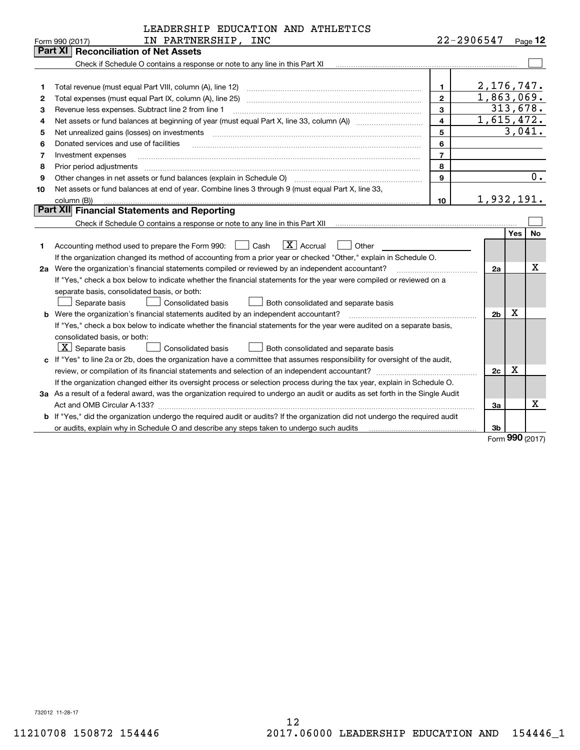|    | LEADERSHIP EDUCATION AND ATHLETICS                                                                                              |                |                |                   |                  |
|----|---------------------------------------------------------------------------------------------------------------------------------|----------------|----------------|-------------------|------------------|
|    | IN PARTNERSHIP, INC<br>Form 990 (2017)                                                                                          |                | 22-2906547     |                   | Page $12$        |
|    | Part XI<br><b>Reconciliation of Net Assets</b>                                                                                  |                |                |                   |                  |
|    | Check if Schedule O contains a response or note to any line in this Part XI                                                     |                |                |                   |                  |
|    |                                                                                                                                 |                |                |                   |                  |
| 1  | Total revenue (must equal Part VIII, column (A), line 12)                                                                       | 1.             | 2,176,747.     |                   |                  |
| 2  | Total expenses (must equal Part IX, column (A), line 25)                                                                        | $\mathbf{2}$   | 1,863,069.     |                   |                  |
| з  | Revenue less expenses. Subtract line 2 from line 1                                                                              | 3              |                | 313,678.          |                  |
| 4  |                                                                                                                                 | 4              | 1,615,472.     |                   |                  |
| 5  | Net unrealized gains (losses) on investments                                                                                    | 5              |                | 3,041.            |                  |
| 6  | Donated services and use of facilities                                                                                          | 6              |                |                   |                  |
| 7  | Investment expenses                                                                                                             | $\overline{7}$ |                |                   |                  |
| 8  | Prior period adjustments                                                                                                        | 8              |                |                   |                  |
| 9  | Other changes in net assets or fund balances (explain in Schedule O)                                                            | 9              |                |                   | $\overline{0}$ . |
| 10 | Net assets or fund balances at end of year. Combine lines 3 through 9 (must equal Part X, line 33,                              |                |                |                   |                  |
|    | column (B))                                                                                                                     | 10             | 1,932,191.     |                   |                  |
|    | Part XII Financial Statements and Reporting                                                                                     |                |                |                   |                  |
|    | Check if Schedule O contains a response or note to any line in this Part XII                                                    |                |                |                   |                  |
|    |                                                                                                                                 |                |                | Yes               | No               |
| 1  | $\boxed{\mathbf{X}}$ Accrual<br>Accounting method used to prepare the Form 990: <u>I</u> Cash<br>Other                          |                |                |                   |                  |
|    | If the organization changed its method of accounting from a prior year or checked "Other," explain in Schedule O.               |                |                |                   |                  |
|    | 2a Were the organization's financial statements compiled or reviewed by an independent accountant?                              |                | 2a             |                   | х                |
|    | If "Yes," check a box below to indicate whether the financial statements for the year were compiled or reviewed on a            |                |                |                   |                  |
|    | separate basis, consolidated basis, or both:                                                                                    |                |                |                   |                  |
|    | Separate basis<br>Consolidated basis<br>Both consolidated and separate basis                                                    |                |                |                   |                  |
|    | b Were the organization's financial statements audited by an independent accountant?                                            |                | 2 <sub>b</sub> | X                 |                  |
|    | If "Yes," check a box below to indicate whether the financial statements for the year were audited on a separate basis,         |                |                |                   |                  |
|    | consolidated basis, or both:                                                                                                    |                |                |                   |                  |
|    | $X$ Separate basis<br><b>Consolidated basis</b><br>Both consolidated and separate basis                                         |                |                |                   |                  |
|    | c If "Yes" to line 2a or 2b, does the organization have a committee that assumes responsibility for oversight of the audit,     |                |                |                   |                  |
|    |                                                                                                                                 |                | 2c             | X                 |                  |
|    | If the organization changed either its oversight process or selection process during the tax year, explain in Schedule O.       |                |                |                   |                  |
|    | 3a As a result of a federal award, was the organization required to undergo an audit or audits as set forth in the Single Audit |                |                |                   |                  |
|    |                                                                                                                                 |                | За             |                   | х                |
|    | b If "Yes," did the organization undergo the required audit or audits? If the organization did not undergo the required audit   |                |                |                   |                  |
|    |                                                                                                                                 |                | 3b             | $\Omega$ $\Omega$ |                  |

Form **990** (2017) Form (2017) **990**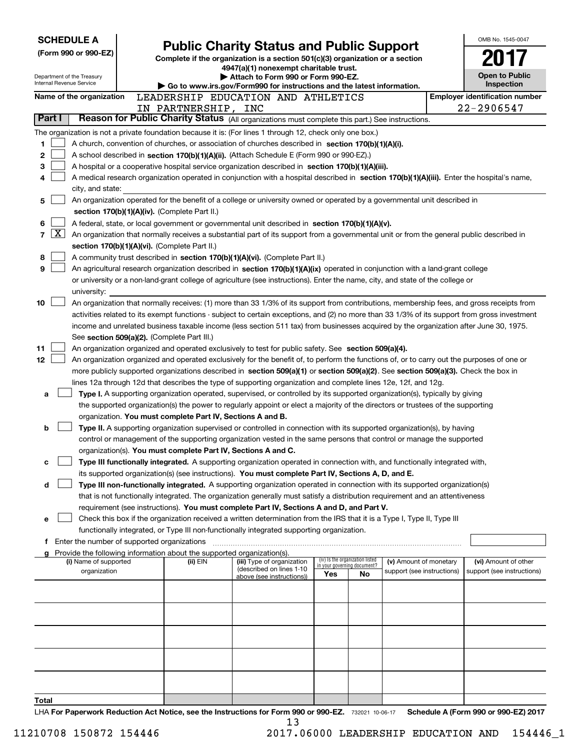|                |              | <b>SCHEDULE A</b>                           |                                                                        |                                                                                                                                                                                                                                                                 |     |                                                                |                            | OMB No. 1545-0047                     |
|----------------|--------------|---------------------------------------------|------------------------------------------------------------------------|-----------------------------------------------------------------------------------------------------------------------------------------------------------------------------------------------------------------------------------------------------------------|-----|----------------------------------------------------------------|----------------------------|---------------------------------------|
|                |              | (Form 990 or 990-EZ)                        |                                                                        | <b>Public Charity Status and Public Support</b>                                                                                                                                                                                                                 |     |                                                                |                            |                                       |
|                |              |                                             |                                                                        | Complete if the organization is a section 501(c)(3) organization or a section<br>4947(a)(1) nonexempt charitable trust.                                                                                                                                         |     |                                                                |                            |                                       |
|                |              | Department of the Treasury                  |                                                                        | Attach to Form 990 or Form 990-EZ.                                                                                                                                                                                                                              |     |                                                                |                            | <b>Open to Public</b>                 |
|                |              | Internal Revenue Service                    |                                                                        | Go to www.irs.gov/Form990 for instructions and the latest information.                                                                                                                                                                                          |     |                                                                |                            | Inspection                            |
|                |              | Name of the organization                    |                                                                        | LEADERSHIP EDUCATION AND ATHLETICS                                                                                                                                                                                                                              |     |                                                                |                            | <b>Employer identification number</b> |
|                | Part I       |                                             | IN PARTNERSHIP, INC                                                    | Reason for Public Charity Status (All organizations must complete this part.) See instructions.                                                                                                                                                                 |     |                                                                |                            | 22-2906547                            |
|                |              |                                             |                                                                        |                                                                                                                                                                                                                                                                 |     |                                                                |                            |                                       |
| 1.             |              |                                             |                                                                        | The organization is not a private foundation because it is: (For lines 1 through 12, check only one box.)<br>A church, convention of churches, or association of churches described in section 170(b)(1)(A)(i).                                                 |     |                                                                |                            |                                       |
| 2              |              |                                             |                                                                        | A school described in section 170(b)(1)(A)(ii). (Attach Schedule E (Form 990 or 990-EZ).)                                                                                                                                                                       |     |                                                                |                            |                                       |
| 3              |              |                                             |                                                                        | A hospital or a cooperative hospital service organization described in section 170(b)(1)(A)(iii).                                                                                                                                                               |     |                                                                |                            |                                       |
| 4              |              |                                             |                                                                        | A medical research organization operated in conjunction with a hospital described in section 170(b)(1)(A)(iii). Enter the hospital's name,                                                                                                                      |     |                                                                |                            |                                       |
|                |              | city, and state:                            |                                                                        |                                                                                                                                                                                                                                                                 |     |                                                                |                            |                                       |
| 5              |              |                                             |                                                                        | An organization operated for the benefit of a college or university owned or operated by a governmental unit described in                                                                                                                                       |     |                                                                |                            |                                       |
|                |              |                                             | section 170(b)(1)(A)(iv). (Complete Part II.)                          |                                                                                                                                                                                                                                                                 |     |                                                                |                            |                                       |
| 6              |              |                                             |                                                                        | A federal, state, or local government or governmental unit described in section 170(b)(1)(A)(v).                                                                                                                                                                |     |                                                                |                            |                                       |
| $\overline{7}$ | $\mathbf{X}$ |                                             |                                                                        | An organization that normally receives a substantial part of its support from a governmental unit or from the general public described in                                                                                                                       |     |                                                                |                            |                                       |
|                |              |                                             | section 170(b)(1)(A)(vi). (Complete Part II.)                          |                                                                                                                                                                                                                                                                 |     |                                                                |                            |                                       |
| 8<br>9         |              |                                             |                                                                        | A community trust described in section 170(b)(1)(A)(vi). (Complete Part II.)                                                                                                                                                                                    |     |                                                                |                            |                                       |
|                |              |                                             |                                                                        | An agricultural research organization described in section 170(b)(1)(A)(ix) operated in conjunction with a land-grant college<br>or university or a non-land-grant college of agriculture (see instructions). Enter the name, city, and state of the college or |     |                                                                |                            |                                       |
|                |              | university:                                 |                                                                        |                                                                                                                                                                                                                                                                 |     |                                                                |                            |                                       |
| 10             |              |                                             |                                                                        | An organization that normally receives: (1) more than 33 1/3% of its support from contributions, membership fees, and gross receipts from                                                                                                                       |     |                                                                |                            |                                       |
|                |              |                                             |                                                                        | activities related to its exempt functions - subject to certain exceptions, and (2) no more than 33 1/3% of its support from gross investment                                                                                                                   |     |                                                                |                            |                                       |
|                |              |                                             |                                                                        | income and unrelated business taxable income (less section 511 tax) from businesses acquired by the organization after June 30, 1975.                                                                                                                           |     |                                                                |                            |                                       |
|                |              |                                             | See section 509(a)(2). (Complete Part III.)                            |                                                                                                                                                                                                                                                                 |     |                                                                |                            |                                       |
| 11             |              |                                             |                                                                        | An organization organized and operated exclusively to test for public safety. See section 509(a)(4).                                                                                                                                                            |     |                                                                |                            |                                       |
| 12             |              |                                             |                                                                        | An organization organized and operated exclusively for the benefit of, to perform the functions of, or to carry out the purposes of one or                                                                                                                      |     |                                                                |                            |                                       |
|                |              |                                             |                                                                        | more publicly supported organizations described in section 509(a)(1) or section 509(a)(2). See section 509(a)(3). Check the box in                                                                                                                              |     |                                                                |                            |                                       |
|                |              |                                             |                                                                        | lines 12a through 12d that describes the type of supporting organization and complete lines 12e, 12f, and 12g.                                                                                                                                                  |     |                                                                |                            |                                       |
|                | a            |                                             |                                                                        | Type I. A supporting organization operated, supervised, or controlled by its supported organization(s), typically by giving<br>the supported organization(s) the power to regularly appoint or elect a majority of the directors or trustees of the supporting  |     |                                                                |                            |                                       |
|                |              |                                             | organization. You must complete Part IV, Sections A and B.             |                                                                                                                                                                                                                                                                 |     |                                                                |                            |                                       |
|                | b            |                                             |                                                                        | Type II. A supporting organization supervised or controlled in connection with its supported organization(s), by having                                                                                                                                         |     |                                                                |                            |                                       |
|                |              |                                             |                                                                        | control or management of the supporting organization vested in the same persons that control or manage the supported                                                                                                                                            |     |                                                                |                            |                                       |
|                |              |                                             | organization(s). You must complete Part IV, Sections A and C.          |                                                                                                                                                                                                                                                                 |     |                                                                |                            |                                       |
|                | с            |                                             |                                                                        | Type III functionally integrated. A supporting organization operated in connection with, and functionally integrated with,                                                                                                                                      |     |                                                                |                            |                                       |
|                |              |                                             |                                                                        | its supported organization(s) (see instructions). You must complete Part IV, Sections A, D, and E.                                                                                                                                                              |     |                                                                |                            |                                       |
|                | d            |                                             |                                                                        | Type III non-functionally integrated. A supporting organization operated in connection with its supported organization(s)                                                                                                                                       |     |                                                                |                            |                                       |
|                |              |                                             |                                                                        | that is not functionally integrated. The organization generally must satisfy a distribution requirement and an attentiveness                                                                                                                                    |     |                                                                |                            |                                       |
|                |              |                                             |                                                                        | requirement (see instructions). You must complete Part IV, Sections A and D, and Part V.                                                                                                                                                                        |     |                                                                |                            |                                       |
|                | е            |                                             |                                                                        | Check this box if the organization received a written determination from the IRS that it is a Type I, Type II, Type III<br>functionally integrated, or Type III non-functionally integrated supporting organization.                                            |     |                                                                |                            |                                       |
|                | f            | Enter the number of supported organizations |                                                                        |                                                                                                                                                                                                                                                                 |     |                                                                |                            |                                       |
|                |              |                                             | Provide the following information about the supported organization(s). |                                                                                                                                                                                                                                                                 |     |                                                                |                            |                                       |
|                |              | (i) Name of supported                       | (ii) EIN                                                               | (iii) Type of organization<br>(described on lines 1-10                                                                                                                                                                                                          |     | (iv) Is the organization listed<br>in your governing document? | (v) Amount of monetary     | (vi) Amount of other                  |
|                |              | organization                                |                                                                        | above (see instructions))                                                                                                                                                                                                                                       | Yes | No                                                             | support (see instructions) | support (see instructions)            |
|                |              |                                             |                                                                        |                                                                                                                                                                                                                                                                 |     |                                                                |                            |                                       |
|                |              |                                             |                                                                        |                                                                                                                                                                                                                                                                 |     |                                                                |                            |                                       |
|                |              |                                             |                                                                        |                                                                                                                                                                                                                                                                 |     |                                                                |                            |                                       |
|                |              |                                             |                                                                        |                                                                                                                                                                                                                                                                 |     |                                                                |                            |                                       |
|                |              |                                             |                                                                        |                                                                                                                                                                                                                                                                 |     |                                                                |                            |                                       |
|                |              |                                             |                                                                        |                                                                                                                                                                                                                                                                 |     |                                                                |                            |                                       |
|                |              |                                             |                                                                        |                                                                                                                                                                                                                                                                 |     |                                                                |                            |                                       |
|                |              |                                             |                                                                        |                                                                                                                                                                                                                                                                 |     |                                                                |                            |                                       |
|                |              |                                             |                                                                        |                                                                                                                                                                                                                                                                 |     |                                                                |                            |                                       |
| Total          |              |                                             |                                                                        |                                                                                                                                                                                                                                                                 |     |                                                                |                            |                                       |
|                |              |                                             |                                                                        | Reparation Latitudian Act Notice and the Instructions for Ferm 000 or 000 F7 300004 10.00.47                                                                                                                                                                    |     |                                                                |                            | Schodule A (Form 000 or 000 EZ) 2017  |

LHA **For Paperwork Reduction Act Notice, see the Instructions for Form 990 or 990-EZ.** 732021 10-06-17 **Schedule A (Form 990 or 990-EZ) <sup>2017</sup>** 13 732021 10-06-17 **For Paperwork Reduction Act Notice, see the Instructions for Form 990 or 990-EZ. Schedule A (Form 990 or 990-EZ) 2017** LHA 13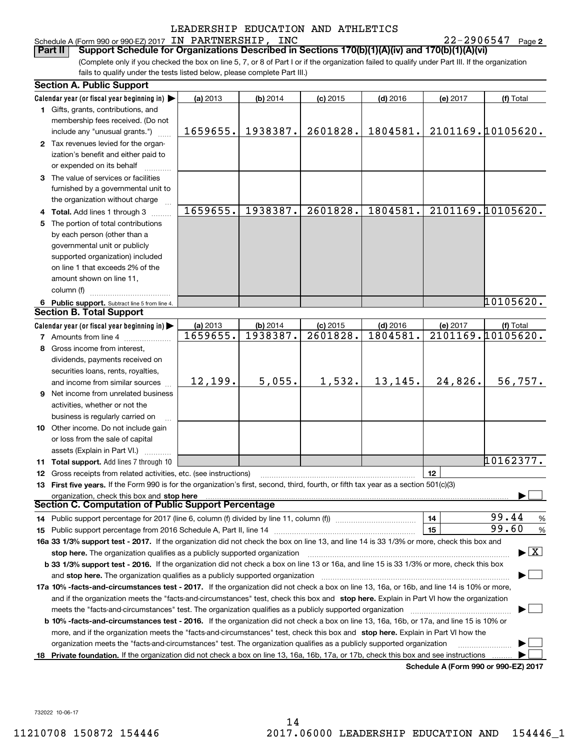### LEADERSHIP EDUCATION AND ATHLETICS LEADERSHIP EDUCATION AND ATHLETICS Schedule A(Form 990 or 990-EZ) 2017 IN PARTNERSHIP, INC 22-2906547 Page **<sup>2</sup>** Schedule A (Form 990 or 990-EZ) 2017 Page IN PARTNERSHIP, INC 22-2906547

| LEADERSHIP EDUCATION AND ATHLETICS<br>Schedule A (Form 990 or 990-EZ) 2017 IN PARTNERSHIP, INC<br>$22 - 2906547$ Page 2<br>Support Schedule for Organizations Described in Sections 170(b)(1)(A)(iv) and 170(b)(1)(A)(vi)<br>Part II<br>(Complete only if you checked the box on line 5, 7, or 8 of Part I or if the organization failed to qualify under Part III. If the organization<br>fails to qualify under the tests listed below, please complete Part III.)<br><b>Section A. Public Support</b><br>Calendar year (or fiscal year beginning in) $\blacktriangleright$<br>(a) 2013<br>(b) 2014<br>$(c)$ 2015<br>$(d)$ 2016<br>(e) 2017<br>(f) Total<br>1 Gifts, grants, contributions, and<br>membership fees received. (Do not<br>2101169.10105620.<br>1938387.<br>2601828.<br>1804581.<br>1659655.<br>include any "unusual grants.")<br>2 Tax revenues levied for the organ-<br>ization's benefit and either paid to<br>or expended on its behalf<br>3 The value of services or facilities<br>furnished by a governmental unit to<br>the organization without charge<br>1659655.<br>1938387.<br>2601828.<br>1804581.<br>2101169.10105620.<br>4 Total. Add lines 1 through 3<br>5 The portion of total contributions<br>by each person (other than a<br>governmental unit or publicly<br>supported organization) included<br>on line 1 that exceeds 2% of the<br>amount shown on line 11,<br>column (f)<br>10105620.<br>6 Public support. Subtract line 5 from line 4.<br><b>Section B. Total Support</b><br>Calendar year (or fiscal year beginning in)<br>(a) 2013<br>(b) 2014<br>$(c)$ 2015<br>$(d)$ 2016<br>(e) 2017<br>(f) Total |
|-----------------------------------------------------------------------------------------------------------------------------------------------------------------------------------------------------------------------------------------------------------------------------------------------------------------------------------------------------------------------------------------------------------------------------------------------------------------------------------------------------------------------------------------------------------------------------------------------------------------------------------------------------------------------------------------------------------------------------------------------------------------------------------------------------------------------------------------------------------------------------------------------------------------------------------------------------------------------------------------------------------------------------------------------------------------------------------------------------------------------------------------------------------------------------------------------------------------------------------------------------------------------------------------------------------------------------------------------------------------------------------------------------------------------------------------------------------------------------------------------------------------------------------------------------------------------------------------------------------------------------------------------|
|                                                                                                                                                                                                                                                                                                                                                                                                                                                                                                                                                                                                                                                                                                                                                                                                                                                                                                                                                                                                                                                                                                                                                                                                                                                                                                                                                                                                                                                                                                                                                                                                                                               |
|                                                                                                                                                                                                                                                                                                                                                                                                                                                                                                                                                                                                                                                                                                                                                                                                                                                                                                                                                                                                                                                                                                                                                                                                                                                                                                                                                                                                                                                                                                                                                                                                                                               |
|                                                                                                                                                                                                                                                                                                                                                                                                                                                                                                                                                                                                                                                                                                                                                                                                                                                                                                                                                                                                                                                                                                                                                                                                                                                                                                                                                                                                                                                                                                                                                                                                                                               |
|                                                                                                                                                                                                                                                                                                                                                                                                                                                                                                                                                                                                                                                                                                                                                                                                                                                                                                                                                                                                                                                                                                                                                                                                                                                                                                                                                                                                                                                                                                                                                                                                                                               |
|                                                                                                                                                                                                                                                                                                                                                                                                                                                                                                                                                                                                                                                                                                                                                                                                                                                                                                                                                                                                                                                                                                                                                                                                                                                                                                                                                                                                                                                                                                                                                                                                                                               |
|                                                                                                                                                                                                                                                                                                                                                                                                                                                                                                                                                                                                                                                                                                                                                                                                                                                                                                                                                                                                                                                                                                                                                                                                                                                                                                                                                                                                                                                                                                                                                                                                                                               |
|                                                                                                                                                                                                                                                                                                                                                                                                                                                                                                                                                                                                                                                                                                                                                                                                                                                                                                                                                                                                                                                                                                                                                                                                                                                                                                                                                                                                                                                                                                                                                                                                                                               |
|                                                                                                                                                                                                                                                                                                                                                                                                                                                                                                                                                                                                                                                                                                                                                                                                                                                                                                                                                                                                                                                                                                                                                                                                                                                                                                                                                                                                                                                                                                                                                                                                                                               |
|                                                                                                                                                                                                                                                                                                                                                                                                                                                                                                                                                                                                                                                                                                                                                                                                                                                                                                                                                                                                                                                                                                                                                                                                                                                                                                                                                                                                                                                                                                                                                                                                                                               |
|                                                                                                                                                                                                                                                                                                                                                                                                                                                                                                                                                                                                                                                                                                                                                                                                                                                                                                                                                                                                                                                                                                                                                                                                                                                                                                                                                                                                                                                                                                                                                                                                                                               |
|                                                                                                                                                                                                                                                                                                                                                                                                                                                                                                                                                                                                                                                                                                                                                                                                                                                                                                                                                                                                                                                                                                                                                                                                                                                                                                                                                                                                                                                                                                                                                                                                                                               |
|                                                                                                                                                                                                                                                                                                                                                                                                                                                                                                                                                                                                                                                                                                                                                                                                                                                                                                                                                                                                                                                                                                                                                                                                                                                                                                                                                                                                                                                                                                                                                                                                                                               |
|                                                                                                                                                                                                                                                                                                                                                                                                                                                                                                                                                                                                                                                                                                                                                                                                                                                                                                                                                                                                                                                                                                                                                                                                                                                                                                                                                                                                                                                                                                                                                                                                                                               |
|                                                                                                                                                                                                                                                                                                                                                                                                                                                                                                                                                                                                                                                                                                                                                                                                                                                                                                                                                                                                                                                                                                                                                                                                                                                                                                                                                                                                                                                                                                                                                                                                                                               |
|                                                                                                                                                                                                                                                                                                                                                                                                                                                                                                                                                                                                                                                                                                                                                                                                                                                                                                                                                                                                                                                                                                                                                                                                                                                                                                                                                                                                                                                                                                                                                                                                                                               |
|                                                                                                                                                                                                                                                                                                                                                                                                                                                                                                                                                                                                                                                                                                                                                                                                                                                                                                                                                                                                                                                                                                                                                                                                                                                                                                                                                                                                                                                                                                                                                                                                                                               |
|                                                                                                                                                                                                                                                                                                                                                                                                                                                                                                                                                                                                                                                                                                                                                                                                                                                                                                                                                                                                                                                                                                                                                                                                                                                                                                                                                                                                                                                                                                                                                                                                                                               |
|                                                                                                                                                                                                                                                                                                                                                                                                                                                                                                                                                                                                                                                                                                                                                                                                                                                                                                                                                                                                                                                                                                                                                                                                                                                                                                                                                                                                                                                                                                                                                                                                                                               |
| 1659655.<br>2101169.10105620.<br>1938387.<br>2601828.<br>1804581.<br>7 Amounts from line 4                                                                                                                                                                                                                                                                                                                                                                                                                                                                                                                                                                                                                                                                                                                                                                                                                                                                                                                                                                                                                                                                                                                                                                                                                                                                                                                                                                                                                                                                                                                                                    |
| 8 Gross income from interest,                                                                                                                                                                                                                                                                                                                                                                                                                                                                                                                                                                                                                                                                                                                                                                                                                                                                                                                                                                                                                                                                                                                                                                                                                                                                                                                                                                                                                                                                                                                                                                                                                 |
| dividends, payments received on                                                                                                                                                                                                                                                                                                                                                                                                                                                                                                                                                                                                                                                                                                                                                                                                                                                                                                                                                                                                                                                                                                                                                                                                                                                                                                                                                                                                                                                                                                                                                                                                               |
| securities loans, rents, royalties,<br>12, 199.<br>5,055.<br>1,532.<br>13, 145.<br>24,826.<br>56,757.<br>and income from similar sources                                                                                                                                                                                                                                                                                                                                                                                                                                                                                                                                                                                                                                                                                                                                                                                                                                                                                                                                                                                                                                                                                                                                                                                                                                                                                                                                                                                                                                                                                                      |
| <b>9</b> Net income from unrelated business                                                                                                                                                                                                                                                                                                                                                                                                                                                                                                                                                                                                                                                                                                                                                                                                                                                                                                                                                                                                                                                                                                                                                                                                                                                                                                                                                                                                                                                                                                                                                                                                   |
| activities, whether or not the                                                                                                                                                                                                                                                                                                                                                                                                                                                                                                                                                                                                                                                                                                                                                                                                                                                                                                                                                                                                                                                                                                                                                                                                                                                                                                                                                                                                                                                                                                                                                                                                                |
| business is regularly carried on                                                                                                                                                                                                                                                                                                                                                                                                                                                                                                                                                                                                                                                                                                                                                                                                                                                                                                                                                                                                                                                                                                                                                                                                                                                                                                                                                                                                                                                                                                                                                                                                              |
| <b>10</b> Other income. Do not include gain                                                                                                                                                                                                                                                                                                                                                                                                                                                                                                                                                                                                                                                                                                                                                                                                                                                                                                                                                                                                                                                                                                                                                                                                                                                                                                                                                                                                                                                                                                                                                                                                   |
| or loss from the sale of capital                                                                                                                                                                                                                                                                                                                                                                                                                                                                                                                                                                                                                                                                                                                                                                                                                                                                                                                                                                                                                                                                                                                                                                                                                                                                                                                                                                                                                                                                                                                                                                                                              |
| assets (Explain in Part VI.)                                                                                                                                                                                                                                                                                                                                                                                                                                                                                                                                                                                                                                                                                                                                                                                                                                                                                                                                                                                                                                                                                                                                                                                                                                                                                                                                                                                                                                                                                                                                                                                                                  |
| 10162377.<br><b>11 Total support.</b> Add lines 7 through 10                                                                                                                                                                                                                                                                                                                                                                                                                                                                                                                                                                                                                                                                                                                                                                                                                                                                                                                                                                                                                                                                                                                                                                                                                                                                                                                                                                                                                                                                                                                                                                                  |
| 12<br><b>12</b> Gross receipts from related activities, etc. (see instructions)                                                                                                                                                                                                                                                                                                                                                                                                                                                                                                                                                                                                                                                                                                                                                                                                                                                                                                                                                                                                                                                                                                                                                                                                                                                                                                                                                                                                                                                                                                                                                               |
| 13 First five years. If the Form 990 is for the organization's first, second, third, fourth, or fifth tax year as a section 501(c)(3)                                                                                                                                                                                                                                                                                                                                                                                                                                                                                                                                                                                                                                                                                                                                                                                                                                                                                                                                                                                                                                                                                                                                                                                                                                                                                                                                                                                                                                                                                                         |
| organization, check this box and stop here manufactured and the content of the state of the content of the content of the content of the content of the content of the content of the content of the content of the content of                                                                                                                                                                                                                                                                                                                                                                                                                                                                                                                                                                                                                                                                                                                                                                                                                                                                                                                                                                                                                                                                                                                                                                                                                                                                                                                                                                                                                |
| <b>Section C. Computation of Public Support Percentage</b>                                                                                                                                                                                                                                                                                                                                                                                                                                                                                                                                                                                                                                                                                                                                                                                                                                                                                                                                                                                                                                                                                                                                                                                                                                                                                                                                                                                                                                                                                                                                                                                    |
| 99.44<br>14<br>%                                                                                                                                                                                                                                                                                                                                                                                                                                                                                                                                                                                                                                                                                                                                                                                                                                                                                                                                                                                                                                                                                                                                                                                                                                                                                                                                                                                                                                                                                                                                                                                                                              |
| 99.60<br>15<br>%                                                                                                                                                                                                                                                                                                                                                                                                                                                                                                                                                                                                                                                                                                                                                                                                                                                                                                                                                                                                                                                                                                                                                                                                                                                                                                                                                                                                                                                                                                                                                                                                                              |
| 16a 33 1/3% support test - 2017. If the organization did not check the box on line 13, and line 14 is 33 1/3% or more, check this box and                                                                                                                                                                                                                                                                                                                                                                                                                                                                                                                                                                                                                                                                                                                                                                                                                                                                                                                                                                                                                                                                                                                                                                                                                                                                                                                                                                                                                                                                                                     |
|                                                                                                                                                                                                                                                                                                                                                                                                                                                                                                                                                                                                                                                                                                                                                                                                                                                                                                                                                                                                                                                                                                                                                                                                                                                                                                                                                                                                                                                                                                                                                                                                                                               |
| $\blacktriangleright$ $\boxed{\text{X}}$<br>stop here. The organization qualifies as a publicly supported organization manufaction manufacture or the organization manufacture or the state of the state of the state of the state of the state of the state of the state<br><b>b 33 1/3% support test - 2016.</b> If the organization did not check a box on line 13 or 16a, and line 15 is 33 1/3% or more, check this box                                                                                                                                                                                                                                                                                                                                                                                                                                                                                                                                                                                                                                                                                                                                                                                                                                                                                                                                                                                                                                                                                                                                                                                                                  |
| and stop here. The organization qualifies as a publicly supported organization manufaction manufacture or manufacture or manufacture and stop here. The organization qualifies as a publicly supported organization manufactur                                                                                                                                                                                                                                                                                                                                                                                                                                                                                                                                                                                                                                                                                                                                                                                                                                                                                                                                                                                                                                                                                                                                                                                                                                                                                                                                                                                                                |
| 17a 10% -facts-and-circumstances test - 2017. If the organization did not check a box on line 13, 16a, or 16b, and line 14 is 10% or more,                                                                                                                                                                                                                                                                                                                                                                                                                                                                                                                                                                                                                                                                                                                                                                                                                                                                                                                                                                                                                                                                                                                                                                                                                                                                                                                                                                                                                                                                                                    |
| and if the organization meets the "facts-and-circumstances" test, check this box and stop here. Explain in Part VI how the organization                                                                                                                                                                                                                                                                                                                                                                                                                                                                                                                                                                                                                                                                                                                                                                                                                                                                                                                                                                                                                                                                                                                                                                                                                                                                                                                                                                                                                                                                                                       |
|                                                                                                                                                                                                                                                                                                                                                                                                                                                                                                                                                                                                                                                                                                                                                                                                                                                                                                                                                                                                                                                                                                                                                                                                                                                                                                                                                                                                                                                                                                                                                                                                                                               |
| <b>b 10% -facts-and-circumstances test - 2016.</b> If the organization did not check a box on line 13, 16a, 16b, or 17a, and line 15 is 10% or                                                                                                                                                                                                                                                                                                                                                                                                                                                                                                                                                                                                                                                                                                                                                                                                                                                                                                                                                                                                                                                                                                                                                                                                                                                                                                                                                                                                                                                                                                |
| more, and if the organization meets the "facts-and-circumstances" test, check this box and stop here. Explain in Part VI how the                                                                                                                                                                                                                                                                                                                                                                                                                                                                                                                                                                                                                                                                                                                                                                                                                                                                                                                                                                                                                                                                                                                                                                                                                                                                                                                                                                                                                                                                                                              |
| organization meets the "facts-and-circumstances" test. The organization qualifies as a publicly supported organization<br>18 Private foundation. If the organization did not check a box on line 13, 16a, 16b, 17a, or 17b, check this box and see instructions                                                                                                                                                                                                                                                                                                                                                                                                                                                                                                                                                                                                                                                                                                                                                                                                                                                                                                                                                                                                                                                                                                                                                                                                                                                                                                                                                                               |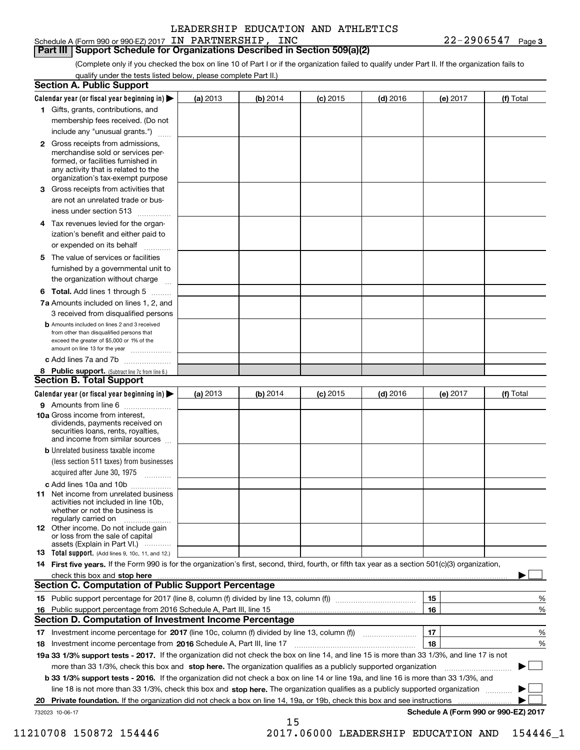Schedule A (Form 990 or 990-EZ) 2017 IN PARTNERSHIP, INC 22-2906547 Page 3

**Part III** Support Schedule for Organizations Described in Section 509(a)(2)

(Complete only if you checked the box on line 10 of Part I or if the organization failed to qualify under Part II. If the organization fails to qualify under the tests listed below, please complete Part II.) qualify under the tests listed below, please complete Part II.)

| <b>Section A. Public Support</b>                                                                                                                                                                                        |          |          |                 |            |                                      |           |
|-------------------------------------------------------------------------------------------------------------------------------------------------------------------------------------------------------------------------|----------|----------|-----------------|------------|--------------------------------------|-----------|
| Calendar year (or fiscal year beginning in) $\blacktriangleright$                                                                                                                                                       | (a) 2013 | (b) 2014 | <b>(c)</b> 2015 | $(d)$ 2016 | (e) 2017                             | (f) Total |
| 1 Gifts, grants, contributions, and                                                                                                                                                                                     |          |          |                 |            |                                      |           |
| membership fees received. (Do not                                                                                                                                                                                       |          |          |                 |            |                                      |           |
| include any "unusual grants.")                                                                                                                                                                                          |          |          |                 |            |                                      |           |
| <b>2</b> Gross receipts from admissions,<br>merchandise sold or services per-<br>formed, or facilities furnished in<br>any activity that is related to the<br>organization's tax-exempt purpose                         |          |          |                 |            |                                      |           |
| 3 Gross receipts from activities that<br>are not an unrelated trade or bus-                                                                                                                                             |          |          |                 |            |                                      |           |
| iness under section 513                                                                                                                                                                                                 |          |          |                 |            |                                      |           |
| 4 Tax revenues levied for the organ-                                                                                                                                                                                    |          |          |                 |            |                                      |           |
| ization's benefit and either paid to<br>or expended on its behalf                                                                                                                                                       |          |          |                 |            |                                      |           |
| 5 The value of services or facilities                                                                                                                                                                                   |          |          |                 |            |                                      |           |
| furnished by a governmental unit to                                                                                                                                                                                     |          |          |                 |            |                                      |           |
| the organization without charge                                                                                                                                                                                         |          |          |                 |            |                                      |           |
| <b>6 Total.</b> Add lines 1 through 5                                                                                                                                                                                   |          |          |                 |            |                                      |           |
| 7a Amounts included on lines 1, 2, and<br>3 received from disqualified persons                                                                                                                                          |          |          |                 |            |                                      |           |
| <b>b</b> Amounts included on lines 2 and 3 received<br>from other than disqualified persons that<br>exceed the greater of \$5,000 or 1% of the<br>amount on line 13 for the year                                        |          |          |                 |            |                                      |           |
| c Add lines 7a and 7b                                                                                                                                                                                                   |          |          |                 |            |                                      |           |
| 8 Public support. (Subtract line 7c from line 6.)<br><b>Section B. Total Support</b>                                                                                                                                    |          |          |                 |            |                                      |           |
| Calendar year (or fiscal year beginning in)                                                                                                                                                                             | (a) 2013 | (b) 2014 | <b>(c)</b> 2015 | $(d)$ 2016 | (e) 2017                             | (f) Total |
| 9 Amounts from line 6                                                                                                                                                                                                   |          |          |                 |            |                                      |           |
| <b>10a</b> Gross income from interest,<br>dividends, payments received on<br>securities loans, rents, royalties,<br>and income from similar sources                                                                     |          |          |                 |            |                                      |           |
| <b>b</b> Unrelated business taxable income                                                                                                                                                                              |          |          |                 |            |                                      |           |
| (less section 511 taxes) from businesses                                                                                                                                                                                |          |          |                 |            |                                      |           |
| acquired after June 30, 1975<br>1.1.1.1.1.1.1.1.1.1                                                                                                                                                                     |          |          |                 |            |                                      |           |
| c Add lines 10a and 10b                                                                                                                                                                                                 |          |          |                 |            |                                      |           |
| <b>11</b> Net income from unrelated business<br>activities not included in line 10b,<br>whether or not the business is<br>regularly carried on                                                                          |          |          |                 |            |                                      |           |
| <b>12</b> Other income. Do not include gain<br>or loss from the sale of capital<br>assets (Explain in Part VI.)                                                                                                         |          |          |                 |            |                                      |           |
| 13 Total support. (Add lines 9, 10c, 11, and 12.)                                                                                                                                                                       |          |          |                 |            |                                      |           |
| 14 First five years. If the Form 990 is for the organization's first, second, third, fourth, or fifth tax year as a section 501(c)(3) organization,                                                                     |          |          |                 |            |                                      |           |
| check this box and stop here with an intermediate control to the control of the control of the control of the c<br><b>Section C. Computation of Public Support Percentage</b>                                           |          |          |                 |            |                                      |           |
| 15 Public support percentage for 2017 (line 8, column (f) divided by line 13, column (f))                                                                                                                               |          |          |                 |            | 15                                   | %         |
| 16 Public support percentage from 2016 Schedule A, Part III, line 15                                                                                                                                                    |          |          |                 |            | 16                                   | $\%$      |
| <b>Section D. Computation of Investment Income Percentage</b>                                                                                                                                                           |          |          |                 |            |                                      |           |
| 17 Investment income percentage for 2017 (line 10c, column (f) divided by line 13, column (f))                                                                                                                          |          |          |                 |            | 17<br>18                             | %<br>%    |
| 18 Investment income percentage from 2016 Schedule A, Part III, line 17<br>19a 33 1/3% support tests - 2017. If the organization did not check the box on line 14, and line 15 is more than 33 1/3%, and line 17 is not |          |          |                 |            |                                      |           |
| more than 33 1/3%, check this box and stop here. The organization qualifies as a publicly supported organization                                                                                                        |          |          |                 |            |                                      |           |
| b 33 1/3% support tests - 2016. If the organization did not check a box on line 14 or line 19a, and line 16 is more than 33 1/3%, and                                                                                   |          |          |                 |            |                                      |           |
| line 18 is not more than 33 1/3%, check this box and stop here. The organization qualifies as a publicly supported organization                                                                                         |          |          |                 |            |                                      |           |
|                                                                                                                                                                                                                         |          |          |                 |            |                                      |           |
|                                                                                                                                                                                                                         |          |          |                 |            |                                      |           |
| 732023 10-06-17                                                                                                                                                                                                         |          | 15       |                 |            | Schedule A (Form 990 or 990-EZ) 2017 |           |

11210708 150872 154446 2017.06000 LEADERSHIP EDUCATION AND 154446\_1 11210708 150872 154446 2017.06000 LEADERSHIP EDUCATION AND 154446\_1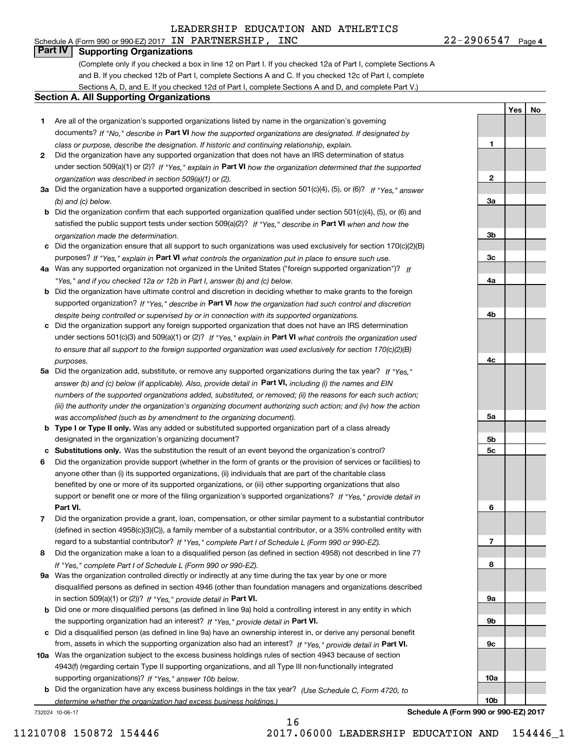## **Part IV I Supporting Organizations Part IV Supporting Organizations**

(Complete only if you checked a box in line 12 on Part I. If you checked 12a of Part I, complete Sections A and B. If you checked 12b of Part I, complete Sections A and C. If you checked 12c of Part I, complete and B. If you checked 12b of Part I, complete Sections A and C. If you checked 12c of Part I, complete Sections A, D, and E. If you checked 12d of Part I, complete Sections A and D, and complete Part V.)

#### **Section A. All Supporting Organizations Section A. All Supporting Organizations**

- **1** Are all of the organization's supported organizations listed by name in the organization's governing **1**Are all of the organization's supported organizations listed by name in the organization's governing documents? If "No," describe in Part VI how the supported organizations are designated. If designated by class or purpose, describe the designation. If historic and continuing relationship, explain. **1**  *class or purpose, describe the designation. If historic and continuing relationship, explain.*
- **2** Did the organization have any supported organization that does not have an IRS determination of status **2**Did the organization have any supported organization that does not have an IRS determination of status under section 509(a)(1) or (2)? If "Yes," explain in Part VI how the organization determined that the supported organization was described in section 509 (a) (1) or (2). **2**  *organization was described in section 509(a)(1) or (2).*
- 3a Did the organization have a supported organization described in section 501(c)(4), (5), or (6)? If "Yes, " answer (b) and (c) below. **3** *(b) and (c) below.*
- b Did the organization confirm that each supported organization qualified under section 501(c)(4), (5), or (6) and satisfied the public support tests under section 509(a)(2)? If "Yes," describe in Part VI when and how the organization made the determination. *organization made the determination.*
- c Did the organization ensure that all support to such organizations was used exclusively for section 170(c)(2)(B) purposes? If "Yes," explain in Part VI what controls the organization put in place to ensure such use.
- 4a Was any supported organization not organized in the United States ("foreign supported organization")? If Yes, and if you checked 12a or 12b in Part I, answer (b) and (c) below. **4** *"Yes," and if you checked 12a or 12b in Part I, answer (b) and (c) below.*
- **b** Did the organization have ultimate control and discretion in deciding whether to make grants to the foreign supported organization? If "Yes," describe in Part VI how the organization had such control and discretion despite being controlled or supervised by or in connection with its supported organizations. **4** *despite being controlled or supervised by or in connection with its supported organizations.*
- c Did the organization support any foreign supported organization that does not have an IRS determination under sections 501(c)(3) and 509(a)(1) or (2)? If "Yes, " explain in Part VI what controls the organization used to ensure that all support to the foreign supported organization was used exclusively for section 170(c)(2)(B) purposes.<br>**4** *purposes.*
- 5a Did the organization add, substitute, or remove any supported organizations during the tax year? If "Yes," answer (b) and (c) below (if applicable). Also, provide detail in Part VI, including (i) the names and EIN numbers of the supported organizations added, substituted, or removed; (ii) the reasons for each such action; (iii) the authority under the organization's organizing document authorizing such action; and (iv) how the action was accomplished (such as by amendment to the organizing document). **5** *was accomplished (such as by amendment to the organizing document).*
- **b Type I or Type II only.** Was any added or substituted supported organization part of a class already designated in the organization's organizing document? **5** designated in the organization's organizing document?
- c Substitutions only. Was the substitution the result of an event beyond the organization's control?
- 6 Did the organization provide support (whether in the form of grants or the provision of services or facilities) to anyone other than (i) its supported organizations, (ii) individuals that are part of the charitable class anyone other than (i) its supported organizations, (ii) individuals that are part of the charitable class benefited by one or more of its supported organizations, or (iii) other supporting organizations that also benefited by one or more of its supported organizations, or (iii) other supporting organizations that also support or benefit one or more of the filing organization's supported organizations? If "Yes," provide detail in **Part VI. 6 Part VI.**
- 7 Did the organization provide a grant, loan, compensation, or other similar payment to a substantial contributor (defined in section 4958(c)(3)(C)), a family member of a substantial contributor, or a 35% controlled entity with regard to a substantial contributor? If "Yes," complete Part I of Schedule L (Form 990 or 990-EZ).
- 8 Did the organization make a loan to a disqualified person (as defined in section 4958) not described in line 7? If "Yes," complete Part I of Schedule L (Form 990 or 990-EZ).
- 9a Was the organization controlled directly or indirectly at any time during the tax year by one or more disqualified persons as defined in section 4946 (other than foundation managers and organizations described disqualified persons as defined in section 4946 (other than foundation managers and organizations described in section 509(a)(1) or (2))? If "Yes," provide detail in **Part VI. Part VI. Part VI. Part VI. Part VI. Part VI. Part VI. Part VI. Part VI. Part VI. Part VI. Part VI. Part VI. Part VI. Part VI.**
- **b** Did one or more disqualified persons (as defined in line 9a) hold a controlling interest in any entity in which the supporting organization had an interest? If "Yes," provide detail in Part VI.
- c Did a disqualified person (as defined in line 9a) have an ownership interest in, or derive any personal benefit from, assets in which the supporting organization also had an interest? If "Yes," provide detail in Part VI.
- 10a Was the organization subject to the excess business holdings rules of section 4943 because of section 4943(f) (regarding certain Type II supporting organizations, and all Type III non-functionally integrated 4943(f) (regarding certain Type II supporting organizations, and all Type III non-functionally integrated supporting organizations)? If "Yes," answer 10b below. **10a**
- **b** Did the organization have any excess business holdings in the tax year? (Use Schedule C, Form 4720, to determine whether the organization had excess business holdings.) **10<sup>b</sup>** *determine whether the organization had excess business holdings.)*

732024 10-06-17

**a 9a b 9bc 9c7810a10b**

732024 10-06-17 **Schedule A (Form 990 or 990-EZ) <sup>2017</sup> Schedule A (Form 990 or 990-EZ) 2017**

**a 3a**

**3b**

**3c**

**2**

**1**

**a 4a**

**b 4b**

**c 4c**

**a 5a**

**b 5b**

**c 5c**

**6**

**Yes** I **No Yes**

**No**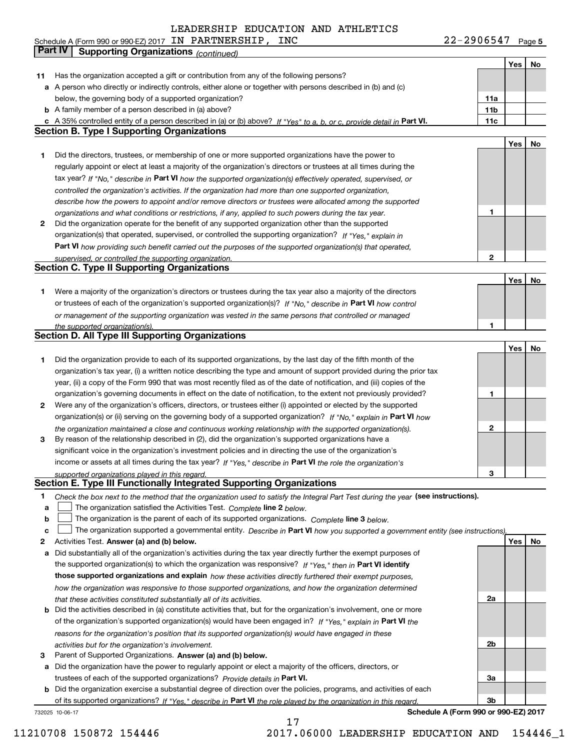Schedule A (Form 990 or 990-EZ) 2017 IN PARTNERSHIP, INC 22-29 06547 Page

**5**

|    | <b>Part IV</b><br><b>Supporting Organizations (continued)</b>                                                                                                                                                        |                 |     |    |
|----|----------------------------------------------------------------------------------------------------------------------------------------------------------------------------------------------------------------------|-----------------|-----|----|
|    |                                                                                                                                                                                                                      |                 | Yes | No |
| 11 | Has the organization accepted a gift or contribution from any of the following persons?                                                                                                                              |                 |     |    |
|    | a A person who directly or indirectly controls, either alone or together with persons described in (b) and (c)                                                                                                       |                 |     |    |
|    | below, the governing body of a supported organization?                                                                                                                                                               | 11a             |     |    |
|    | <b>b</b> A family member of a person described in (a) above?                                                                                                                                                         | 11 <sub>b</sub> |     |    |
|    | c A 35% controlled entity of a person described in (a) or (b) above? If "Yes" to a, b, or c, provide detail in Part VI.                                                                                              | 11c             |     |    |
|    | <b>Section B. Type I Supporting Organizations</b>                                                                                                                                                                    |                 |     |    |
|    |                                                                                                                                                                                                                      |                 | Yes | No |
| 1  | Did the directors, trustees, or membership of one or more supported organizations have the power to                                                                                                                  |                 |     |    |
|    | regularly appoint or elect at least a majority of the organization's directors or trustees at all times during the                                                                                                   |                 |     |    |
|    | tax year? If "No," describe in Part VI how the supported organization(s) effectively operated, supervised, or                                                                                                        |                 |     |    |
|    | controlled the organization's activities. If the organization had more than one supported organization,                                                                                                              |                 |     |    |
|    | describe how the powers to appoint and/or remove directors or trustees were allocated among the supported                                                                                                            |                 |     |    |
|    | organizations and what conditions or restrictions, if any, applied to such powers during the tax year.                                                                                                               | 1               |     |    |
| 2  | Did the organization operate for the benefit of any supported organization other than the supported                                                                                                                  |                 |     |    |
|    | organization(s) that operated, supervised, or controlled the supporting organization? If "Yes," explain in                                                                                                           |                 |     |    |
|    | <b>Part VI</b> how providing such benefit carried out the purposes of the supported organization(s) that operated,                                                                                                   |                 |     |    |
|    | supervised, or controlled the supporting organization.                                                                                                                                                               | $\overline{2}$  |     |    |
|    | <b>Section C. Type II Supporting Organizations</b>                                                                                                                                                                   |                 |     |    |
|    |                                                                                                                                                                                                                      |                 | Yes | No |
| 1  | Were a majority of the organization's directors or trustees during the tax year also a majority of the directors                                                                                                     |                 |     |    |
|    | or trustees of each of the organization's supported organization(s)? If "No." describe in Part VI how control                                                                                                        |                 |     |    |
|    | or management of the supporting organization was vested in the same persons that controlled or managed                                                                                                               |                 |     |    |
|    | the supported organization(s)                                                                                                                                                                                        | 1               |     |    |
|    | <b>Section D. All Type III Supporting Organizations</b>                                                                                                                                                              |                 |     |    |
|    |                                                                                                                                                                                                                      |                 | Yes | No |
| 1  | Did the organization provide to each of its supported organizations, by the last day of the fifth month of the                                                                                                       |                 |     |    |
|    | organization's tax year, (i) a written notice describing the type and amount of support provided during the prior tax                                                                                                |                 |     |    |
|    | year, (ii) a copy of the Form 990 that was most recently filed as of the date of notification, and (iii) copies of the                                                                                               |                 |     |    |
|    | organization's governing documents in effect on the date of notification, to the extent not previously provided?                                                                                                     | 1               |     |    |
| 2  | Were any of the organization's officers, directors, or trustees either (i) appointed or elected by the supported                                                                                                     |                 |     |    |
|    | organization(s) or (ii) serving on the governing body of a supported organization? If "No," explain in Part VI how                                                                                                   | 2               |     |    |
| 3  | the organization maintained a close and continuous working relationship with the supported organization(s).<br>By reason of the relationship described in (2), did the organization's supported organizations have a |                 |     |    |
|    | significant voice in the organization's investment policies and in directing the use of the organization's                                                                                                           |                 |     |    |
|    | income or assets at all times during the tax year? If "Yes," describe in Part VI the role the organization's                                                                                                         |                 |     |    |
|    | supported organizations played in this regard.                                                                                                                                                                       | 3               |     |    |
|    | Section E. Type III Functionally Integrated Supporting Organizations                                                                                                                                                 |                 |     |    |
| 1  | Check the box next to the method that the organization used to satisfy the Integral Part Test during the year (see instructions).                                                                                    |                 |     |    |
| a  | The organization satisfied the Activities Test. Complete line 2 below.                                                                                                                                               |                 |     |    |
| b  | The organization is the parent of each of its supported organizations. Complete line 3 below.                                                                                                                        |                 |     |    |
| с  | The organization supported a governmental entity. Describe in Part VI how you supported a government entity (see instructions)                                                                                       |                 |     |    |
| 2  | Activities Test. Answer (a) and (b) below.                                                                                                                                                                           |                 | Yes | No |
| a  | Did substantially all of the organization's activities during the tax year directly further the exempt purposes of                                                                                                   |                 |     |    |
|    | the supported organization(s) to which the organization was responsive? If "Yes," then in Part VI identify                                                                                                           |                 |     |    |
|    | those supported organizations and explain how these activities directly furthered their exempt purposes,                                                                                                             |                 |     |    |
|    | how the organization was responsive to those supported organizations, and how the organization determined                                                                                                            |                 |     |    |
|    | that these activities constituted substantially all of its activities.                                                                                                                                               | 2a              |     |    |
| b  | Did the activities described in (a) constitute activities that, but for the organization's involvement, one or more                                                                                                  |                 |     |    |
|    | of the organization's supported organization(s) would have been engaged in? If "Yes," explain in Part VI the                                                                                                         |                 |     |    |
|    | reasons for the organization's position that its supported organization(s) would have engaged in these                                                                                                               |                 |     |    |
|    | activities but for the organization's involvement.                                                                                                                                                                   | 2 <sub>b</sub>  |     |    |
| з  | Parent of Supported Organizations. Answer (a) and (b) below.                                                                                                                                                         |                 |     |    |
|    | a Did the organization have the power to regularly appoint or elect a majority of the officers, directors, or                                                                                                        |                 |     |    |
|    | trustees of each of the supported organizations? Provide details in Part VI.                                                                                                                                         | 3a              |     |    |
| b  | Did the organization exercise a substantial degree of direction over the policies, programs, and activities of each                                                                                                  |                 |     |    |
|    | of its supported organizations? If "Yes." describe in Part VI the role played by the organization in this regard.                                                                                                    | 3 <sub>b</sub>  |     |    |
|    | Schedule A (Form 990 or 990-EZ) 2017<br>732025 10-06-17                                                                                                                                                              |                 |     |    |

17 17 11210708 150872 154446 2017.06000 LEADERSHIP EDUCATION AND 154446\_1 11210708 150872 154446 2017.06000 LEADERSHIP EDUCATION AND 154446\_1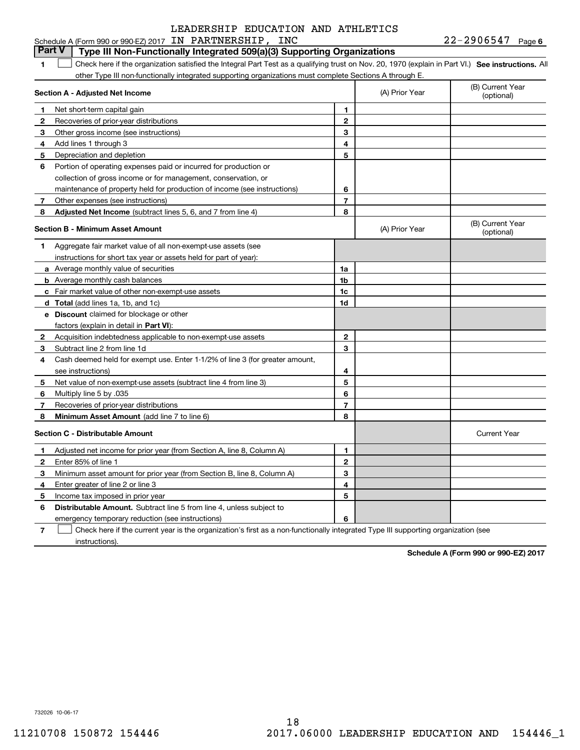#### Schedule A (Form 990 or 990-EZ) 2017 IN PARTNERSHIP, INC 22-2906547 Page 6 Part V | Type III Non-Functionally Integrated 509(a)(3) Supporting Organizations 1 Check here if the organization satisfied the Integral Part Test as a qualifying trust on Nov. 20, 1970 (explain in Part VI.) See instructions. All other Type III non-functionally integrated supporting organizations must complete Sections A through E. **Section A - Adjusted Net Income Section A - Adjusted Net Income 1** Net short-term capital gain Net short-term capital gain 2 Recoveries of prior-year distributions **3** Other gross income (see instructions) **4** Add lines 1 through 3 **5** Depreciation and depletion Depreciation and depletion **6** Portion of operating expenses paid or incurred for production or collection of gross income or for management, conservation, or collection of gross income or for management, conservation, or maintenance of property held for production of income (see instructions) **7** Other expenses (see instructions) **7** Other expenses (see instructions) **Section B - Minimum Asset Amount Section B - Minimum Asset Amount 1** Aggregate fair market value of all non-exempt-use assets (see **1**Aggregate fair market value of all non-exempt-use assets (see instructions for short tax year or assets held for part of year): instructions for short tax year or assets held for part of year): **a** Average monthly value of securities **b** Average monthly cash balances **c** Fair market value of other non-exempt-use assets **c**Fair market value of other non-exempt-use assets **d** Total (add lines 1a, 1b, and 1c) **e Discount** claimed for blockage or other **eDiscount** claimed for blockage or other factors (explain in detail in **Part VI**): **2** Acquisition indebtedness applicable to non-exempt-use assets **2**Acquisition indebtedness applicable to non-exempt-use assets **3** Subtract line 2 from line 1d **4** Cash deemed held for exempt use. Enter 1-1/ <sup>2</sup>% of line 3 (for greater amount, **4**Cash deemed held for exempt use. Enter 1-1/2% of line 3 (for greater amount, see instructions) see instructions) **5** Net value of non-exempt-use assets (subtract line 4 from line 3) **6** Multiply line 5 by.<sup>035</sup> Multiply line 5 by .035 **7** Recoveries of prior-year distributions Recoveries of prior-year distributions (B) Current Year (B) Current Year (A) Prior Year (optional) (optional)**1 12 23 34 45 56 67 78**  (A) Prior Year (A) Prior Year **1 a 1a1 b 1b1 c 1c1 d 1d2 23 34 45 56 67 7**(B) Current Year (B) Current Year (optional) (optional)**Section C - Distributable Amount Current Year <b>Current Year**  Current Year **Current Year Current Year** 1 Adjusted net income for prior year (from Section A, line 8, Column A) , Column A) **1** \_\_\_\_\_\_\_\_\_\_\_\_\_\_\_\_\_\_\_\_\_\_ \_\_\_\_\_\_\_\_\_\_\_\_\_\_\_\_\_\_\_\_\_\_ **<sup>2</sup>**Enter 85% of line 1 **2** \_\_\_\_\_\_\_\_\_\_\_\_\_\_\_\_\_\_\_\_\_ \_\_\_\_\_\_\_\_\_\_\_\_\_\_\_\_\_\_\_\_\_ **3** Minimum asset amount for prior year (from Section B, line 8 Minimum asset amount for prior year (from Section B, line 8, Column A) , Column A) **3** \_\_\_\_\_\_\_\_\_\_\_\_\_\_\_\_\_\_\_\_\_ \_\_\_\_\_\_\_\_\_\_\_\_\_\_\_\_\_\_\_\_\_ **4** Enter greater of line 2 or line 3 **4** \_\_\_\_\_\_\_\_\_\_\_\_\_\_\_\_\_\_\_\_\_\_ \_\_\_\_\_\_\_\_\_\_\_\_\_\_\_\_\_\_\_\_\_\_ Enter greater of line 2 or line 3 **5** Income tax imposed in prior year **5** \_\_\_\_\_\_\_\_\_\_\_\_\_\_\_\_\_\_\_\_\_ \_\_\_\_\_\_\_\_\_\_\_\_\_\_\_\_\_\_\_\_\_ Income tax imposed in prior year **6** Distributable Amount. Subtract line 5 from line 4, unless subject to emergency temporary reduction (see instructions) **6 a. A. E. A. E. A. E. A. E. A. E. A. E. A. E. A. E. A. E. A. E. A. E. A. E. A. E. A. E. A. E. A. E. A. E. A. E. A. E. A. E. A. E. A. E. A. E. A. E. A. E. A. E. A. E. A. E. 11258** Adjusted Net Income (subtract lines 5, 6, and 7 from line 4) **8 8 6788Minimum Asset Amount**  (add line 7 to line 6) **123456123456**(A) Prior Year Current Year Enter 85% of line 1  $\mathcal{L}^{\text{max}}$

 $7 \quad \Box$  Check here if the current year is the organization's first as a non-functionally integrated Type III supporting organization (see instructions). instructions).**7** $\mathcal{L}^{\text{max}}$ 

**Schedule A (Form 990 or 990-EZ) <sup>2017</sup> Schedule A (Form 990 or 990-EZ) 2017**

732026 10-06-17 732026 10-06-17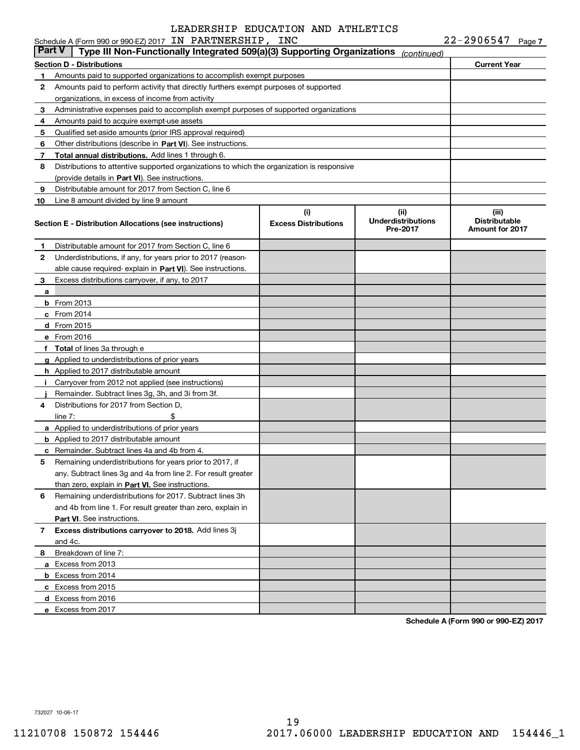|        | Schedule A (Form 990 or 990-EZ) 2017 IN PARTNERSHIP, INC                                   |                                    |                                               | $22 - 2906547$ Page 7                                   |
|--------|--------------------------------------------------------------------------------------------|------------------------------------|-----------------------------------------------|---------------------------------------------------------|
| Part V | Type III Non-Functionally Integrated 509(a)(3) Supporting Organizations                    |                                    | (continued)                                   |                                                         |
|        | <b>Section D - Distributions</b>                                                           |                                    |                                               | <b>Current Year</b>                                     |
| 1      | Amounts paid to supported organizations to accomplish exempt purposes                      |                                    |                                               |                                                         |
| 2      | Amounts paid to perform activity that directly furthers exempt purposes of supported       |                                    |                                               |                                                         |
|        | organizations, in excess of income from activity                                           |                                    |                                               |                                                         |
| з      | Administrative expenses paid to accomplish exempt purposes of supported organizations      |                                    |                                               |                                                         |
| 4      | Amounts paid to acquire exempt-use assets                                                  |                                    |                                               |                                                         |
| 5      | Qualified set-aside amounts (prior IRS approval required)                                  |                                    |                                               |                                                         |
| 6      | Other distributions (describe in Part VI). See instructions.                               |                                    |                                               |                                                         |
| 7      | Total annual distributions. Add lines 1 through 6.                                         |                                    |                                               |                                                         |
| 8      | Distributions to attentive supported organizations to which the organization is responsive |                                    |                                               |                                                         |
|        | (provide details in Part VI). See instructions.                                            |                                    |                                               |                                                         |
| 9      | Distributable amount for 2017 from Section C, line 6                                       |                                    |                                               |                                                         |
| 10     | Line 8 amount divided by line 9 amount                                                     |                                    |                                               |                                                         |
|        | Section E - Distribution Allocations (see instructions)                                    | (i)<br><b>Excess Distributions</b> | (ii)<br><b>Underdistributions</b><br>Pre-2017 | (iii)<br><b>Distributable</b><br><b>Amount for 2017</b> |
| 1.     | Distributable amount for 2017 from Section C, line 6                                       |                                    |                                               |                                                         |
| 2      | Underdistributions, if any, for years prior to 2017 (reason-                               |                                    |                                               |                                                         |
|        | able cause required explain in Part VI). See instructions.                                 |                                    |                                               |                                                         |
| 3      | Excess distributions carryover, if any, to 2017                                            |                                    |                                               |                                                         |
| а      |                                                                                            |                                    |                                               |                                                         |
|        | <b>b</b> From 2013                                                                         |                                    |                                               |                                                         |
|        | $c$ From 2014                                                                              |                                    |                                               |                                                         |
|        | d From 2015                                                                                |                                    |                                               |                                                         |
|        | e From 2016                                                                                |                                    |                                               |                                                         |
|        | <b>Total</b> of lines 3a through e                                                         |                                    |                                               |                                                         |
|        | <b>g</b> Applied to underdistributions of prior years                                      |                                    |                                               |                                                         |
|        | h Applied to 2017 distributable amount                                                     |                                    |                                               |                                                         |
|        | Carryover from 2012 not applied (see instructions)                                         |                                    |                                               |                                                         |
|        | Remainder. Subtract lines 3g, 3h, and 3i from 3f.                                          |                                    |                                               |                                                         |
| 4      | Distributions for 2017 from Section D,                                                     |                                    |                                               |                                                         |
|        | line $7:$                                                                                  |                                    |                                               |                                                         |
|        | a Applied to underdistributions of prior years                                             |                                    |                                               |                                                         |
|        | <b>b</b> Applied to 2017 distributable amount                                              |                                    |                                               |                                                         |
|        | c Remainder. Subtract lines 4a and 4b from 4.                                              |                                    |                                               |                                                         |
|        | Remaining underdistributions for years prior to 2017, if                                   |                                    |                                               |                                                         |
|        | any. Subtract lines 3g and 4a from line 2. For result greater                              |                                    |                                               |                                                         |
|        | than zero, explain in Part VI. See instructions.                                           |                                    |                                               |                                                         |
| 6      | Remaining underdistributions for 2017. Subtract lines 3h                                   |                                    |                                               |                                                         |
|        | and 4b from line 1. For result greater than zero, explain in                               |                                    |                                               |                                                         |
|        | Part VI. See instructions.                                                                 |                                    |                                               |                                                         |
| 7      | Excess distributions carryover to 2018. Add lines 3j                                       |                                    |                                               |                                                         |
|        | and 4c.                                                                                    |                                    |                                               |                                                         |
| 8      | Breakdown of line 7:                                                                       |                                    |                                               |                                                         |
|        | a Excess from 2013                                                                         |                                    |                                               |                                                         |
|        | <b>b</b> Excess from 2014                                                                  |                                    |                                               |                                                         |
|        | c Excess from 2015                                                                         |                                    |                                               |                                                         |
|        | d Excess from 2016                                                                         |                                    |                                               |                                                         |
|        | e Excess from 2017                                                                         |                                    |                                               |                                                         |
|        |                                                                                            |                                    |                                               |                                                         |

**Schedule A (Form 990 or 990-EZ) <sup>2017</sup> Schedule A (Form 990 or 990-EZ) 2017**

732027 10-06-17 732027 10-06-17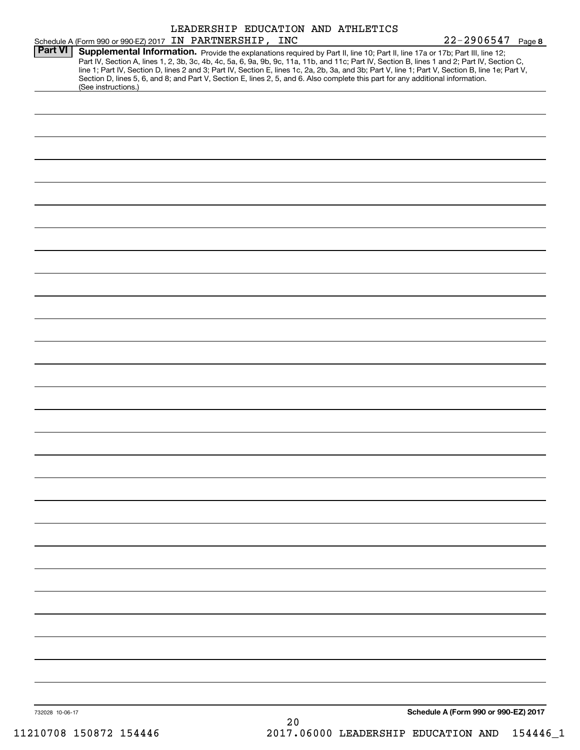|                 |                                                                                                                                                                                                                                                                                                                                                                                                                                                                                                                                                                                             | LEADERSHIP EDUCATION AND ATHLETICS |    |  |                                      |  |
|-----------------|---------------------------------------------------------------------------------------------------------------------------------------------------------------------------------------------------------------------------------------------------------------------------------------------------------------------------------------------------------------------------------------------------------------------------------------------------------------------------------------------------------------------------------------------------------------------------------------------|------------------------------------|----|--|--------------------------------------|--|
|                 | Schedule A (Form 990 or 990-EZ) 2017 IN PARTNERSHIP, INC                                                                                                                                                                                                                                                                                                                                                                                                                                                                                                                                    |                                    |    |  | $22 - 2906547$ Page 8                |  |
| <b>Part VI</b>  | Supplemental Information. Provide the explanations required by Part II, line 10; Part II, line 17a or 17b; Part III, line 12;<br>Part IV, Section A, lines 1, 2, 3b, 3c, 4b, 4c, 5a, 6, 9a, 9b, 9c, 11a, 11b, and 11c; Part IV, Section B, lines 1 and 2; Part IV, Section C,<br>line 1; Part IV, Section D, lines 2 and 3; Part IV, Section E, lines 1c, 2a, 2b, 3a, and 3b; Part V, line 1; Part V, Section B, line 1e; Part V,<br>Section D, lines 5, 6, and 8; and Part V, Section E, lines 2, 5, and 6. Also complete this part for any additional information.<br>(See instructions.) |                                    |    |  |                                      |  |
|                 |                                                                                                                                                                                                                                                                                                                                                                                                                                                                                                                                                                                             |                                    |    |  |                                      |  |
|                 |                                                                                                                                                                                                                                                                                                                                                                                                                                                                                                                                                                                             |                                    |    |  |                                      |  |
|                 |                                                                                                                                                                                                                                                                                                                                                                                                                                                                                                                                                                                             |                                    |    |  |                                      |  |
|                 |                                                                                                                                                                                                                                                                                                                                                                                                                                                                                                                                                                                             |                                    |    |  |                                      |  |
|                 |                                                                                                                                                                                                                                                                                                                                                                                                                                                                                                                                                                                             |                                    |    |  |                                      |  |
|                 |                                                                                                                                                                                                                                                                                                                                                                                                                                                                                                                                                                                             |                                    |    |  |                                      |  |
|                 |                                                                                                                                                                                                                                                                                                                                                                                                                                                                                                                                                                                             |                                    |    |  |                                      |  |
|                 |                                                                                                                                                                                                                                                                                                                                                                                                                                                                                                                                                                                             |                                    |    |  |                                      |  |
|                 |                                                                                                                                                                                                                                                                                                                                                                                                                                                                                                                                                                                             |                                    |    |  |                                      |  |
|                 |                                                                                                                                                                                                                                                                                                                                                                                                                                                                                                                                                                                             |                                    |    |  |                                      |  |
|                 |                                                                                                                                                                                                                                                                                                                                                                                                                                                                                                                                                                                             |                                    |    |  |                                      |  |
|                 |                                                                                                                                                                                                                                                                                                                                                                                                                                                                                                                                                                                             |                                    |    |  |                                      |  |
|                 |                                                                                                                                                                                                                                                                                                                                                                                                                                                                                                                                                                                             |                                    |    |  |                                      |  |
|                 |                                                                                                                                                                                                                                                                                                                                                                                                                                                                                                                                                                                             |                                    |    |  |                                      |  |
|                 |                                                                                                                                                                                                                                                                                                                                                                                                                                                                                                                                                                                             |                                    |    |  |                                      |  |
|                 |                                                                                                                                                                                                                                                                                                                                                                                                                                                                                                                                                                                             |                                    |    |  |                                      |  |
|                 |                                                                                                                                                                                                                                                                                                                                                                                                                                                                                                                                                                                             |                                    |    |  |                                      |  |
|                 |                                                                                                                                                                                                                                                                                                                                                                                                                                                                                                                                                                                             |                                    |    |  |                                      |  |
|                 |                                                                                                                                                                                                                                                                                                                                                                                                                                                                                                                                                                                             |                                    |    |  |                                      |  |
|                 |                                                                                                                                                                                                                                                                                                                                                                                                                                                                                                                                                                                             |                                    |    |  |                                      |  |
|                 |                                                                                                                                                                                                                                                                                                                                                                                                                                                                                                                                                                                             |                                    |    |  |                                      |  |
|                 |                                                                                                                                                                                                                                                                                                                                                                                                                                                                                                                                                                                             |                                    |    |  |                                      |  |
|                 |                                                                                                                                                                                                                                                                                                                                                                                                                                                                                                                                                                                             |                                    |    |  |                                      |  |
|                 |                                                                                                                                                                                                                                                                                                                                                                                                                                                                                                                                                                                             |                                    |    |  |                                      |  |
|                 |                                                                                                                                                                                                                                                                                                                                                                                                                                                                                                                                                                                             |                                    |    |  |                                      |  |
|                 |                                                                                                                                                                                                                                                                                                                                                                                                                                                                                                                                                                                             |                                    |    |  |                                      |  |
|                 |                                                                                                                                                                                                                                                                                                                                                                                                                                                                                                                                                                                             |                                    |    |  |                                      |  |
|                 |                                                                                                                                                                                                                                                                                                                                                                                                                                                                                                                                                                                             |                                    |    |  |                                      |  |
|                 |                                                                                                                                                                                                                                                                                                                                                                                                                                                                                                                                                                                             |                                    |    |  |                                      |  |
|                 |                                                                                                                                                                                                                                                                                                                                                                                                                                                                                                                                                                                             |                                    |    |  |                                      |  |
|                 |                                                                                                                                                                                                                                                                                                                                                                                                                                                                                                                                                                                             |                                    |    |  |                                      |  |
|                 |                                                                                                                                                                                                                                                                                                                                                                                                                                                                                                                                                                                             |                                    |    |  |                                      |  |
|                 |                                                                                                                                                                                                                                                                                                                                                                                                                                                                                                                                                                                             |                                    |    |  |                                      |  |
| 732028 10-06-17 |                                                                                                                                                                                                                                                                                                                                                                                                                                                                                                                                                                                             |                                    |    |  | Schedule A (Form 990 or 990-EZ) 2017 |  |
|                 |                                                                                                                                                                                                                                                                                                                                                                                                                                                                                                                                                                                             |                                    | 20 |  |                                      |  |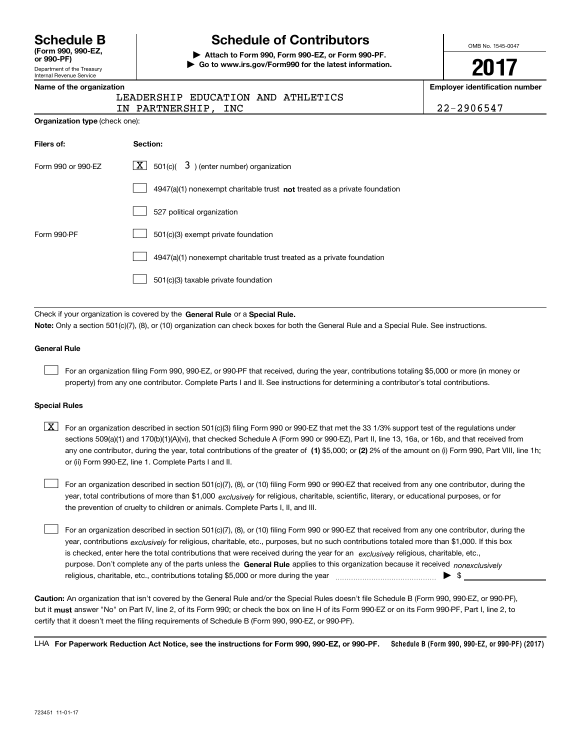| <b>Schedule B</b>  |  |
|--------------------|--|
| (Form 990, 990-EZ, |  |

**, or 990-PF) (Form 990, 990-EZ,** Department of the Treasury Department of the Treasury Internal Revenue Service Internal Revenue Service **or 990-PF)**

# **Schedule of Contributors Schedule B Schedule of Contributors**

**| Attach to Form 990, Form 990-EZ, or Form 990-PF. | Attach to Form 990, Form 990-EZ, or Form 990-PF. | Go to www.irs.gov/Form990 for the latest information. | Go to www.irs.gov/Form990 for the latest information.** OMB No. 1545-0047 OMB No. 1545-0047

**2017 2017**

**Employer identification number Name of the organization Employer identification number**

| Name of the organization |  |  |  |  |  |
|--------------------------|--|--|--|--|--|
|                          |  |  |  |  |  |

**Organization type** (check one): **Organization type** (check one):

| LEADERSHIP EDUCATION AND ATHLETICS |  |  |
|------------------------------------|--|--|
|                                    |  |  |

IN PARTNERSHIP, INC  $22-2906547$ 

22 -29 0654 7

| Filers of:         | Section:                                                                    |
|--------------------|-----------------------------------------------------------------------------|
| Form 990 or 990-EZ | $\lfloor \mathbf{X} \rfloor$ 501(c)( 3) (enter number) organization         |
|                    | $4947(a)(1)$ nonexempt charitable trust not treated as a private foundation |
|                    | 527 political organization                                                  |
| Form 990-PF        | 501(c)(3) exempt private foundation                                         |
|                    | 4947(a)(1) nonexempt charitable trust treated as a private foundation       |
|                    | 501(c)(3) taxable private foundation                                        |

Check if your organization is covered by the General Rule or a Special Rule. Note: Only a section 501(c)(7), (8), or (10) organization can check boxes for both the General Rule and a Special Rule. See instructions.

#### **General Rule General Rule**

 $\mathcal{L}^{\text{max}}$ 

For an organization filing Form 990, 990-EZ, or 990-PF that received, during the year, contributions totaling \$5,000 or more (in money or property) from any one contributor. Complete Parts I and II. See instructions for determining a contributor's total contributions.

#### **Special Rules Special Rules**

 $\mathcal{L}^{\text{max}}$ 

 $\boxed{\textbf{X}}$  For an organization described in section 501(c)(3) filing Form 990 or 990-EZ that met the 33 1/3% support test of the regulations under sections 509(a)(1) and 170(b)(1)(A)(vi), that checked Schedule A (Form 990 or 990-EZ), Part II, line 13, 16a, or 16b, and that received from any one contributor, during the year, total contributions of the greater of (1) \$5,000; or (2) 2% of the amount on (i) Form 990, Part VIII, line 1h; or (ii) Form 990-EZ, line 1 . Complete Parts I and II. or (ii) Form 990-EZ, line 1. Complete Parts I and II.

For an organization described in section 501(c)(7), (8), or (10) filing Form 990 or 990-EZ that received from any one contributor, during the year, total contributions of more than \$1,000 *exclusively* for religious, charitable, scientific, literary, or educational purposes, or for the prevention of cruelty to children or animals. Complete Parts I, II, and III. the prevention of cruelty to children or animals. Complete Parts I, II, and III.  $\mathcal{L}^{\text{max}}$ 

For an organization described in section 501(c)(7), (8), or (10) filing Form 990 or 990-EZ that received from any one contributor, during the year, contributions <sub>exclusively</sub> for religious, charitable, etc., purposes, but no such contributions totaled more than \$1,000. If this box is checked, enter here the total contributions that were received during the year for an exclusively religious, charitable, etc., purpose. Don't complete any of the parts unless the General Rule applies to this organization because it received *nonexclusively* religious, charitable, etc., contributions totaling \$5 , <sup>000</sup>or more during the year ~ ~ ~ ~ ~ ~ ~ ~ ~ ~ ~ ~ ~ ~ ~ | \$ \_\_\_\_\_\_\_\_\_\_\_\_\_\_\_ religious, charitable, etc., contributions totaling \$5,000 or more during the year ~~~~~~~~~~~~~~~ | \$

Caution: An organization that isn't covered by the General Rule and/or the Special Rules doesn't file Schedule B (Form 990, 990-EZ, or 990-PF), but it <mark>must</mark> answer "No" on Part IV, line 2, of its Form 990; or check the box on line H of its Form 990-EZ or on its Form 990-PF, Part I, line 2, to certify that it doesn't meet the filing requirements of Schedule B (Form 990 , 990-EZ, or 990-PF). certify that it doesn't meet the filing requirements of Schedule B (Form 990, 990-EZ, or 990-PF).

LHA For Paperwork Reduction Act Notice, see the instructions for Form 990, 990-EZ, or 990-PF. Schedule B (Form 990 **, 990-EZ, or 990-PF) (2017) Schedule B (Form 990, 990-EZ, or 990-PF) (2017)**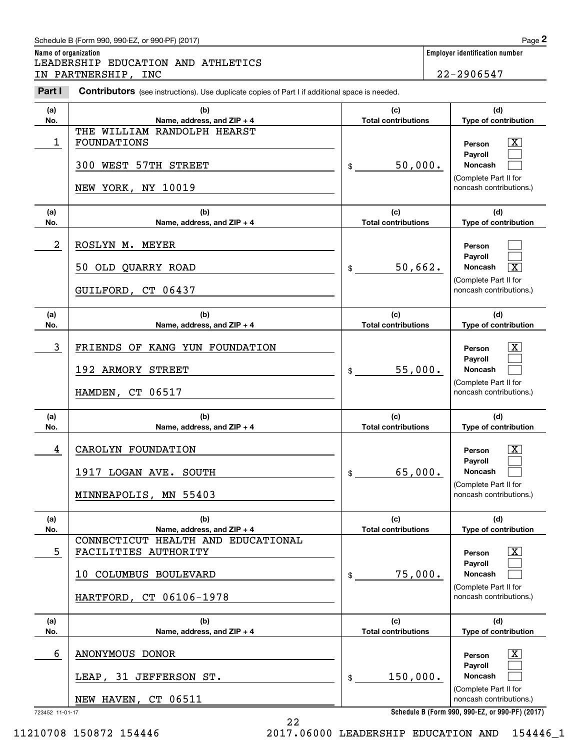## Schedule B (Form 990 , 990-EZ, or 990-PF) (2017) **2**  Schedule B (Form 990, 990-EZ, or 990-PF) (2017) Page

**Name of organization Employer identification number Name of organization Employer identification number** LEADERSHIP EDUCATION AND ATHLETICS LEADERSHIP EDUCATION AND ATHLETICS IN PARTNERSHIP, INC 22-29 0654 7 IN PARTNERSHIP, INC 22-2906547

**Part I Contributors** (see instructions). Use duplicate copies of Part I if additional space is needed. **(a) (b) (c) (d) No.** Name, address, and ZIP + 4 **1 <b>1 Total contributions p** ed contribution **p 1 h 1 h 1 h 1 h 1 h 1 h 1 h 1 h 1 h 1 h 1 h 1 h 1 h 1 h 1 h 1 h 1 h** THE WILLIAM RANDOLPH HEARST THE WILLIAM RANDOLPH HEARST 1 FOUNDATIONS **Person X Payroll Payroll300 WEST 57TH STREET** | \$ \_\_\_\_\_\_\_50,000. | Noncash (Complete Part II for (Complete Part II for NEW YORK, NY 10019 **noncash** contributions.) **(a) (b) (c) (d) No. Name, address, and ZIP + 4 Total contributions p e of contribution Name, address, and ZIP + 4** <u>2</u> ROSLYN M. MEYER 50 OLD QUARRY ROAD 50 OLD QUARRY ROAD GUILFORD, CT 06437 GUILFORD, CT 06437 **(a) (b) No. Name, address, and ZIP + 4**  $\begin{array}{|c|c|c|c|c|}\hline 3 & \text{FRIENDS OF KANG YUN FOUNDATION} \hline \end{array}$  | Person  $\begin{array}{|c|c|c|c|}\hline \text{X} & \text{Poisson} & \text{X} \hline \end{array}$ 192 ARMORY STREET 192 ARMORY STREET HAMDEN, CT 06517 HAMDEN, CT 06517 **(a) (b) No. Name, address, and ZIP + 4 Name, address, and ZIP + 4** <u>4</u> CAROLYN FOUNDATION **EXECUTE:**  $\frac{X}{X}$ 1917 LOGAN AVE. SOUTH 1917 LOGAN AVE. SOUTH MINNEAPOLIS, MN 55403 MINNEAPOLIS, MN 55403 **(a) (b) No. Name, address, and ZIP + 4 Name, address, and ZIP + 4** CONNECTICUT HEALTH AND EDUCATIONAL CONNECTICUT HEALTH AND EDUCATIONAL  $\begin{array}{|c|c|c|c|c|c|}\hline 5 & \text{FACILITIES AUTHORITY} \ \hline \end{array}$  Person  $\begin{array}{|c|c|c|c|c|}\hline \text{X} & \text{Person} & \text{X} \ \hline \end{array}$ 10 COLUMBUS BOULEVARD 10 COLUMBUS BOULEVARD HARTFORD, CT 06106-1978 HARTFORD, CT 06106-1978 **(a) (b) No. Name, address, and ZIP + 4 Name, address, and ZIP + 4 Person PersonPayroll Payroll** $\text{\$} \underline{\hspace{1.5cm}}$  50,662. Noncash  $\boxed{\text{X}}$ (Complete Part II for (Complete Part II for noncash contributions.) noncash contributions.) **(c) (d) Total contributions Type of contribution Type of contribution Person** X **PersonPayroll Payroll**\$ 55, 000. **Noncash**  55,000. (Complete Part II for (Complete Part II for noncash contributions.) noncash contributions.) **(c) (d) Total contributions Type of contribution Type of contribution Person** X **PersonPayroll Payroll**\$ 65, 000. **Noncash**  65,000. (Complete Part II for (Complete Part II for noncash contributions.) noncash contributions.) **(c) (d) Total contributions Type of contribution Type of contribution Person** X **PersonPayroll Payroll**\$ 75, 000. **Noncash**  75,000. (Complete Part II for (Complete Part II for noncash contributions.) noncash contributions.) **(c) (d) Total contributions Type of contribution Type of contribution** 6 ANONYMOUS DONOR 6 X ANONYMOUS DONOR LEAP, 31 JEFFERSON ST. LEAP, 31 JEFFERSON ST. NEW HAVEN, CT 06511 NEW HAVEN, CT 06511 723452 11-01-17 723452 11-01-17 **Person** X **PersonPayroll Payroll**\$ 150, 000. **Noncash**  150,000. (Complete Part II for (Complete Part II for noncash contributions.) noncash contributions.) **(a)No.(b)(c)Total contributions (d)Type of contribution PersonNoncash (a)No.(b)(c)Total contributions (d)Type of contribution Noncash (a)No.(b)(c)Total contributions (d)Noncash (a) No.(b)(c) Total contributions (d) Noncash(a) No.(b)(c)Total contributions (d)Noncash(a)No.(b)(c)Total contributions (d)Noncash** \$noncash contributions.) \$\$\$\$\$Chedule B (Form 990, 990-EZ, or 990-PF) (2017)<br> **2PADERSHIP EDUCATION AND ATHLETICS**<br> **PARTNERSHIP, INC**<br> **PARTNERSHIP, INC**<br> **PARTNERSHIP, INC**<br>
22-2906547  $\lceil \text{X} \rceil$  $\mathcal{L}^{\text{max}}$  $\mathcal{L}^{\text{max}}$  $\mathcal{L}^{\text{max}}$  $\mathcal{L}^{\text{max}}$  $\overline{\mathbf{X}}$  $|X|$  $\mathcal{L}^{\text{max}}$  $\mathcal{L}^{\text{max}}$  $|X|$  $\mathcal{L}^{\text{max}}$  $\mathcal{L}^{\text{max}}$  $|X|$  $\mathcal{L}^{\text{max}}$  $\mathcal{L}^{\text{max}}$  $\boxed{\text{X}}$  $\mathcal{L}^{\text{max}}$  $\mathcal{L}^{\text{max}}$ 50,000. 2

11210708 150872 154446 2017.06000 LEADERSHIP EDUCATION AND 154446\_1 11210708 150872 154446 2017.06000 LEADERSHIP EDUCATION AND 154446\_1

**Schedule B (Form 990 , 990-EZ, or 990-PF) (2017) Schedule B (Form 990, 990-EZ, or 990-PF) (2017)**

22 22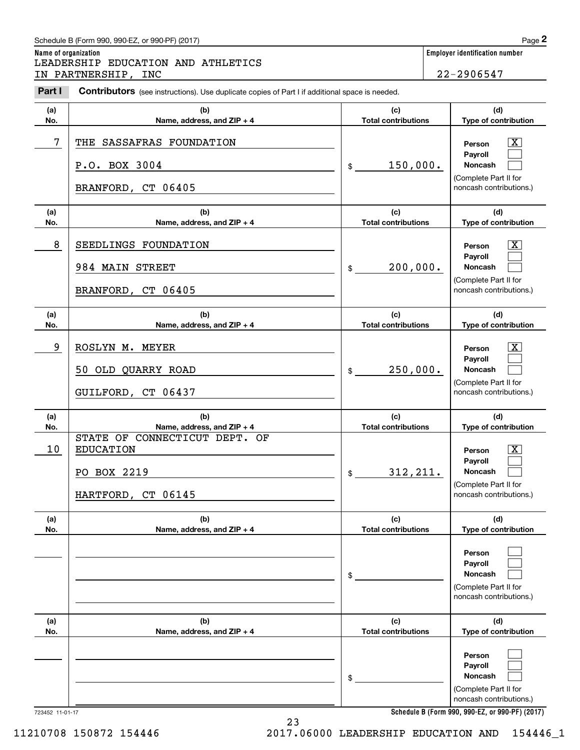## Schedule B (Form 990 , 990-EZ, or 990-PF) (2017) **2**  Schedule B (Form 990, 990-EZ, or 990-PF) (2017) Page

| Schedule B (Form 990, 990-EZ, or 990-PF) (2017)                                                                 | Page $2$                       |
|-----------------------------------------------------------------------------------------------------------------|--------------------------------|
| Name of organization                                                                                            | Employer identification number |
| LEADERSHIP EDUCATION AND ATHLETICS                                                                              |                                |
| IN PARTNERSHIP, INC                                                                                             | 22-2906547                     |
| Part I<br><b>Contributors</b> (see instructions). Use duplicate copies of Part I if additional space is needed. |                                |

| Part I     | <b>Contributors</b> (see instructions). Use duplicate copies of Part I if additional space is needed.                |                                                          |                                                                                                                                 |
|------------|----------------------------------------------------------------------------------------------------------------------|----------------------------------------------------------|---------------------------------------------------------------------------------------------------------------------------------|
| (a)<br>No. | (b)<br>Name, address, and ZIP + 4                                                                                    | (c)<br><b>Total contributions</b>                        | (d)<br>Type of contribution                                                                                                     |
| 7          | THE SASSAFRAS FOUNDATION<br>P.O. BOX 3004<br>BRANFORD, CT 06405                                                      | 150,000.<br>$\frac{1}{2}$                                | $\mathbf{X}$<br>Person<br>Payroll<br>Noncash<br>(Complete Part II for<br>noncash contributions.)                                |
| (a)<br>No. | (b)<br>Name, address, and ZIP + 4                                                                                    | (c)<br><b>Total contributions</b>                        | (d)<br>Type of contribution                                                                                                     |
| 8          | SEEDLINGS FOUNDATION<br>984 MAIN STREET<br>BRANFORD, CT 06405                                                        | 200,000.<br>$\frac{1}{2}$                                | $\lfloor x \rfloor$<br>Person<br>Payroll<br>Noncash<br>(Complete Part II for<br>noncash contributions.)                         |
| (a)<br>No. | (b)<br>Name, address, and ZIP + 4                                                                                    | (c)<br><b>Total contributions</b>                        | (d)<br>Type of contribution                                                                                                     |
| 9          | ROSLYN M. MEYER<br>50 OLD QUARRY ROAD<br>GUILFORD, CT 06437                                                          | 250,000.<br>$\frac{1}{2}$                                | $\mathbf{X}$<br>Person<br>Payroll<br><b>Noncash</b><br>(Complete Part II for<br>noncash contributions.)                         |
| (a)        | (b)                                                                                                                  | (c)                                                      | (d)                                                                                                                             |
| No.<br>10  | Name, address, and ZIP + 4<br>STATE OF CONNECTICUT DEPT. OF<br><b>EDUCATION</b><br>PO BOX 2219<br>HARTFORD, CT 06145 | <b>Total contributions</b><br>312, 211.<br>$\frac{1}{2}$ | Type of contribution<br>$\mathbf{X}$<br>Person<br>Payroll<br><b>Noncash</b><br>(Complete Part II for<br>noncash contributions.) |
| (a)<br>No. | (b)<br>Name, address, and ZIP + 4                                                                                    | (c)<br><b>Total contributions</b>                        | (d)<br>Type of contribution                                                                                                     |
|            |                                                                                                                      | \$                                                       | Person<br>Payroll<br>Noncash<br>(Complete Part II for<br>noncash contributions.)                                                |
| (a)<br>No. | (b)<br>Name, address, and ZIP + 4                                                                                    | (c)<br><b>Total contributions</b>                        | (d)<br>Type of contribution                                                                                                     |
|            |                                                                                                                      | \$                                                       | Person<br>Payroll<br>Noncash<br>(Complete Part II for<br>noncash contributions.)                                                |

23 23

11210708 150872 154446

723452 11-01-17 723452 11-01-17

**Schedule B (Form <sup>990</sup> , 990-EZ, or 990-PF) (2017) Schedule B (Form 990, 990-EZ, or 990-PF) (2017)**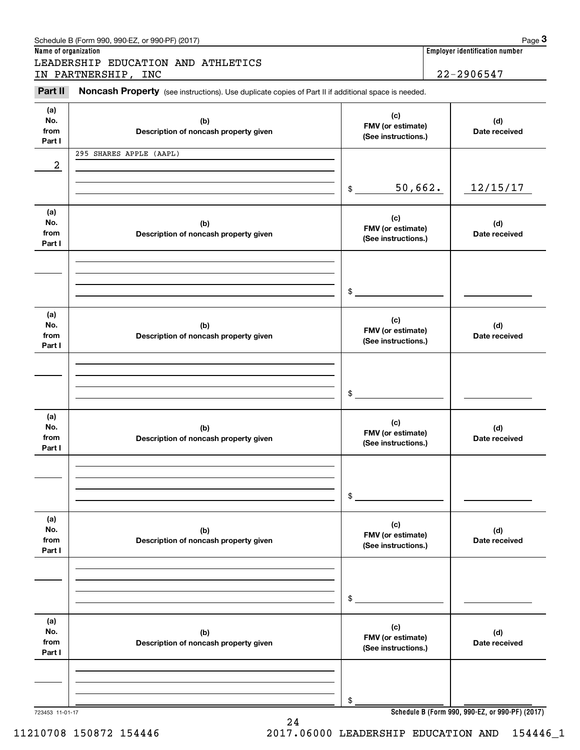| Name of organization         | Schedule B (Form 990, 990-EZ, or 990-PF) (2017)                                                     |                                                 |                                                           | Page 3<br>Employer identification number |
|------------------------------|-----------------------------------------------------------------------------------------------------|-------------------------------------------------|-----------------------------------------------------------|------------------------------------------|
|                              | LEADERSHIP EDUCATION AND ATHLETICS<br>IN PARTNERSHIP, INC                                           |                                                 |                                                           | 22-2906547                               |
| Part II                      | Noncash Property (see instructions). Use duplicate copies of Part II if additional space is needed. |                                                 |                                                           |                                          |
| (a)<br>No.<br>from<br>Part I | (b)<br>Description of noncash property given                                                        | (c)                                             | FMV (or estimate)<br>Date received<br>(See instructions.) |                                          |
| 2                            | 295 SHARES APPLE (AAPL)                                                                             |                                                 |                                                           |                                          |
|                              |                                                                                                     | 50,662.<br>\$                                   |                                                           | 12/15/17                                 |
| (a)<br>No.<br>from<br>Part I | (b)<br>Description of noncash property given                                                        | (c)<br>FMV (or estimate)<br>(See instructions.) |                                                           | (d)<br>Date received                     |
|                              |                                                                                                     | \$                                              |                                                           |                                          |
| (a)<br>No.<br>from<br>Part I | (b)<br>Description of noncash property given                                                        | (c)<br>FMV (or estimate)<br>(See instructions.) |                                                           | (d)<br>Date received                     |
|                              |                                                                                                     | \$                                              |                                                           |                                          |
| (a)<br>No.<br>from<br>Part I | (b)<br>Description of noncash property given                                                        | (c)<br>FMV (or estimate)<br>(See instructions.) |                                                           | (d)<br>Date received                     |
|                              |                                                                                                     | \$                                              |                                                           |                                          |
| (a)<br>No.<br>from<br>Part I | (b)<br>Description of noncash property given                                                        | (c)<br>FMV (or estimate)<br>(See instructions.) |                                                           | (d)<br>Date received                     |
|                              |                                                                                                     | \$                                              |                                                           |                                          |
| (a)<br>No.<br>from<br>Part I | (b)<br>Description of noncash property given                                                        | (c)<br>FMV (or estimate)<br>(See instructions.) |                                                           | (d)<br>Date received                     |
|                              |                                                                                                     |                                                 |                                                           |                                          |
|                              |                                                                                                     | \$                                              |                                                           |                                          |

24 24

723453 11-01-17 **Schedule B (Form <sup>990</sup> , 990-EZ, or 990-PF) (2017) Schedule B (Form 990, 990-EZ, or 990-PF) (2017)**

11210708 150872 154446 2017.06000 LEADERSHIP EDUCATION AND 154446\_1 11210708 150872 154446 2017.06000 LEADERSHIP EDUCATION AND 154446\_1

Schedule B (Form 990, 990-EZ, or 990-PF) (2017) **Page 3 Page 3**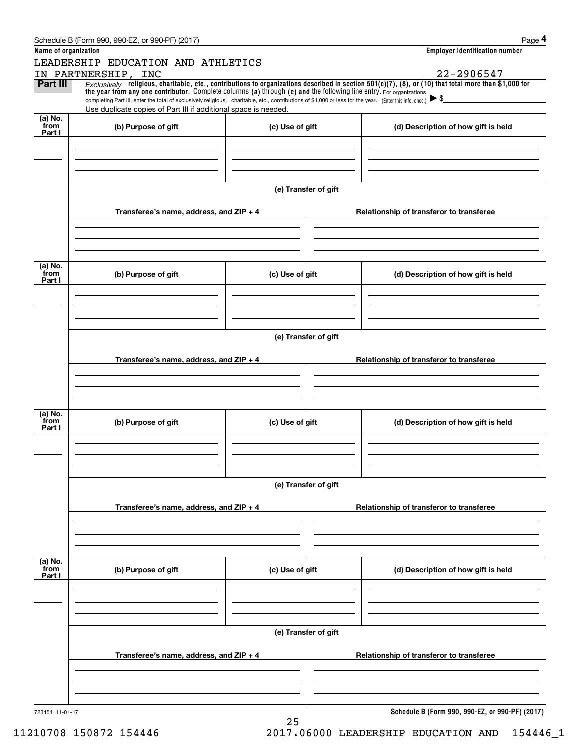|                           | Schedule B (Form 990, 990-EZ, or 990-PF) (2017)                                                                                                                                                                                                                                                                                                                                                                                                                                                               |                 |                      |  | Page 4                                          |  |
|---------------------------|---------------------------------------------------------------------------------------------------------------------------------------------------------------------------------------------------------------------------------------------------------------------------------------------------------------------------------------------------------------------------------------------------------------------------------------------------------------------------------------------------------------|-----------------|----------------------|--|-------------------------------------------------|--|
| Name of organization      | LEADERSHIP EDUCATION AND ATHLETICS                                                                                                                                                                                                                                                                                                                                                                                                                                                                            |                 |                      |  | <b>Employer identification number</b>           |  |
|                           | IN PARTNERSHIP, INC                                                                                                                                                                                                                                                                                                                                                                                                                                                                                           |                 |                      |  | 22-2906547                                      |  |
| <b>Part III</b>           | $Exclusively$ religious, charitable, etc., contributions to organizations described in section 501(c)(7), (8), or (10) that total more than \$1,000 for<br>the year from any one contributor. Complete columns (a) through (e) and the following line entry. For organizations<br>completing Part III, enter the total of exclusively religious, charitable, etc., contributions of \$1,000 or less for the year. (Enter this info. once.)<br>Use duplicate copies of Part III if additional space is needed. |                 |                      |  |                                                 |  |
| (a) No.<br>from           | (b) Purpose of gift                                                                                                                                                                                                                                                                                                                                                                                                                                                                                           | (c) Use of gift |                      |  | (d) Description of how gift is held             |  |
| Part I                    |                                                                                                                                                                                                                                                                                                                                                                                                                                                                                                               |                 |                      |  |                                                 |  |
|                           |                                                                                                                                                                                                                                                                                                                                                                                                                                                                                                               |                 | (e) Transfer of gift |  |                                                 |  |
|                           | Transferee's name, address, and $ZIP + 4$                                                                                                                                                                                                                                                                                                                                                                                                                                                                     |                 |                      |  | Relationship of transferor to transferee        |  |
| (a) No.<br>from<br>Part I | (b) Purpose of gift                                                                                                                                                                                                                                                                                                                                                                                                                                                                                           | (c) Use of gift |                      |  | (d) Description of how gift is held             |  |
|                           |                                                                                                                                                                                                                                                                                                                                                                                                                                                                                                               |                 |                      |  |                                                 |  |
|                           | (e) Transfer of gift                                                                                                                                                                                                                                                                                                                                                                                                                                                                                          |                 |                      |  |                                                 |  |
|                           | Transferee's name, address, and $ZIP + 4$                                                                                                                                                                                                                                                                                                                                                                                                                                                                     |                 |                      |  | Relationship of transferor to transferee        |  |
| (a) No.<br>from<br>Part I | (b) Purpose of gift                                                                                                                                                                                                                                                                                                                                                                                                                                                                                           | (c) Use of gift |                      |  | (d) Description of how gift is held             |  |
|                           |                                                                                                                                                                                                                                                                                                                                                                                                                                                                                                               |                 | (e) Transfer of gift |  |                                                 |  |
|                           | Transferee's name, address, and ZIP + 4                                                                                                                                                                                                                                                                                                                                                                                                                                                                       |                 |                      |  | Relationship of transferor to transferee        |  |
|                           |                                                                                                                                                                                                                                                                                                                                                                                                                                                                                                               |                 |                      |  |                                                 |  |
| (a) No.<br>from<br>Part I | (b) Purpose of gift                                                                                                                                                                                                                                                                                                                                                                                                                                                                                           | (c) Use of gift |                      |  | (d) Description of how gift is held             |  |
|                           |                                                                                                                                                                                                                                                                                                                                                                                                                                                                                                               |                 |                      |  |                                                 |  |
|                           | (e) Transfer of gift                                                                                                                                                                                                                                                                                                                                                                                                                                                                                          |                 |                      |  |                                                 |  |
|                           | Transferee's name, address, and ZIP + 4                                                                                                                                                                                                                                                                                                                                                                                                                                                                       |                 |                      |  | Relationship of transferor to transferee        |  |
|                           |                                                                                                                                                                                                                                                                                                                                                                                                                                                                                                               |                 |                      |  |                                                 |  |
| 723454 11-01-17           |                                                                                                                                                                                                                                                                                                                                                                                                                                                                                                               | 25              |                      |  | Schedule B (Form 990, 990-EZ, or 990-PF) (2017) |  |

11210708 150872 154446 2017.06000 LEADERSHIP EDUCATION AND 154446\_1 11210708 150872 154446 2017.06000 LEADERSHIP EDUCATION AND 154446\_1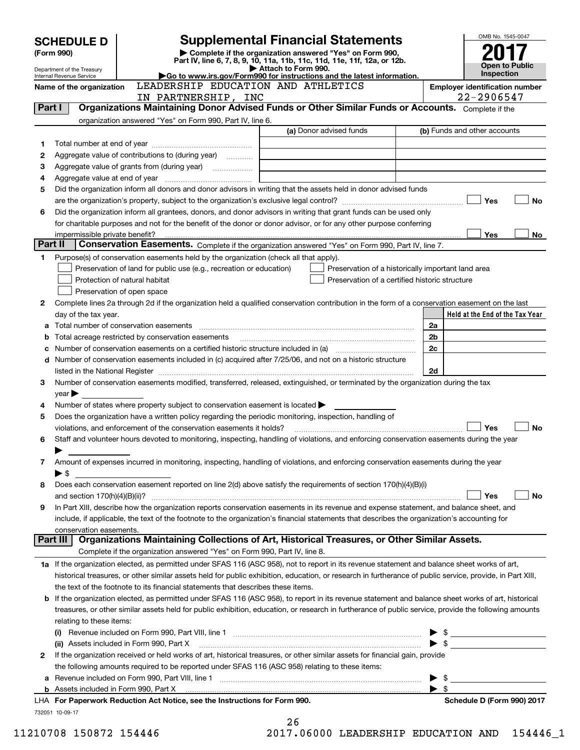|         | <b>SCHEDULE D</b>                                      |                                                                                                        | <b>Supplemental Financial Statements</b>                                                                                                                                                                                                |                          | OMB No. 1545-0047                     |
|---------|--------------------------------------------------------|--------------------------------------------------------------------------------------------------------|-----------------------------------------------------------------------------------------------------------------------------------------------------------------------------------------------------------------------------------------|--------------------------|---------------------------------------|
|         | (Form 990)                                             |                                                                                                        | Complete if the organization answered "Yes" on Form 990,<br>Part IV, line 6, 7, 8, 9, 10, 11a, 11b, 11c, 11d, 11e, 11f, 12a, or 12b.                                                                                                    |                          |                                       |
|         | Department of the Treasury<br>Internal Revenue Service |                                                                                                        | Attach to Form 990.<br>Go to www.irs.gov/Form990 for instructions and the latest information.                                                                                                                                           |                          | Open to Public<br><b>Inspection</b>   |
|         | Name of the organization                               | LEADERSHIP EDUCATION AND ATHLETICS                                                                     |                                                                                                                                                                                                                                         |                          | <b>Employer identification number</b> |
|         |                                                        | IN PARTNERSHIP, INC                                                                                    |                                                                                                                                                                                                                                         |                          | 22-2906547                            |
| Part I  |                                                        |                                                                                                        | Organizations Maintaining Donor Advised Funds or Other Similar Funds or Accounts. Complete if the                                                                                                                                       |                          |                                       |
|         |                                                        | organization answered "Yes" on Form 990, Part IV, line 6.                                              |                                                                                                                                                                                                                                         |                          |                                       |
|         |                                                        |                                                                                                        | (a) Donor advised funds                                                                                                                                                                                                                 |                          | (b) Funds and other accounts          |
| 1       |                                                        |                                                                                                        |                                                                                                                                                                                                                                         |                          |                                       |
| 2       |                                                        | Aggregate value of contributions to (during year)                                                      |                                                                                                                                                                                                                                         |                          |                                       |
| З       |                                                        | Aggregate value of grants from (during year) <i>mimimimimial</i>                                       |                                                                                                                                                                                                                                         |                          |                                       |
| 4       |                                                        |                                                                                                        |                                                                                                                                                                                                                                         |                          |                                       |
| 5       |                                                        |                                                                                                        | Did the organization inform all donors and donor advisors in writing that the assets held in donor advised funds                                                                                                                        |                          |                                       |
|         |                                                        |                                                                                                        |                                                                                                                                                                                                                                         |                          | Yes<br><b>No</b>                      |
| 6       |                                                        |                                                                                                        | Did the organization inform all grantees, donors, and donor advisors in writing that grant funds can be used only<br>for charitable purposes and not for the benefit of the donor or donor advisor, or for any other purpose conferring |                          |                                       |
|         |                                                        |                                                                                                        |                                                                                                                                                                                                                                         |                          | <b>Yes</b><br>No                      |
| Part II |                                                        |                                                                                                        | Conservation Easements. Complete if the organization answered "Yes" on Form 990, Part IV, line 7.                                                                                                                                       |                          |                                       |
| 1       |                                                        | Purpose(s) of conservation easements held by the organization (check all that apply).                  |                                                                                                                                                                                                                                         |                          |                                       |
|         |                                                        | Preservation of land for public use (e.g., recreation or education)                                    | Preservation of a historically important land area                                                                                                                                                                                      |                          |                                       |
|         |                                                        | Protection of natural habitat                                                                          | Preservation of a certified historic structure                                                                                                                                                                                          |                          |                                       |
|         |                                                        | Preservation of open space                                                                             |                                                                                                                                                                                                                                         |                          |                                       |
| 2       |                                                        |                                                                                                        | Complete lines 2a through 2d if the organization held a qualified conservation contribution in the form of a conservation easement on the last                                                                                          |                          |                                       |
|         | day of the tax year.                                   |                                                                                                        |                                                                                                                                                                                                                                         |                          | Held at the End of the Tax Year       |
| a       |                                                        |                                                                                                        |                                                                                                                                                                                                                                         | 2a                       |                                       |
| b       |                                                        | Total acreage restricted by conservation easements                                                     |                                                                                                                                                                                                                                         | 2 <sub>b</sub>           |                                       |
| c       |                                                        |                                                                                                        |                                                                                                                                                                                                                                         | 2c                       |                                       |
| d       |                                                        |                                                                                                        | Number of conservation easements included in (c) acquired after 7/25/06, and not on a historic structure                                                                                                                                |                          |                                       |
| З       |                                                        |                                                                                                        | Number of conservation easements modified, transferred, released, extinguished, or terminated by the organization during the tax                                                                                                        | 2d                       |                                       |
|         | year                                                   |                                                                                                        |                                                                                                                                                                                                                                         |                          |                                       |
| 4       |                                                        | Number of states where property subject to conservation easement is located $\blacktriangleright$      |                                                                                                                                                                                                                                         |                          |                                       |
| 5       |                                                        | Does the organization have a written policy regarding the periodic monitoring, inspection, handling of |                                                                                                                                                                                                                                         |                          |                                       |
|         |                                                        | violations, and enforcement of the conservation easements it holds?                                    |                                                                                                                                                                                                                                         |                          | Yes<br><b>No</b>                      |
| 6       |                                                        |                                                                                                        | Staff and volunteer hours devoted to monitoring, inspecting, handling of violations, and enforcing conservation easements during the year                                                                                               |                          |                                       |
|         |                                                        |                                                                                                        |                                                                                                                                                                                                                                         |                          |                                       |
| 7       |                                                        |                                                                                                        | Amount of expenses incurred in monitoring, inspecting, handling of violations, and enforcing conservation easements during the year                                                                                                     |                          |                                       |
|         | $\blacktriangleright$ \$                               |                                                                                                        |                                                                                                                                                                                                                                         |                          |                                       |
| 8       |                                                        |                                                                                                        | Does each conservation easement reported on line 2(d) above satisfy the requirements of section 170(h)(4)(B)(i)                                                                                                                         |                          |                                       |
|         | and section $170(h)(4)(B)(ii)?$                        |                                                                                                        |                                                                                                                                                                                                                                         |                          | Yes<br>No                             |
| 9       |                                                        |                                                                                                        | In Part XIII, describe how the organization reports conservation easements in its revenue and expense statement, and balance sheet, and                                                                                                 |                          |                                       |
|         | conservation easements.                                |                                                                                                        | include, if applicable, the text of the footnote to the organization's financial statements that describes the organization's accounting for                                                                                            |                          |                                       |
|         | Part III                                               |                                                                                                        | Organizations Maintaining Collections of Art, Historical Treasures, or Other Similar Assets.                                                                                                                                            |                          |                                       |
|         |                                                        | Complete if the organization answered "Yes" on Form 990, Part IV, line 8.                              |                                                                                                                                                                                                                                         |                          |                                       |
|         |                                                        |                                                                                                        | 1a If the organization elected, as permitted under SFAS 116 (ASC 958), not to report in its revenue statement and balance sheet works of art,                                                                                           |                          |                                       |
|         |                                                        |                                                                                                        | historical treasures, or other similar assets held for public exhibition, education, or research in furtherance of public service, provide, in Part XIII,                                                                               |                          |                                       |
|         |                                                        | the text of the footnote to its financial statements that describes these items.                       |                                                                                                                                                                                                                                         |                          |                                       |
|         |                                                        |                                                                                                        | <b>b</b> If the organization elected, as permitted under SFAS 116 (ASC 958), to report in its revenue statement and balance sheet works of art, historical                                                                              |                          |                                       |
|         |                                                        |                                                                                                        | treasures, or other similar assets held for public exhibition, education, or research in furtherance of public service, provide the following amounts                                                                                   |                          |                                       |
|         | relating to these items:                               |                                                                                                        |                                                                                                                                                                                                                                         |                          |                                       |
|         |                                                        |                                                                                                        |                                                                                                                                                                                                                                         |                          |                                       |
|         |                                                        | (ii) Assets included in Form 990, Part X                                                               |                                                                                                                                                                                                                                         | $\blacktriangleright$ \$ |                                       |
| 2       |                                                        |                                                                                                        | If the organization received or held works of art, historical treasures, or other similar assets for financial gain, provide                                                                                                            |                          |                                       |
|         |                                                        | the following amounts required to be reported under SFAS 116 (ASC 958) relating to these items:        |                                                                                                                                                                                                                                         |                          |                                       |
|         |                                                        |                                                                                                        |                                                                                                                                                                                                                                         | - \$                     |                                       |
|         |                                                        | LHA For Paperwork Reduction Act Notice, see the Instructions for Form 990.                             |                                                                                                                                                                                                                                         | $\blacktriangleright$ \$ | Schedule D (Form 990) 2017            |
|         | 732051 10-09-17                                        |                                                                                                        |                                                                                                                                                                                                                                         |                          |                                       |
|         |                                                        |                                                                                                        | $\sim$                                                                                                                                                                                                                                  |                          |                                       |

11210708 150872 154446 2017.06000 LEADERSHIP EDUCATION AND 154446\_1 11210708 150872 154446 2017.06000 LEADERSHIP EDUCATION AND 154446\_1

<sup>26</sup>  26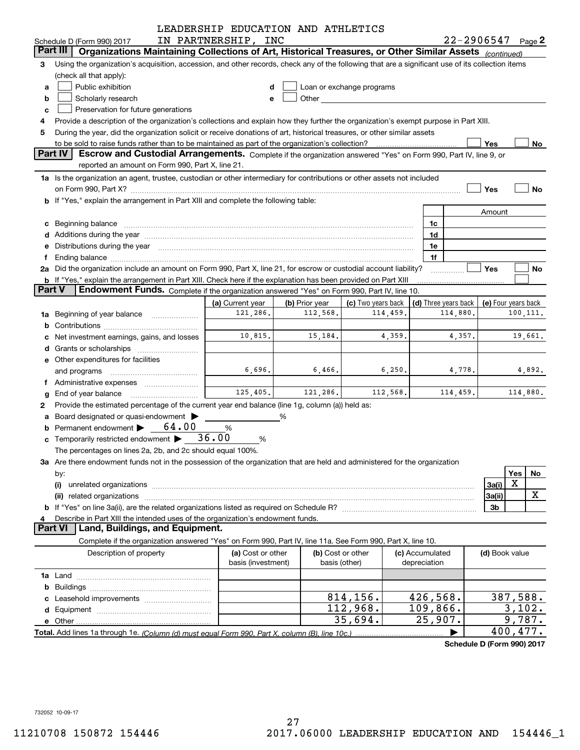|               |                                                                                                                                                                                                                                | LEADERSHIP EDUCATION AND ATHLETICS      |                                    |                                                                                                                                                                                                                               |                                 |                      |                            |                     |
|---------------|--------------------------------------------------------------------------------------------------------------------------------------------------------------------------------------------------------------------------------|-----------------------------------------|------------------------------------|-------------------------------------------------------------------------------------------------------------------------------------------------------------------------------------------------------------------------------|---------------------------------|----------------------|----------------------------|---------------------|
|               | Schedule D (Form 990) 2017                                                                                                                                                                                                     | IN PARTNERSHIP, INC                     |                                    |                                                                                                                                                                                                                               |                                 |                      | $22 - 2906547$ Page 2      |                     |
| Part III      | Organizations Maintaining Collections of Art, Historical Treasures, or Other Similar Assets (continued)                                                                                                                        |                                         |                                    |                                                                                                                                                                                                                               |                                 |                      |                            |                     |
| 3             | Using the organization's acquisition, accession, and other records, check any of the following that are a significant use of its collection items                                                                              |                                         |                                    |                                                                                                                                                                                                                               |                                 |                      |                            |                     |
|               | (check all that apply):                                                                                                                                                                                                        |                                         |                                    |                                                                                                                                                                                                                               |                                 |                      |                            |                     |
| a             | Public exhibition                                                                                                                                                                                                              | d                                       |                                    | Loan or exchange programs                                                                                                                                                                                                     |                                 |                      |                            |                     |
| b             | Scholarly research                                                                                                                                                                                                             | е                                       |                                    | Other and the contract of the contract of the contract of the contract of the contract of the contract of the contract of the contract of the contract of the contract of the contract of the contract of the contract of the |                                 |                      |                            |                     |
| c             | Preservation for future generations                                                                                                                                                                                            |                                         |                                    |                                                                                                                                                                                                                               |                                 |                      |                            |                     |
| 4             | Provide a description of the organization's collections and explain how they further the organization's exempt purpose in Part XIII.                                                                                           |                                         |                                    |                                                                                                                                                                                                                               |                                 |                      |                            |                     |
| 5             | During the year, did the organization solicit or receive donations of art, historical treasures, or other similar assets                                                                                                       |                                         |                                    |                                                                                                                                                                                                                               |                                 |                      |                            |                     |
|               |                                                                                                                                                                                                                                |                                         |                                    |                                                                                                                                                                                                                               |                                 |                      | Yes                        | No                  |
|               | Part IV<br>Escrow and Custodial Arrangements. Complete if the organization answered "Yes" on Form 990, Part IV, line 9, or                                                                                                     |                                         |                                    |                                                                                                                                                                                                                               |                                 |                      |                            |                     |
|               | reported an amount on Form 990, Part X, line 21.                                                                                                                                                                               |                                         |                                    |                                                                                                                                                                                                                               |                                 |                      |                            |                     |
|               | 1a Is the organization an agent, trustee, custodian or other intermediary for contributions or other assets not included                                                                                                       |                                         |                                    |                                                                                                                                                                                                                               |                                 |                      |                            |                     |
|               | on Form 990, Part X? [11] matter contracts and contracts and contracts are contracted as a function of the set of the set of the set of the set of the set of the set of the set of the set of the set of the set of the set o |                                         |                                    |                                                                                                                                                                                                                               |                                 |                      | Yes                        | <b>No</b>           |
|               | b If "Yes," explain the arrangement in Part XIII and complete the following table:                                                                                                                                             |                                         |                                    |                                                                                                                                                                                                                               |                                 |                      |                            |                     |
|               |                                                                                                                                                                                                                                |                                         |                                    |                                                                                                                                                                                                                               |                                 |                      | Amount                     |                     |
|               | c Beginning balance manufactured and the contract of Beginning balance manufactured and the contract of the contract of the contract of the contract of the contract of the contract of the contract of the contract of the co |                                         |                                    |                                                                                                                                                                                                                               | 1c                              |                      |                            |                     |
|               | Additions during the year manufactured and an according to your control of the year manufactured and according the year manufactured and according the year manufactured and according the year manufactured and according the |                                         |                                    |                                                                                                                                                                                                                               | 1 <sub>d</sub>                  |                      |                            |                     |
|               | Distributions during the year manufactured and continuum and contact the year manufactured and contact the year                                                                                                                |                                         |                                    |                                                                                                                                                                                                                               | 1e                              |                      |                            |                     |
|               | Ending balance manufactured and contract and contract of the contract of the contract of the contract of the contract of the contract of the contract of the contract of the contract of the contract of the contract of the c |                                         |                                    |                                                                                                                                                                                                                               | 1f                              |                      |                            |                     |
|               | 2a Did the organization include an amount on Form 990, Part X, line 21, for escrow or custodial account liability?                                                                                                             |                                         |                                    |                                                                                                                                                                                                                               |                                 |                      | Yes                        | No                  |
|               | <b>b</b> If "Yes," explain the arrangement in Part XIII. Check here if the explanation has been provided on Part XIII                                                                                                          |                                         |                                    |                                                                                                                                                                                                                               |                                 |                      |                            |                     |
| <b>Part V</b> | Endowment Funds. Complete if the organization answered "Yes" on Form 990, Part IV, line 10.                                                                                                                                    |                                         |                                    |                                                                                                                                                                                                                               |                                 |                      |                            |                     |
|               |                                                                                                                                                                                                                                | (a) Current year                        | (b) Prior year                     | (c) Two years back                                                                                                                                                                                                            |                                 | (d) Three years back |                            | (e) Four years back |
| 1a            | Beginning of year balance                                                                                                                                                                                                      | 121,286.                                | 112,568.                           | 114,459.                                                                                                                                                                                                                      |                                 | 114,880.             |                            | 100,111.            |
|               |                                                                                                                                                                                                                                |                                         |                                    |                                                                                                                                                                                                                               |                                 |                      |                            |                     |
|               | Net investment earnings, gains, and losses                                                                                                                                                                                     | 10,815.                                 | 15,184.                            | 4,359.                                                                                                                                                                                                                        |                                 | 4,357.               |                            | 19,661.             |
| d             |                                                                                                                                                                                                                                |                                         |                                    |                                                                                                                                                                                                                               |                                 |                      |                            |                     |
|               | e Other expenditures for facilities                                                                                                                                                                                            |                                         |                                    |                                                                                                                                                                                                                               |                                 |                      |                            |                     |
|               | and programs                                                                                                                                                                                                                   | 6,696.                                  | 6,466.                             | 6, 250.                                                                                                                                                                                                                       |                                 | 4,778.               |                            | 4,892.              |
| Ť.            |                                                                                                                                                                                                                                |                                         |                                    |                                                                                                                                                                                                                               |                                 |                      |                            |                     |
| g             | End of year balance                                                                                                                                                                                                            | 125,405.                                | 121,286.                           | 112,568.                                                                                                                                                                                                                      |                                 | 114,459.             |                            | 114,880.            |
| 2             | Provide the estimated percentage of the current year end balance (line 1g, column (a)) held as:                                                                                                                                |                                         |                                    |                                                                                                                                                                                                                               |                                 |                      |                            |                     |
|               | Board designated or quasi-endowment                                                                                                                                                                                            |                                         | ℅                                  |                                                                                                                                                                                                                               |                                 |                      |                            |                     |
|               | Permanent endowment > 64.00                                                                                                                                                                                                    | %                                       |                                    |                                                                                                                                                                                                                               |                                 |                      |                            |                     |
|               | <b>c</b> Temporarily restricted endowment $\triangleright$ 36.00                                                                                                                                                               | %                                       |                                    |                                                                                                                                                                                                                               |                                 |                      |                            |                     |
|               | The percentages on lines 2a, 2b, and 2c should equal 100%.                                                                                                                                                                     |                                         |                                    |                                                                                                                                                                                                                               |                                 |                      |                            |                     |
|               | 3a Are there endowment funds not in the possession of the organization that are held and administered for the organization                                                                                                     |                                         |                                    |                                                                                                                                                                                                                               |                                 |                      |                            |                     |
|               | by:                                                                                                                                                                                                                            |                                         |                                    |                                                                                                                                                                                                                               |                                 |                      |                            | Yes<br>No           |
|               | (i)                                                                                                                                                                                                                            |                                         |                                    |                                                                                                                                                                                                                               |                                 |                      | 3a(i)                      | X                   |
|               | (ii)                                                                                                                                                                                                                           |                                         |                                    |                                                                                                                                                                                                                               |                                 |                      | 3a(ii)                     | X                   |
|               |                                                                                                                                                                                                                                |                                         |                                    |                                                                                                                                                                                                                               |                                 |                      | 3b                         |                     |
|               |                                                                                                                                                                                                                                |                                         |                                    |                                                                                                                                                                                                                               |                                 |                      |                            |                     |
|               | Describe in Part XIII the intended uses of the organization's endowment funds.<br>Part VI<br>Land, Buildings, and Equipment.                                                                                                   |                                         |                                    |                                                                                                                                                                                                                               |                                 |                      |                            |                     |
|               | Complete if the organization answered "Yes" on Form 990, Part IV, line 11a. See Form 990, Part X, line 10.                                                                                                                     |                                         |                                    |                                                                                                                                                                                                                               |                                 |                      |                            |                     |
|               |                                                                                                                                                                                                                                |                                         |                                    |                                                                                                                                                                                                                               |                                 |                      |                            |                     |
|               | Description of property                                                                                                                                                                                                        | (a) Cost or other<br>basis (investment) | (b) Cost or other<br>basis (other) |                                                                                                                                                                                                                               | (c) Accumulated<br>depreciation |                      | (d) Book value             |                     |
|               |                                                                                                                                                                                                                                |                                         |                                    |                                                                                                                                                                                                                               |                                 |                      |                            |                     |
|               |                                                                                                                                                                                                                                |                                         |                                    |                                                                                                                                                                                                                               |                                 |                      |                            |                     |
|               |                                                                                                                                                                                                                                |                                         |                                    |                                                                                                                                                                                                                               |                                 |                      |                            |                     |
|               |                                                                                                                                                                                                                                |                                         |                                    | 814,156.                                                                                                                                                                                                                      | 426,568.                        |                      |                            | 387,588.            |
|               |                                                                                                                                                                                                                                |                                         |                                    | 112,968.                                                                                                                                                                                                                      | 109,866.                        |                      |                            | 3,102.              |
| е             |                                                                                                                                                                                                                                |                                         |                                    | 35,694.                                                                                                                                                                                                                       |                                 | 25,907.              |                            | 9,787.              |
|               |                                                                                                                                                                                                                                |                                         |                                    |                                                                                                                                                                                                                               |                                 |                      |                            | 400,477.            |
|               |                                                                                                                                                                                                                                |                                         |                                    |                                                                                                                                                                                                                               |                                 |                      | Schedule D (Form 990) 2017 |                     |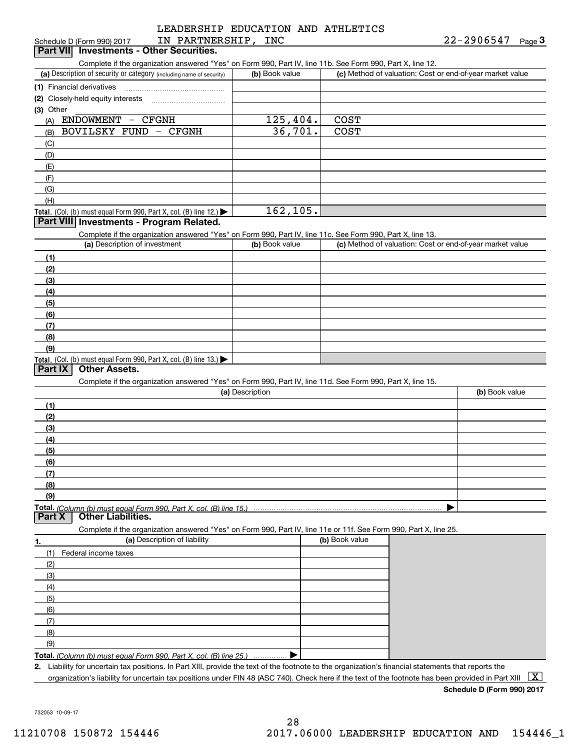#### LEADERSHIP EDUCATION AND ATHLETICS LEADERSHIP EDUCATION AND ATHLETICS Schedule D (Form 990) 2017 **IN PARTNERSHIP, INC** 22-2906547 Page **3** IN PARTNERSHIP, INC

| Schedule D (Form 990) 2017               | IN PARTNERSHIP | INC | 22-2906547 | Page J |
|------------------------------------------|----------------|-----|------------|--------|
| Part VII Investments - Other Securities. |                |     |            |        |

Complete if the organization answered "Yes" on Form 990, Part IV, line 11b. See Form 990, Part X, line 12.

| (a) Description of security or category (including name of security)                          | (b) Book value | (c) Method of valuation: Cost or end-of-year market value |
|-----------------------------------------------------------------------------------------------|----------------|-----------------------------------------------------------|
| (1) Financial derivatives                                                                     |                |                                                           |
| (2) Closely-held equity interests                                                             |                |                                                           |
| $(3)$ Other                                                                                   |                |                                                           |
| ENDOWMENT<br><b>CFGNH</b><br>$\overline{\phantom{m}}$<br>(A)                                  | 125, 404.      | <b>COST</b>                                               |
| BOVILSKY FUND<br>- CFGNH<br>(B)                                                               | 36,701.        | <b>COST</b>                                               |
| (C)                                                                                           |                |                                                           |
| (D)                                                                                           |                |                                                           |
| (E)                                                                                           |                |                                                           |
| (F)                                                                                           |                |                                                           |
| (G)                                                                                           |                |                                                           |
| (H)                                                                                           |                |                                                           |
| <b>Total.</b> (Col. (b) must equal Form 990, Part X, col. (B) line 12.) $\blacktriangleright$ | 162, 105.      |                                                           |

#### **Investments - Program Related. Part VIII Investments - Program Related.**

Complete if the organization answered "Yes" on Form 990, Part IV, line 11c. See Form 990, Part X, line 13.

| (a) Description of investment                                                          | (b) Book value | (c) Method of valuation: Cost or end-of-year market value |
|----------------------------------------------------------------------------------------|----------------|-----------------------------------------------------------|
| (1)                                                                                    |                |                                                           |
| (2)                                                                                    |                |                                                           |
| $\frac{1}{2}$                                                                          |                |                                                           |
| (4)                                                                                    |                |                                                           |
| $\frac{1}{2}$                                                                          |                |                                                           |
| (6)                                                                                    |                |                                                           |
| $\sqrt{(7)}$                                                                           |                |                                                           |
| (8)                                                                                    |                |                                                           |
| (9)                                                                                    |                |                                                           |
| Total. (Col. (b) must equal Form 990, Part X, col. (B) line 13.) $\blacktriangleright$ |                |                                                           |

#### **Part IX Other Assets.**

Complete if the organization answered "Yes" on Form 990, Part IV, line 11d. See Form 990, Part X, line 15.

| (a) Description | (b) Book value |
|-----------------|----------------|
| (1)             |                |
| (2)             |                |
| $\frac{1}{2}$   |                |
| (4)             |                |
| $\frac{1}{2}$   |                |
| (6)             |                |
| (7)             |                |
| (8)             |                |
| (9)             |                |
|                 |                |

#### **Part X Other Liabilities.**

Complete if the organization answered "Yes" on Form 990, Part IV, line 11e or 11f. See Form 990, Part X, line 25.

| -1. | (a) Description of liability                                       | (b) Book value |  |
|-----|--------------------------------------------------------------------|----------------|--|
| (1) | Federal income taxes                                               |                |  |
| (2) |                                                                    |                |  |
| (3) |                                                                    |                |  |
| (4) |                                                                    |                |  |
| (5) |                                                                    |                |  |
| (6) |                                                                    |                |  |
|     |                                                                    |                |  |
| (8) |                                                                    |                |  |
| (9) |                                                                    |                |  |
|     | Total. (Column (b) must equal Form 990, Part X, col. (B) line 25.) |                |  |

**2 2.**

. Liability for uncertain tax positions. In Part XIII, provide the text of the footnote to the organization's financial statements that reports the organization's liability for uncertain tax positions under FIN 48 (ASC 740). Check here if the text of the footnote has been provided in Part XIII  $~\fbox{X}$ 

**Schedule D (Form 990) 2017 Schedule D (Form 990) 2017**

732053 10-09-17 732053 10-09-17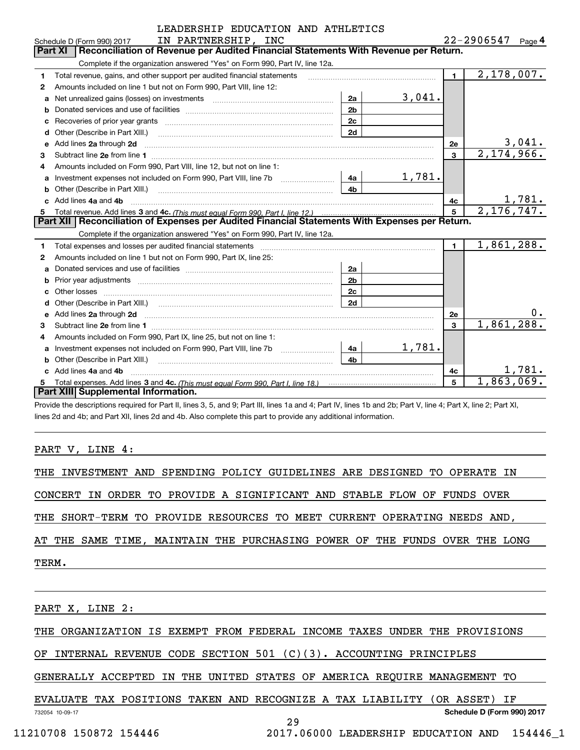|    | LEADERSHIP EDUCATION AND ATHLETICS                                                                                                                                                                                                  |                |        |                         |                       |
|----|-------------------------------------------------------------------------------------------------------------------------------------------------------------------------------------------------------------------------------------|----------------|--------|-------------------------|-----------------------|
|    | IN PARTNERSHIP, INC<br>Schedule D (Form 990) 2017                                                                                                                                                                                   |                |        |                         | $22 - 2906547$ Page 4 |
|    | Reconciliation of Revenue per Audited Financial Statements With Revenue per Return.<br><b>Part XI</b>                                                                                                                               |                |        |                         |                       |
|    | Complete if the organization answered "Yes" on Form 990, Part IV, line 12a.                                                                                                                                                         |                |        |                         |                       |
| 1. | Total revenue, gains, and other support per audited financial statements                                                                                                                                                            |                |        | $\blacksquare$          | 2,178,007.            |
| 2  | Amounts included on line 1 but not on Form 990, Part VIII, line 12:                                                                                                                                                                 |                |        |                         |                       |
| a  |                                                                                                                                                                                                                                     | 2a             | 3,041. |                         |                       |
| b  |                                                                                                                                                                                                                                     | 2 <sub>b</sub> |        |                         |                       |
| c  |                                                                                                                                                                                                                                     | 2c             |        |                         |                       |
|    |                                                                                                                                                                                                                                     | 2d             |        |                         |                       |
| e  | Add lines 2a through 2d                                                                                                                                                                                                             |                |        | 2e                      | 3,041.                |
| 3  |                                                                                                                                                                                                                                     |                |        | $\overline{\mathbf{3}}$ | 2,174,966.            |
| 4  | Amounts included on Form 990, Part VIII, line 12, but not on line 1:                                                                                                                                                                |                |        |                         |                       |
| a  |                                                                                                                                                                                                                                     | 4a             | 1,781. |                         |                       |
| b  | Other (Describe in Part XIII.) <b>Construction Contract Construction</b> Chemical Construction Chemical Chemical Chemical Chemical Chemical Chemical Chemical Chemical Chemical Chemical Chemical Chemical Chemical Chemical Chemic | 4b             |        |                         |                       |
|    | Add lines 4a and 4b                                                                                                                                                                                                                 |                |        | 4c                      | 1,781.                |
| 5  |                                                                                                                                                                                                                                     |                |        | 5                       | 2, 176, 747.          |
|    | Part XII   Reconciliation of Expenses per Audited Financial Statements With Expenses per Return.                                                                                                                                    |                |        |                         |                       |
|    | Complete if the organization answered "Yes" on Form 990, Part IV, line 12a.                                                                                                                                                         |                |        |                         |                       |
| 1  |                                                                                                                                                                                                                                     |                |        | $\mathbf 1$             | 1,861,288.            |
| 2  | Amounts included on line 1 but not on Form 990, Part IX, line 25:                                                                                                                                                                   |                |        |                         |                       |
| a  |                                                                                                                                                                                                                                     | 2a             |        |                         |                       |
| b  |                                                                                                                                                                                                                                     | 2 <sub>b</sub> |        |                         |                       |
|    |                                                                                                                                                                                                                                     | 2c             |        |                         |                       |
|    |                                                                                                                                                                                                                                     | 2d             |        |                         |                       |
| е  | Add lines 2a through 2d <b>contained a contained a contained a contained a</b> contained a contained a contained a contained a contained a contained a contained a contained a contained a contained a contained a contained a cont |                |        | <b>2e</b>               | υ.                    |
| 3  |                                                                                                                                                                                                                                     |                |        | $\overline{\mathbf{3}}$ | 1,861,288.            |
| 4  | Amounts included on Form 990, Part IX, line 25, but not on line 1:                                                                                                                                                                  |                |        |                         |                       |
| a  | Investment expenses not included on Form 990, Part VIII, line 7b                                                                                                                                                                    | 4a             | 1,781. |                         |                       |
|    | Other (Describe in Part XIII.) <b>Construction Contract Construction</b> Chemistry Chemistry Chemistry Chemistry Chemistry                                                                                                          | 4 <sub>b</sub> |        |                         |                       |
|    | Add lines 4a and 4b                                                                                                                                                                                                                 |                |        | 4c                      | 1,781.                |
|    |                                                                                                                                                                                                                                     |                |        | 5                       | 1,863,069.            |
|    | Part XIII Supplemental Information.                                                                                                                                                                                                 |                |        |                         |                       |

-<br>Provide the descriptions required for Part II, lines 3, 5, and 9; Part III, lines 1a and 4; Part IV, lines 1b and 2b; Part V, line 4; Part X, line 2; Part XI, lines 2d and 4b; and Part XII, lines 2d and 4b. Also complete this part to provide any additional information.

PART V, LINE 4:

|                 |  |  |  |  | THE INVESTMENT AND SPENDING POLICY GUIDELINES ARE DESIGNED TO OPERATE IN   |  |  |  |  |  |
|-----------------|--|--|--|--|----------------------------------------------------------------------------|--|--|--|--|--|
|                 |  |  |  |  | CONCERT IN ORDER TO PROVIDE A SIGNIFICANT AND STABLE FLOW OF FUNDS OVER    |  |  |  |  |  |
|                 |  |  |  |  | THE SHORT-TERM TO PROVIDE RESOURCES TO MEET CURRENT OPERATING NEEDS AND,   |  |  |  |  |  |
|                 |  |  |  |  | AT THE SAME TIME, MAINTAIN THE PURCHASING POWER OF THE FUNDS OVER THE LONG |  |  |  |  |  |
| TERM.           |  |  |  |  |                                                                            |  |  |  |  |  |
|                 |  |  |  |  |                                                                            |  |  |  |  |  |
| PART X, LINE 2: |  |  |  |  |                                                                            |  |  |  |  |  |
|                 |  |  |  |  | THE ORGANIZATION IS EXEMPT FROM FEDERAL INCOME TAXES UNDER THE PROVISIONS  |  |  |  |  |  |
|                 |  |  |  |  | OF INTERNAL REVENUE CODE SECTION 501 (C)(3). ACCOUNTING PRINCIPLES         |  |  |  |  |  |

GENERALLY ACCEPTED IN THE UNITED STATES OF AMERICA REQUIRE MANAGEMENT TO GENERALLY ACCEPTED IN THE UNITED STATES OF AMERICA REQUIRE MANAGEMENT TO

EVALUATE TAX POSITIONS TAKEN AND RECOGNIZE A TAX LIABILITY (OR ASSET) IF EVALUATE TAX POSITIONS TAKEN AND RECOGNIZE A TAX LIABILITY (OR ASSET) IF 732054 10-09-17 **Schedule D (Form 990) <sup>2017</sup> Schedule D (Form 990) 2017** 732054 10-09-17

29 29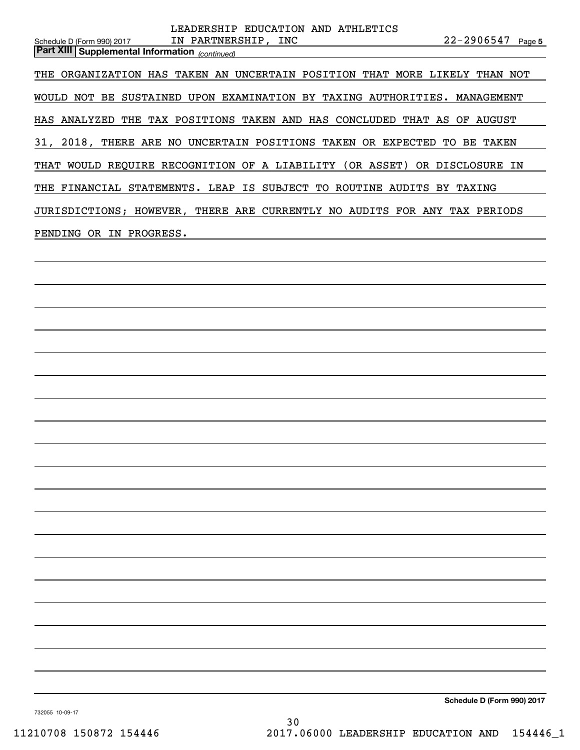| LEADERSHIP EDUCATION AND ATHLETICS                                                                                                  |
|-------------------------------------------------------------------------------------------------------------------------------------|
| IN PARTNERSHIP, INC<br>$22 - 2906547$ Page 5<br>Schedule D (Form 990) 2017<br><b>Part XIII Supplemental Information</b> (continued) |
| THE ORGANIZATION HAS TAKEN AN UNCERTAIN POSITION THAT MORE LIKELY THAN NOT                                                          |
| WOULD NOT BE SUSTAINED UPON EXAMINATION BY TAXING AUTHORITIES. MANAGEMENT                                                           |
| HAS ANALYZED THE TAX POSITIONS TAKEN AND HAS CONCLUDED THAT AS OF AUGUST                                                            |
| 31, 2018, THERE ARE NO UNCERTAIN POSITIONS TAKEN OR EXPECTED TO BE TAKEN                                                            |
| THAT WOULD REQUIRE RECOGNITION OF A LIABILITY (OR ASSET) OR DISCLOSURE IN                                                           |
| THE FINANCIAL STATEMENTS. LEAP IS SUBJECT TO ROUTINE AUDITS BY TAXING                                                               |
| JURISDICTIONS; HOWEVER, THERE ARE CURRENTLY NO AUDITS FOR ANY TAX PERIODS                                                           |
| PENDING OR IN PROGRESS.                                                                                                             |
|                                                                                                                                     |
|                                                                                                                                     |
|                                                                                                                                     |
|                                                                                                                                     |
|                                                                                                                                     |
|                                                                                                                                     |
|                                                                                                                                     |
|                                                                                                                                     |
|                                                                                                                                     |
|                                                                                                                                     |
|                                                                                                                                     |
|                                                                                                                                     |
|                                                                                                                                     |
|                                                                                                                                     |
|                                                                                                                                     |
|                                                                                                                                     |
|                                                                                                                                     |
|                                                                                                                                     |
|                                                                                                                                     |
|                                                                                                                                     |
| Schedule D (Form 990) 2017                                                                                                          |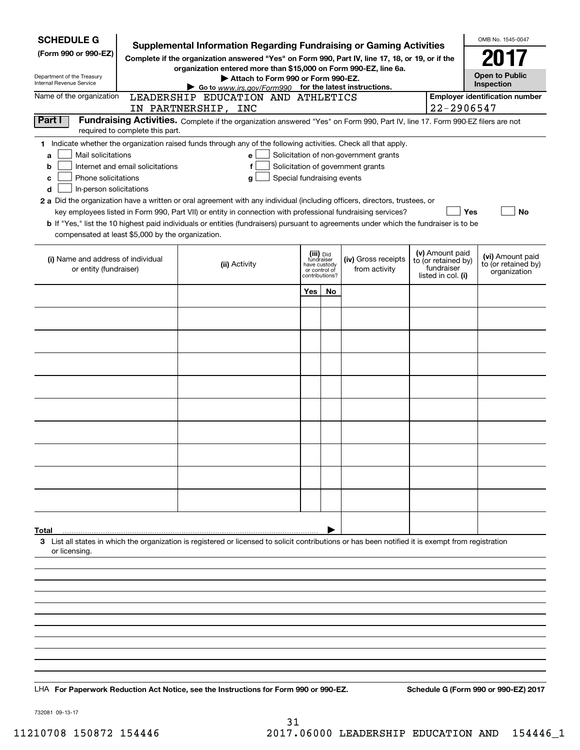| <b>SCHEDULE G</b>                                                                                                            | <b>Supplemental Information Regarding Fundraising or Gaming Activities</b>                                                                                                                                                                                                                   |                                                               |           |                                                                            |                                                                            | OMB No. 1545-0047                                       |
|------------------------------------------------------------------------------------------------------------------------------|----------------------------------------------------------------------------------------------------------------------------------------------------------------------------------------------------------------------------------------------------------------------------------------------|---------------------------------------------------------------|-----------|----------------------------------------------------------------------------|----------------------------------------------------------------------------|---------------------------------------------------------|
| (Form 990 or 990-EZ)                                                                                                         | Complete if the organization answered "Yes" on Form 990, Part IV, line 17, 18, or 19, or if the                                                                                                                                                                                              |                                                               |           |                                                                            |                                                                            | 2017                                                    |
| Department of the Treasury                                                                                                   | organization entered more than \$15,000 on Form 990-EZ, line 6a.<br>Attach to Form 990 or Form 990-EZ.                                                                                                                                                                                       |                                                               |           |                                                                            |                                                                            | <b>Open to Public</b>                                   |
| Internal Revenue Service<br>Name of the organization                                                                         | Go to $www.irs.gov/Form990$ for the latest instructions.<br>LEADERSHIP EDUCATION AND ATHLETICS                                                                                                                                                                                               |                                                               |           |                                                                            |                                                                            | Inspection<br><b>Employer identification number</b>     |
|                                                                                                                              | IN PARTNERSHIP, INC                                                                                                                                                                                                                                                                          |                                                               |           |                                                                            | 22-2906547                                                                 |                                                         |
| Part I<br>required to complete this part.                                                                                    | Fundraising Activities. Complete if the organization answered "Yes" on Form 990, Part IV, line 17. Form 990-EZ filers are not                                                                                                                                                                |                                                               |           |                                                                            |                                                                            |                                                         |
| Mail solicitations<br>a<br>Internet and email solicitations<br>b<br>Phone solicitations<br>c<br>d<br>In-person solicitations | 1 Indicate whether the organization raised funds through any of the following activities. Check all that apply.<br>e l<br>f<br>Special fundraising events<br>q<br>2 a Did the organization have a written or oral agreement with any individual (including officers, directors, trustees, or |                                                               |           | Solicitation of non-government grants<br>Solicitation of government grants |                                                                            |                                                         |
|                                                                                                                              | key employees listed in Form 990, Part VII) or entity in connection with professional fundraising services?<br><b>b</b> If "Yes," list the 10 highest paid individuals or entities (fundraisers) pursuant to agreements under which the fundraiser is to be                                  |                                                               |           |                                                                            | Yes                                                                        | No                                                      |
| compensated at least \$5,000 by the organization.                                                                            |                                                                                                                                                                                                                                                                                              |                                                               |           |                                                                            |                                                                            |                                                         |
| (i) Name and address of individual<br>or entity (fundraiser)                                                                 | (ii) Activity                                                                                                                                                                                                                                                                                | fundraiser<br>have custody<br>or control of<br>contributions? | (iii) Did | (iv) Gross receipts<br>from activity                                       | (v) Amount paid<br>to (or retained by)<br>fundraiser<br>listed in col. (i) | (vi) Amount paid<br>to (or retained by)<br>organization |
|                                                                                                                              |                                                                                                                                                                                                                                                                                              | Yes l                                                         | No        |                                                                            |                                                                            |                                                         |
|                                                                                                                              |                                                                                                                                                                                                                                                                                              |                                                               |           |                                                                            |                                                                            |                                                         |
|                                                                                                                              |                                                                                                                                                                                                                                                                                              |                                                               |           |                                                                            |                                                                            |                                                         |
|                                                                                                                              |                                                                                                                                                                                                                                                                                              |                                                               |           |                                                                            |                                                                            |                                                         |
|                                                                                                                              |                                                                                                                                                                                                                                                                                              |                                                               |           |                                                                            |                                                                            |                                                         |
|                                                                                                                              |                                                                                                                                                                                                                                                                                              |                                                               |           |                                                                            |                                                                            |                                                         |
|                                                                                                                              |                                                                                                                                                                                                                                                                                              |                                                               |           |                                                                            |                                                                            |                                                         |
|                                                                                                                              |                                                                                                                                                                                                                                                                                              |                                                               |           |                                                                            |                                                                            |                                                         |
|                                                                                                                              |                                                                                                                                                                                                                                                                                              |                                                               |           |                                                                            |                                                                            |                                                         |
|                                                                                                                              |                                                                                                                                                                                                                                                                                              |                                                               |           |                                                                            |                                                                            |                                                         |
|                                                                                                                              |                                                                                                                                                                                                                                                                                              |                                                               |           |                                                                            |                                                                            |                                                         |
| Total                                                                                                                        |                                                                                                                                                                                                                                                                                              |                                                               |           |                                                                            |                                                                            |                                                         |
| or licensing.                                                                                                                | 3 List all states in which the organization is registered or licensed to solicit contributions or has been notified it is exempt from registration                                                                                                                                           |                                                               |           |                                                                            |                                                                            |                                                         |
|                                                                                                                              |                                                                                                                                                                                                                                                                                              |                                                               |           |                                                                            |                                                                            |                                                         |
|                                                                                                                              |                                                                                                                                                                                                                                                                                              |                                                               |           |                                                                            |                                                                            |                                                         |
|                                                                                                                              |                                                                                                                                                                                                                                                                                              |                                                               |           |                                                                            |                                                                            |                                                         |
|                                                                                                                              |                                                                                                                                                                                                                                                                                              |                                                               |           |                                                                            |                                                                            |                                                         |
|                                                                                                                              |                                                                                                                                                                                                                                                                                              |                                                               |           |                                                                            |                                                                            |                                                         |
|                                                                                                                              |                                                                                                                                                                                                                                                                                              |                                                               |           |                                                                            |                                                                            |                                                         |
|                                                                                                                              | LHA For Paperwork Reduction Act Notice, see the Instructions for Form 990 or 990-EZ.                                                                                                                                                                                                         |                                                               |           |                                                                            |                                                                            | Schedule G (Form 990 or 990-EZ) 2017                    |

732081 09-13-17 732081 09-13-17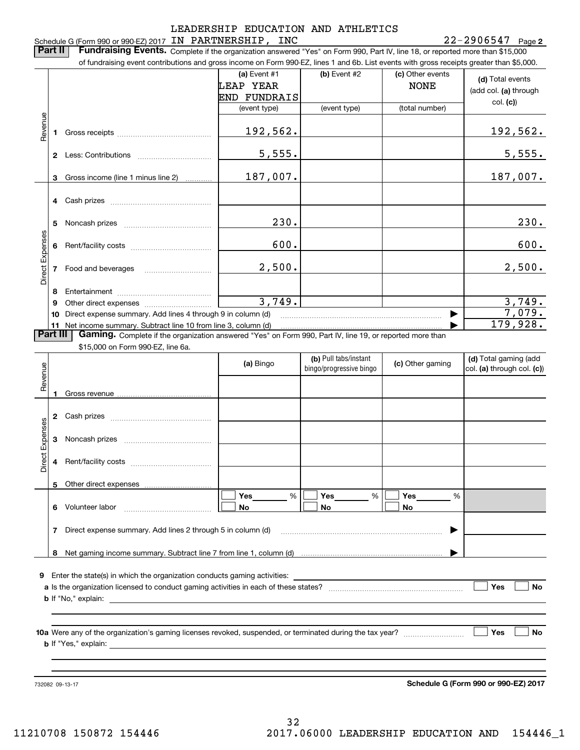|                 | Part II                        | Schedule G (Form 990 or 990-EZ) 2017 IN PARTNERSHIP, INC<br>Fundraising Events. Complete if the organization answered "Yes" on Form 990, Part IV, line 18, or reported more than \$15,000 |                                     |                                                  |                                 | $22 - 2906547$ Page 2                                                               |
|-----------------|--------------------------------|-------------------------------------------------------------------------------------------------------------------------------------------------------------------------------------------|-------------------------------------|--------------------------------------------------|---------------------------------|-------------------------------------------------------------------------------------|
|                 |                                | of fundraising event contributions and gross income on Form 990-EZ, lines 1 and 6b. List events with gross receipts greater than \$5,000.                                                 | (a) Event $#1$<br>LEAP YEAR         | $(b)$ Event #2                                   | (c) Other events<br><b>NONE</b> | (d) Total events                                                                    |
|                 |                                |                                                                                                                                                                                           | <b>END FUNDRAIS</b><br>(event type) | (event type)                                     | (total number)                  | (add col. (a) through<br>col. (c)                                                   |
| Revenue         | 1                              |                                                                                                                                                                                           | 192,562.                            |                                                  |                                 | 192,562.                                                                            |
|                 |                                |                                                                                                                                                                                           | 5,555.                              |                                                  |                                 | 5,555.                                                                              |
|                 | 3                              | Gross income (line 1 minus line 2)                                                                                                                                                        | 187,007.                            |                                                  |                                 | 187,007.                                                                            |
|                 | 4                              |                                                                                                                                                                                           |                                     |                                                  |                                 |                                                                                     |
|                 | 5                              |                                                                                                                                                                                           | 230.                                |                                                  |                                 | 230.                                                                                |
| Direct Expenses | 6                              |                                                                                                                                                                                           | 600.                                |                                                  |                                 | 600.                                                                                |
|                 |                                | Food and beverages                                                                                                                                                                        | 2,500.                              |                                                  |                                 | 2,500.                                                                              |
|                 |                                |                                                                                                                                                                                           |                                     |                                                  |                                 |                                                                                     |
|                 | 8<br>9<br>10<br>11<br>Part III | Direct expense summary. Add lines 4 through 9 in column (d)<br>Net income summary. Subtract line 10 from line 3, column (d)                                                               | 3,749.                              |                                                  |                                 |                                                                                     |
|                 |                                | Gaming. Complete if the organization answered "Yes" on Form 990, Part IV, line 19, or reported more than<br>\$15,000 on Form 990-EZ, line 6a.                                             |                                     |                                                  |                                 |                                                                                     |
|                 |                                |                                                                                                                                                                                           | (a) Bingo                           | (b) Pull tabs/instant<br>bingo/progressive bingo | (c) Other gaming                |                                                                                     |
| Revenue         |                                | Gross revenue                                                                                                                                                                             |                                     |                                                  |                                 |                                                                                     |
|                 | 2                              |                                                                                                                                                                                           |                                     |                                                  |                                 |                                                                                     |
|                 | З                              |                                                                                                                                                                                           |                                     |                                                  |                                 |                                                                                     |
|                 | 4                              |                                                                                                                                                                                           |                                     |                                                  |                                 | 3,749.<br>7,079.<br>179,928.<br>(d) Total gaming (add<br>col. (a) through col. (c)) |
| Direct Expenses | 5                              |                                                                                                                                                                                           |                                     |                                                  |                                 |                                                                                     |
|                 |                                | 6 Volunteer labor                                                                                                                                                                         | %<br>Yes<br>No                      | Yes<br>%<br>No                                   | Yes<br>%<br>No                  |                                                                                     |
|                 | 7                              | Direct expense summary. Add lines 2 through 5 in column (d)                                                                                                                               |                                     |                                                  |                                 |                                                                                     |
|                 | 8                              |                                                                                                                                                                                           |                                     |                                                  |                                 |                                                                                     |

**b** If Yes, explain: **b**If "Yes," explain:

732082 09-13-17

732082 09-13-17 **Schedule G (Form 990 or 990-EZ) <sup>2017</sup> Schedule G (Form 990 or 990-EZ) 2017**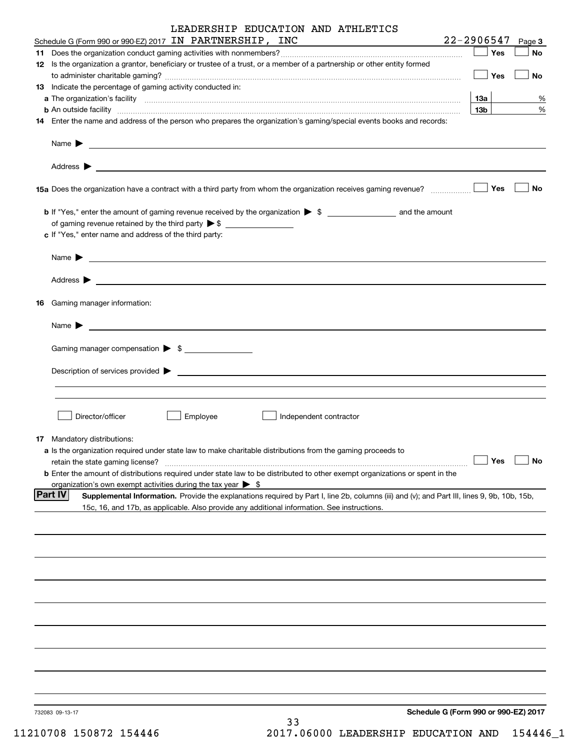|    | LEADERSHIP EDUCATION AND ATHLETICS                                                                                                                                                                                                                                 |                 |     |        |
|----|--------------------------------------------------------------------------------------------------------------------------------------------------------------------------------------------------------------------------------------------------------------------|-----------------|-----|--------|
|    | Schedule G (Form 990 or 990-EZ) 2017 IN PARTNERSHIP, INC                                                                                                                                                                                                           | $22 - 2906547$  |     | Page 3 |
|    |                                                                                                                                                                                                                                                                    |                 | Yes | No     |
|    | 12 Is the organization a grantor, beneficiary or trustee of a trust, or a member of a partnership or other entity formed                                                                                                                                           |                 | Yes | No     |
|    | <b>13</b> Indicate the percentage of gaming activity conducted in:                                                                                                                                                                                                 |                 |     |        |
|    |                                                                                                                                                                                                                                                                    | 13а             |     | %      |
|    | <b>b</b> An outside facility <i>www.communicality communicality communicality communicality communicality communicality communicality communicality communicality communicality communicality communicality communicality communicali</i>                          | 13 <sub>b</sub> |     | $\%$   |
|    | 14 Enter the name and address of the person who prepares the organization's gaming/special events books and records:                                                                                                                                               |                 |     |        |
|    | Name $\blacktriangleright$<br><u>state and the state of the state of the state of the state of the state of the state of the state of the state of the state of the state of the state of the state of the state of the state of the state of the state of the</u> |                 |     |        |
|    |                                                                                                                                                                                                                                                                    |                 |     |        |
|    | 15a Does the organization have a contract with a third party from whom the organization receives gaming revenue?                                                                                                                                                   |                 | Yes | No     |
|    |                                                                                                                                                                                                                                                                    |                 |     |        |
|    |                                                                                                                                                                                                                                                                    |                 |     |        |
|    | c If "Yes," enter name and address of the third party:                                                                                                                                                                                                             |                 |     |        |
|    | Name $\blacktriangleright$<br><u> 1989 - Johann Barbara, marka a shekara ta 1989 - An tsaran tsara tsara tsara tsara tsara tsara tsara tsara t</u>                                                                                                                 |                 |     |        |
|    |                                                                                                                                                                                                                                                                    |                 |     |        |
| 16 | Gaming manager information:                                                                                                                                                                                                                                        |                 |     |        |
|    | Name $\blacktriangleright$                                                                                                                                                                                                                                         |                 |     |        |
|    | Gaming manager compensation > \$                                                                                                                                                                                                                                   |                 |     |        |
|    | Description of services provided >                                                                                                                                                                                                                                 |                 |     |        |
|    |                                                                                                                                                                                                                                                                    |                 |     |        |
|    | Director/officer<br>Employee<br>Independent contractor                                                                                                                                                                                                             |                 |     |        |
|    |                                                                                                                                                                                                                                                                    |                 |     |        |
|    | <b>17</b> Mandatory distributions:<br>a Is the organization required under state law to make charitable distributions from the gaming proceeds to                                                                                                                  |                 |     |        |
|    | retain the state gaming license?                                                                                                                                                                                                                                   |                 | Yes | No     |
|    | <b>b</b> Enter the amount of distributions required under state law to be distributed to other exempt organizations or spent in the                                                                                                                                |                 |     |        |
|    | organization's own exempt activities during the tax year $\triangleright$ \$                                                                                                                                                                                       |                 |     |        |
|    | <b>Part IV</b><br>Supplemental Information. Provide the explanations required by Part I, line 2b, columns (iii) and (v); and Part III, lines 9, 9b, 10b, 15b,<br>15c, 16, and 17b, as applicable. Also provide any additional information. See instructions.       |                 |     |        |
|    |                                                                                                                                                                                                                                                                    |                 |     |        |
|    |                                                                                                                                                                                                                                                                    |                 |     |        |
|    |                                                                                                                                                                                                                                                                    |                 |     |        |
|    |                                                                                                                                                                                                                                                                    |                 |     |        |
|    |                                                                                                                                                                                                                                                                    |                 |     |        |
|    |                                                                                                                                                                                                                                                                    |                 |     |        |
|    |                                                                                                                                                                                                                                                                    |                 |     |        |
|    |                                                                                                                                                                                                                                                                    |                 |     |        |
|    |                                                                                                                                                                                                                                                                    |                 |     |        |
|    | Schedule G (Form 990 or 990-EZ) 2017<br>732083 09-13-17                                                                                                                                                                                                            |                 |     |        |
|    | 33                                                                                                                                                                                                                                                                 |                 |     |        |

11210708 150872 154446 2017.06000 LEADERSHIP EDUCATION AND 154446\_1 11210708 150872 154446 2017.06000 LEADERSHIP EDUCATION AND 154446\_1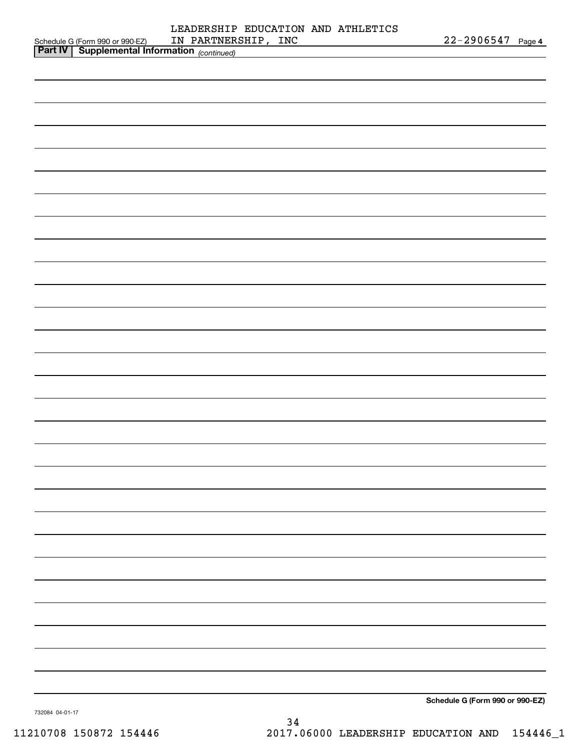|                                                                                                    | LEADERSHIP EDUCATION AND ATHLETICS |                                 |
|----------------------------------------------------------------------------------------------------|------------------------------------|---------------------------------|
| Schedule G (Form 990 or 990-EZ) IN PARTNERS<br><b>Part IV</b> Supplemental Information (continued) | IN PARTNERSHIP, INC                | 22-2906547 Page 4               |
|                                                                                                    |                                    |                                 |
|                                                                                                    |                                    |                                 |
|                                                                                                    |                                    |                                 |
|                                                                                                    |                                    |                                 |
|                                                                                                    |                                    |                                 |
|                                                                                                    |                                    |                                 |
|                                                                                                    |                                    |                                 |
|                                                                                                    |                                    |                                 |
|                                                                                                    |                                    |                                 |
|                                                                                                    |                                    |                                 |
|                                                                                                    |                                    |                                 |
|                                                                                                    |                                    |                                 |
|                                                                                                    |                                    |                                 |
|                                                                                                    |                                    |                                 |
|                                                                                                    |                                    |                                 |
|                                                                                                    |                                    |                                 |
|                                                                                                    |                                    |                                 |
|                                                                                                    |                                    |                                 |
|                                                                                                    |                                    |                                 |
|                                                                                                    |                                    |                                 |
|                                                                                                    |                                    |                                 |
|                                                                                                    |                                    |                                 |
|                                                                                                    |                                    |                                 |
|                                                                                                    |                                    |                                 |
|                                                                                                    |                                    |                                 |
|                                                                                                    |                                    |                                 |
|                                                                                                    |                                    |                                 |
|                                                                                                    |                                    |                                 |
|                                                                                                    |                                    |                                 |
|                                                                                                    |                                    |                                 |
|                                                                                                    |                                    |                                 |
|                                                                                                    |                                    |                                 |
|                                                                                                    |                                    |                                 |
|                                                                                                    |                                    |                                 |
|                                                                                                    |                                    |                                 |
|                                                                                                    |                                    |                                 |
|                                                                                                    |                                    |                                 |
|                                                                                                    |                                    |                                 |
|                                                                                                    |                                    |                                 |
|                                                                                                    |                                    |                                 |
|                                                                                                    |                                    |                                 |
|                                                                                                    |                                    |                                 |
|                                                                                                    |                                    |                                 |
|                                                                                                    |                                    |                                 |
|                                                                                                    |                                    |                                 |
|                                                                                                    |                                    |                                 |
|                                                                                                    |                                    |                                 |
|                                                                                                    |                                    |                                 |
|                                                                                                    |                                    |                                 |
|                                                                                                    |                                    |                                 |
|                                                                                                    |                                    |                                 |
|                                                                                                    |                                    |                                 |
|                                                                                                    |                                    | Schedule G (Form 990 or 990-EZ) |
|                                                                                                    |                                    |                                 |

34 34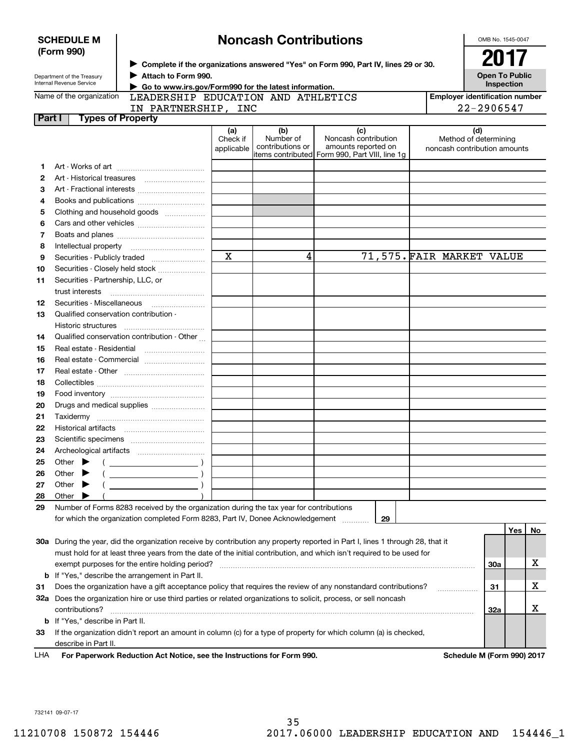| <b>SCHEDULE M</b><br>(Form 990)                                                    |                                                                                                                                           | <b>Noncash Contributions</b>                                                                                                                                         |                               |                                      |                                                                                                                                |  |                                                              | OMB No. 1545-0047<br>2017           |    |
|------------------------------------------------------------------------------------|-------------------------------------------------------------------------------------------------------------------------------------------|----------------------------------------------------------------------------------------------------------------------------------------------------------------------|-------------------------------|--------------------------------------|--------------------------------------------------------------------------------------------------------------------------------|--|--------------------------------------------------------------|-------------------------------------|----|
| Department of the Treasury<br>Internal Revenue Service<br>Name of the organization |                                                                                                                                           | ▶ Complete if the organizations answered "Yes" on Form 990, Part IV, lines 29 or 30.<br>Attach to Form 990.<br>Go to www.irs.gov/Form990 for the latest information. |                               |                                      |                                                                                                                                |  |                                                              | <b>Open To Public</b><br>Inspection |    |
|                                                                                    |                                                                                                                                           | LEADERSHIP EDUCATION AND ATHLETICS                                                                                                                                   |                               |                                      |                                                                                                                                |  | <b>Employer identification number</b>                        |                                     |    |
|                                                                                    |                                                                                                                                           | IN PARTNERSHIP, INC                                                                                                                                                  |                               |                                      |                                                                                                                                |  | 22-2906547                                                   |                                     |    |
| Part I                                                                             | <b>Types of Property</b>                                                                                                                  |                                                                                                                                                                      |                               |                                      |                                                                                                                                |  |                                                              |                                     |    |
|                                                                                    |                                                                                                                                           |                                                                                                                                                                      | (a)<br>Check if<br>applicable | (b)<br>Number of<br>contributions or | (c)<br>Noncash contribution<br>amounts reported on<br>items contributed Form 990, Part VIII, line 1g                           |  | (d)<br>Method of determining<br>noncash contribution amounts |                                     |    |
| 1                                                                                  |                                                                                                                                           |                                                                                                                                                                      |                               |                                      |                                                                                                                                |  |                                                              |                                     |    |
| 2                                                                                  |                                                                                                                                           |                                                                                                                                                                      |                               |                                      |                                                                                                                                |  |                                                              |                                     |    |
| 3                                                                                  |                                                                                                                                           |                                                                                                                                                                      |                               |                                      |                                                                                                                                |  |                                                              |                                     |    |
| 4                                                                                  |                                                                                                                                           |                                                                                                                                                                      |                               |                                      |                                                                                                                                |  |                                                              |                                     |    |
| 5                                                                                  |                                                                                                                                           | Clothing and household goods                                                                                                                                         |                               |                                      |                                                                                                                                |  |                                                              |                                     |    |
| 6                                                                                  |                                                                                                                                           |                                                                                                                                                                      |                               |                                      |                                                                                                                                |  |                                                              |                                     |    |
| 7                                                                                  |                                                                                                                                           |                                                                                                                                                                      |                               |                                      |                                                                                                                                |  |                                                              |                                     |    |
| 8                                                                                  |                                                                                                                                           |                                                                                                                                                                      |                               |                                      |                                                                                                                                |  |                                                              |                                     |    |
| 9                                                                                  |                                                                                                                                           |                                                                                                                                                                      | $\overline{\mathbf{x}}$       | 4                                    |                                                                                                                                |  | 71,575. FAIR MARKET VALUE                                    |                                     |    |
| 10                                                                                 |                                                                                                                                           | Securities - Closely held stock                                                                                                                                      |                               |                                      |                                                                                                                                |  |                                                              |                                     |    |
| 11                                                                                 | Securities - Partnership, LLC, or                                                                                                         |                                                                                                                                                                      |                               |                                      |                                                                                                                                |  |                                                              |                                     |    |
|                                                                                    | trust interests                                                                                                                           |                                                                                                                                                                      |                               |                                      |                                                                                                                                |  |                                                              |                                     |    |
| 12                                                                                 |                                                                                                                                           |                                                                                                                                                                      |                               |                                      |                                                                                                                                |  |                                                              |                                     |    |
| 13                                                                                 | Qualified conservation contribution -                                                                                                     |                                                                                                                                                                      |                               |                                      |                                                                                                                                |  |                                                              |                                     |    |
|                                                                                    | Historic structures                                                                                                                       |                                                                                                                                                                      |                               |                                      |                                                                                                                                |  |                                                              |                                     |    |
| 14                                                                                 |                                                                                                                                           | Qualified conservation contribution - Other                                                                                                                          |                               |                                      |                                                                                                                                |  |                                                              |                                     |    |
| 15                                                                                 |                                                                                                                                           |                                                                                                                                                                      |                               |                                      |                                                                                                                                |  |                                                              |                                     |    |
|                                                                                    |                                                                                                                                           |                                                                                                                                                                      |                               |                                      |                                                                                                                                |  |                                                              |                                     |    |
| 16<br>17                                                                           |                                                                                                                                           | Real estate - Commercial                                                                                                                                             |                               |                                      |                                                                                                                                |  |                                                              |                                     |    |
| 18                                                                                 |                                                                                                                                           |                                                                                                                                                                      |                               |                                      |                                                                                                                                |  |                                                              |                                     |    |
| 19                                                                                 |                                                                                                                                           |                                                                                                                                                                      |                               |                                      |                                                                                                                                |  |                                                              |                                     |    |
| 20                                                                                 |                                                                                                                                           |                                                                                                                                                                      |                               |                                      |                                                                                                                                |  |                                                              |                                     |    |
| 21                                                                                 |                                                                                                                                           | Drugs and medical supplies                                                                                                                                           |                               |                                      |                                                                                                                                |  |                                                              |                                     |    |
| 22                                                                                 |                                                                                                                                           |                                                                                                                                                                      |                               |                                      |                                                                                                                                |  |                                                              |                                     |    |
| 23                                                                                 |                                                                                                                                           |                                                                                                                                                                      |                               |                                      |                                                                                                                                |  |                                                              |                                     |    |
| 24                                                                                 |                                                                                                                                           |                                                                                                                                                                      |                               |                                      |                                                                                                                                |  |                                                              |                                     |    |
| 25                                                                                 | Archeological artifacts<br>Other                                                                                                          |                                                                                                                                                                      |                               |                                      |                                                                                                                                |  |                                                              |                                     |    |
|                                                                                    |                                                                                                                                           |                                                                                                                                                                      |                               |                                      |                                                                                                                                |  |                                                              |                                     |    |
| 26                                                                                 | Other                                                                                                                                     |                                                                                                                                                                      |                               |                                      |                                                                                                                                |  |                                                              |                                     |    |
| 27<br>28                                                                           | Other<br>Other                                                                                                                            |                                                                                                                                                                      |                               |                                      |                                                                                                                                |  |                                                              |                                     |    |
| 29                                                                                 |                                                                                                                                           | Number of Forms 8283 received by the organization during the tax year for contributions                                                                              |                               |                                      |                                                                                                                                |  |                                                              |                                     |    |
|                                                                                    |                                                                                                                                           | for which the organization completed Form 8283, Part IV, Donee Acknowledgement                                                                                       |                               |                                      | 29                                                                                                                             |  |                                                              |                                     |    |
|                                                                                    |                                                                                                                                           |                                                                                                                                                                      |                               |                                      |                                                                                                                                |  |                                                              | Yes                                 | No |
|                                                                                    |                                                                                                                                           |                                                                                                                                                                      |                               |                                      | 30a During the year, did the organization receive by contribution any property reported in Part I, lines 1 through 28, that it |  |                                                              |                                     |    |
|                                                                                    |                                                                                                                                           |                                                                                                                                                                      |                               |                                      |                                                                                                                                |  |                                                              |                                     |    |
|                                                                                    |                                                                                                                                           |                                                                                                                                                                      |                               |                                      | must hold for at least three years from the date of the initial contribution, and which isn't required to be used for          |  |                                                              |                                     | х  |
|                                                                                    |                                                                                                                                           | exempt purposes for the entire holding period?<br><b>b</b> If "Yes," describe the arrangement in Part II.                                                            |                               |                                      |                                                                                                                                |  | <b>30a</b>                                                   |                                     |    |
|                                                                                    |                                                                                                                                           |                                                                                                                                                                      |                               |                                      | Does the organization have a gift acceptance policy that requires the review of any nonstandard contributions?                 |  |                                                              |                                     | x  |
| 31                                                                                 |                                                                                                                                           |                                                                                                                                                                      |                               |                                      | 32a Does the organization hire or use third parties or related organizations to solicit, process, or sell noncash              |  | 31                                                           |                                     |    |
|                                                                                    | contributions?                                                                                                                            |                                                                                                                                                                      |                               |                                      |                                                                                                                                |  | 32a                                                          |                                     | x  |
|                                                                                    | <b>b</b> If "Yes," describe in Part II.                                                                                                   |                                                                                                                                                                      |                               |                                      |                                                                                                                                |  |                                                              |                                     |    |
| 33                                                                                 |                                                                                                                                           |                                                                                                                                                                      |                               |                                      |                                                                                                                                |  |                                                              |                                     |    |
|                                                                                    | If the organization didn't report an amount in column (c) for a type of property for which column (a) is checked,<br>describe in Part II. |                                                                                                                                                                      |                               |                                      |                                                                                                                                |  |                                                              |                                     |    |
| LHA                                                                                |                                                                                                                                           | For Paperwork Reduction Act Notice, see the Instructions for Form 990.                                                                                               |                               |                                      |                                                                                                                                |  | Schedule M (Form 990) 2017                                   |                                     |    |
|                                                                                    |                                                                                                                                           |                                                                                                                                                                      |                               |                                      |                                                                                                                                |  |                                                              |                                     |    |

732141 09-07-17 732141 09-07-17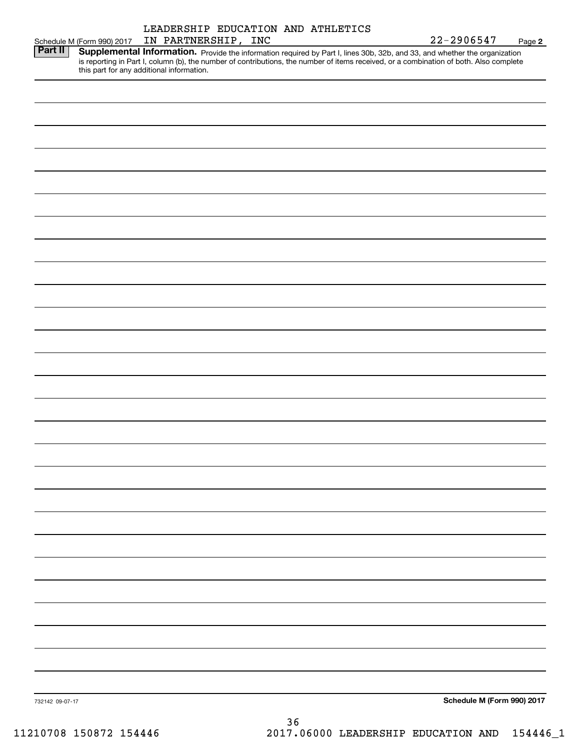|                 |                                                            | LEADERSHIP EDUCATION AND ATHLETICS                                                                                                                                                                                                                                               |          |  |                            |        |
|-----------------|------------------------------------------------------------|----------------------------------------------------------------------------------------------------------------------------------------------------------------------------------------------------------------------------------------------------------------------------------|----------|--|----------------------------|--------|
|                 | Schedule M (Form 990) 2017<br><b>Part II</b>   Supplementa | IN PARTNERSHIP, INC                                                                                                                                                                                                                                                              |          |  | 22-2906547                 | Page 2 |
|                 |                                                            | <b>Supplemental Information.</b> Provide the information required by Part I, lines 30b, 32b, and 33, and whether the organization is reporting in Part I, column (b), the number of contributions, the number of items received, or<br>this part for any additional information. |          |  |                            |        |
|                 |                                                            |                                                                                                                                                                                                                                                                                  |          |  |                            |        |
|                 |                                                            |                                                                                                                                                                                                                                                                                  |          |  |                            |        |
|                 |                                                            |                                                                                                                                                                                                                                                                                  |          |  |                            |        |
|                 |                                                            |                                                                                                                                                                                                                                                                                  |          |  |                            |        |
|                 |                                                            |                                                                                                                                                                                                                                                                                  |          |  |                            |        |
|                 |                                                            |                                                                                                                                                                                                                                                                                  |          |  |                            |        |
|                 |                                                            |                                                                                                                                                                                                                                                                                  |          |  |                            |        |
|                 |                                                            |                                                                                                                                                                                                                                                                                  |          |  |                            |        |
|                 |                                                            |                                                                                                                                                                                                                                                                                  |          |  |                            |        |
|                 |                                                            |                                                                                                                                                                                                                                                                                  |          |  |                            |        |
|                 |                                                            |                                                                                                                                                                                                                                                                                  |          |  |                            |        |
|                 |                                                            |                                                                                                                                                                                                                                                                                  |          |  |                            |        |
|                 |                                                            |                                                                                                                                                                                                                                                                                  |          |  |                            |        |
|                 |                                                            |                                                                                                                                                                                                                                                                                  |          |  |                            |        |
|                 |                                                            |                                                                                                                                                                                                                                                                                  |          |  |                            |        |
|                 |                                                            |                                                                                                                                                                                                                                                                                  |          |  |                            |        |
|                 |                                                            |                                                                                                                                                                                                                                                                                  |          |  |                            |        |
|                 |                                                            |                                                                                                                                                                                                                                                                                  |          |  |                            |        |
|                 |                                                            |                                                                                                                                                                                                                                                                                  |          |  |                            |        |
|                 |                                                            |                                                                                                                                                                                                                                                                                  |          |  |                            |        |
|                 |                                                            |                                                                                                                                                                                                                                                                                  |          |  |                            |        |
|                 |                                                            |                                                                                                                                                                                                                                                                                  |          |  |                            |        |
|                 |                                                            |                                                                                                                                                                                                                                                                                  |          |  |                            |        |
|                 |                                                            |                                                                                                                                                                                                                                                                                  |          |  |                            |        |
|                 |                                                            |                                                                                                                                                                                                                                                                                  |          |  |                            |        |
|                 |                                                            |                                                                                                                                                                                                                                                                                  |          |  |                            |        |
|                 |                                                            |                                                                                                                                                                                                                                                                                  |          |  |                            |        |
|                 |                                                            |                                                                                                                                                                                                                                                                                  |          |  |                            |        |
|                 |                                                            |                                                                                                                                                                                                                                                                                  |          |  |                            |        |
|                 |                                                            |                                                                                                                                                                                                                                                                                  |          |  |                            |        |
|                 |                                                            |                                                                                                                                                                                                                                                                                  |          |  |                            |        |
|                 |                                                            |                                                                                                                                                                                                                                                                                  |          |  |                            |        |
| 732142 09-07-17 |                                                            |                                                                                                                                                                                                                                                                                  |          |  | Schedule M (Form 990) 2017 |        |
|                 |                                                            |                                                                                                                                                                                                                                                                                  | $\Omega$ |  |                            |        |

36 36 11210708 150872 154446 2017.06000 LEADERSHIP EDUCATION AND 154446\_1 11210708 150872 154446 2017.06000 LEADERSHIP EDUCATION AND 154446\_1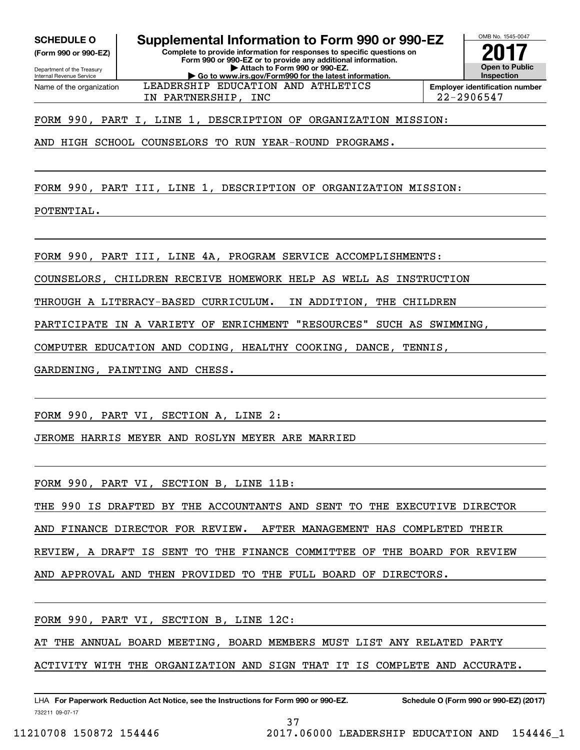**(Form 990 or 990-EZ)**

Department of the Treasi<br>Internal Revenue Service Department of the Treasury Name of the organization

**SCHEDULE O Supplemental Information to Form 990 or 990-EZ SCHEDULE O Supplemental Information to Form 990 or 990-EZ (Form 990 or 990-EZ) Complete to provide information for responses to specific questions on Complete to provide information for responses to specific questions on Form 990 or 990-EZ or to provide any additional information. Form 990 or 990-EZ or to provide any additional information.** Department of the Treasury **and Personal Property of the Treasury <b>Attach to Form 990 or 990-EZ.** CONTRESSER THE PRINT OF THE PARTNER SHIP PRINT OF THE PARTNER SHIP PRINT OF THE PARTNER SHIP Attach to Form 990 or 990-EZ.<br>Go to www.irs.gov/Form990 for the latest information. Name of the organization **LEADERSHIP EDUCATION AND ATHLETICS Inployer identification number** 



IN PARTNERSHIP, INC 22-2906547 IN PARTNERSHIP, INC 22-2906547

FORM 990, PART I, LINE 1, DESCRIPTION OF ORGANIZATION MISSION: FORM 990, PART I, LINE 1, DESCRIPTION OF ORGANIZATION MISSION:

AND HIGH SCHOOL COUNSELORS TO RUN YEAR-ROUND PROGRAMS. AND HIGH SCHOOL COUNSELORS TO RUN YEAR-ROUND PROGRAMS.

FORM 990, PART III, LINE 1, DESCRIPTION OF ORGANIZATION MISSION: FORM 990, PART III, LINE 1, DESCRIPTION OF ORGANIZATION MISSION:

POTENTIAL. POTENTIAL.

FORM 990, PART III, LINE 4A, PROGRAM SERVICE ACCOMPLISHMENTS: FORM 990, PART III, LINE 4A, PROGRAM SERVICE ACCOMPLISHMENTS:

COUNSELORS, CHILDREN RECEIVE HOMEWORK HELP AS WELL AS INSTRUCTION COUNSELORS, CHILDREN RECEIVE HOMEWORK HELP AS WELL AS INSTRUCTION

THROUGH A LITERACY-BASED CURRICULUM. IN ADDITION, THE CHILDREN THROUGH A LITERACY-BASED CURRICULUM. IN ADDITION, THE CHILDREN

PARTICIPATE IN A VARIETY OF ENRICHMENT "RESOURCES" SUCH AS SWIMMING, PARTICIPATE IN A VARIETY OF ENRICHMENT "RESOURCES" SUCH AS SWIMMING,

COMPUTER EDUCATION AND CODING, HEALTHY COOKING, DANCE, TENNIS, COMPUTER EDUCATION AND CODING, HEALTHY COOKING, DANCE, TENNIS,

GARDENING, PAINTING AND CHESS. GARDENING, PAINTING AND CHESS.

FORM 990, PART VI , SECTION A, LINE 2 : FORM 990, PART VI, SECTION A, LINE 2:

JEROME HARRIS MEYER AND ROSLYN MEYER ARE MARRIED JEROME HARRIS MEYER AND ROSLYN MEYER ARE MARRIED

FORM 990, PART VI , SECTION B, LINE 11B: FORM 990, PART VI, SECTION B, LINE 11B:

THE 990 IS DRAFTED BY THE ACCOUNTANTS AND SENT TO THE EXECUTIVE DIRECTOR THE 990 IS DRAFTED BY THE ACCOUNTANTS AND SENT TO THE EXECUTIVE DIRECTOR

AND FINANCE DIRECTOR FOR REVIEW. AFTER MANAGEMENT HAS COMPLETED THEIR AND FINANCE DIRECTOR FOR REVIEW. AFTER MANAGEMENT HAS COMPLETED THEIR

REVIEW, A DRAFT IS SENT TO THE FINANCE COMMITTEE OF THE BOARD FOR REVIEW REVIEW, A DRAFT IS SENT TO THE FINANCE COMMITTEE OF THE BOARD FOR REVIEW

AND APPROVAL AND THEN PROVIDED TO THE FULL BOARD OF DIRECTORS. AND APPROVAL AND THEN PROVIDED TO THE FULL BOARD OF DIRECTORS.

FORM 990, PART VI , SECTION B, LINE 12C: FORM 990, PART VI, SECTION B, LINE 12C:

AT THE ANNUAL BOARD MEETING, BOARD MEMBERS MUST LIST ANY RELATED PARTY AT THE ANNUAL BOARD MEETING, BOARD MEMBERS MUST LIST ANY RELATED PARTY

ACTIVITY WITH THE ORGANIZATION AND SIGN THAT IT IS COMPLETE AND ACCURATE. ACTIVITY WITH THE ORGANIZATION AND SIGN THAT IT IS COMPLETE AND ACCURATE.

LHA For Paperwork Reduction Act Notice, see the Instructions for Form 990 or 990-EZ. Schedule O (Form 990 or 990-EZ) (2017) 732211 09-07-17 732211 09-07-17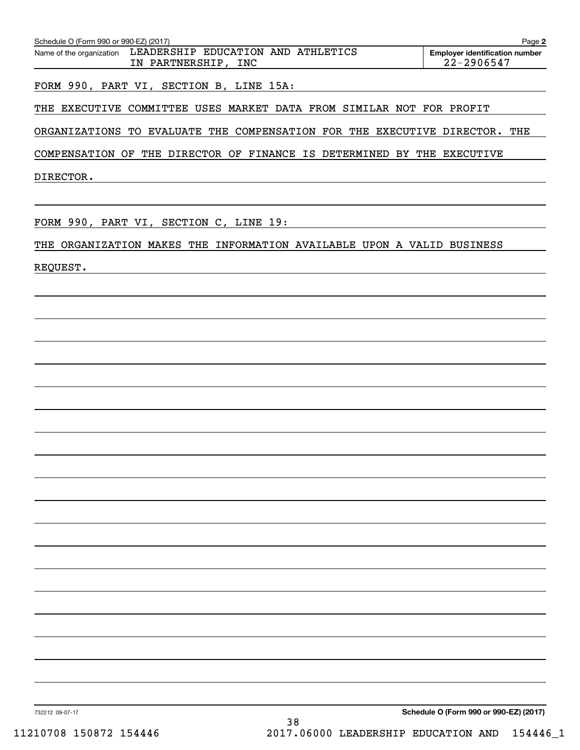| Schedule O (Form 990 or 990-EZ) (2017)<br>Page 2                                   |  |                                                     |  |  |  |  |  |  |
|------------------------------------------------------------------------------------|--|-----------------------------------------------------|--|--|--|--|--|--|
| Name of the organization LEADERSHIP EDUCATION AND ATHLETICS<br>IN PARTNERSHIP, INC |  | <b>Employer identification number</b><br>22-2906547 |  |  |  |  |  |  |
| FORM 990, PART VI, SECTION B, LINE 15A:                                            |  |                                                     |  |  |  |  |  |  |
| THE EXECUTIVE COMMITTEE USES MARKET DATA FROM SIMILAR NOT FOR PROFIT               |  |                                                     |  |  |  |  |  |  |

ORGANIZATIONS TO EVALUATE THE COMPENSATION FOR THE EXECUTIVE DIRECTOR. THE ORGANIZATIONS TO EVALUATE THE COMPENSATION FOR THE EXECUTIVE DIRECTOR. THE

COMPENSATION OF THE DIRECTOR OF FINANCE IS DETERMINED BY THE EXECUTIVE COMPENSATION OF THE DIRECTOR OF FINANCE IS DETERMINED BY THE EXECUTIVE

DIRECTOR. DIRECTOR.

FORM 990, PART VI , SECTION C, LINE 19 : FORM 990, PART VI, SECTION C, LINE 19:

THE ORGANIZATION MAKES THE INFORMATION AVAILABLE UPON A VALID BUSINESS THE ORGANIZATION MAKES THE INFORMATION AVAILABLE UPON A VALID BUSINESS

REQUEST. REQUEST.

732212 09-07-17 **Schedule O (Form 990 or 990-EZ) (2017) Schedule O (Form 990 or 990-EZ) (2017)**

732212 09-07-17